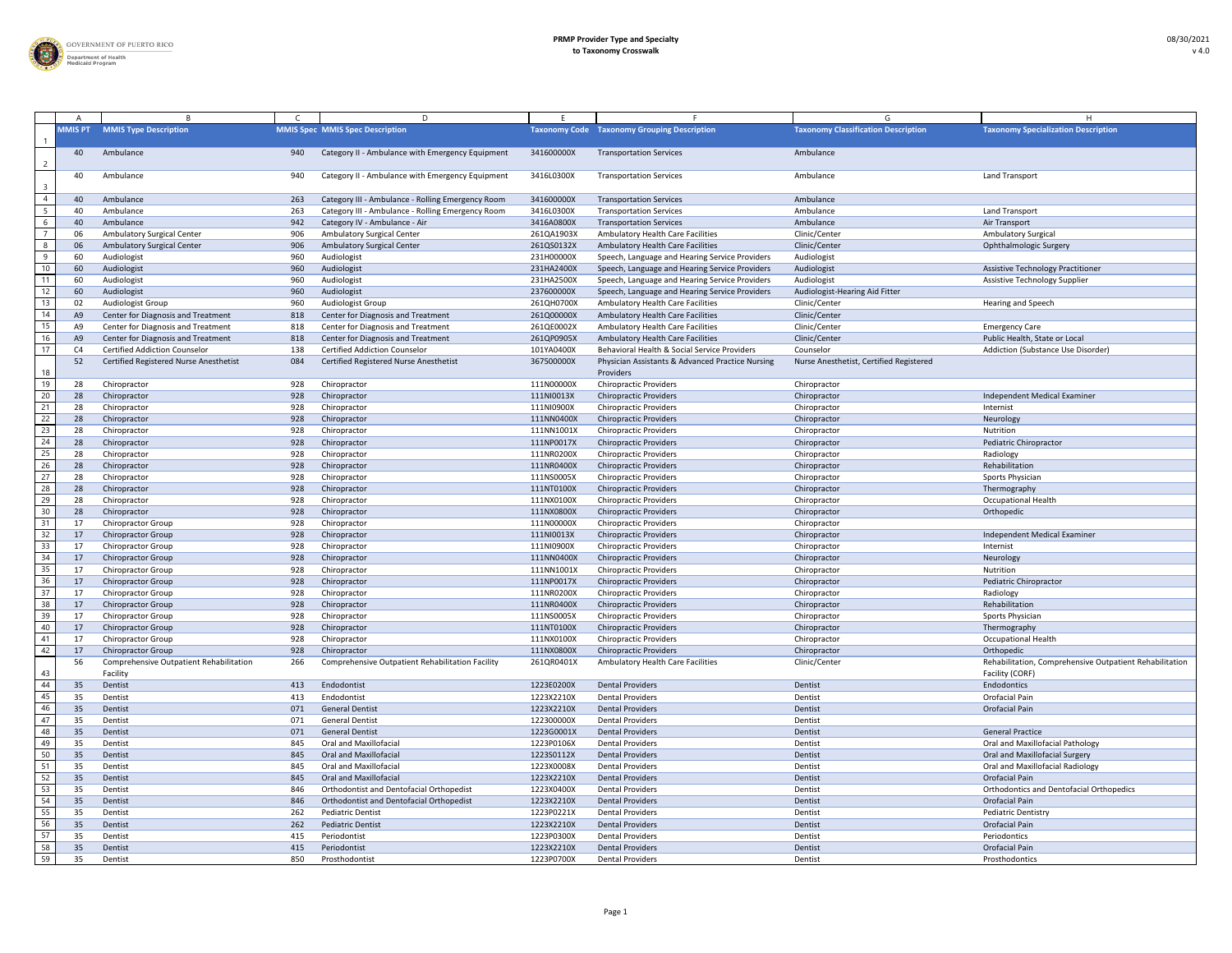

|                |                 |                                                        |            | D.                                                                      |                          |                                                                |                                            |                                                                            |
|----------------|-----------------|--------------------------------------------------------|------------|-------------------------------------------------------------------------|--------------------------|----------------------------------------------------------------|--------------------------------------------|----------------------------------------------------------------------------|
|                | <b>MMIS PT</b>  | <b>MMIS Type Description</b>                           |            | <b>MMIS Spec MMIS Spec Description</b>                                  | <b>Taxonomy Code</b>     | <b>Taxonomy Grouping Description</b>                           | <b>Taxonomy Classification Description</b> | <b>Taxonomy Specialization Description</b>                                 |
| $\overline{2}$ |                 | Ambulance                                              | 940        | Category II - Ambulance with Emergency Equipment                        | 341600000X               | <b>Transportation Services</b>                                 | Ambulance                                  |                                                                            |
| -3             | 40              | Ambulance                                              | 940        | Category II - Ambulance with Emergency Equipment                        | 3416L0300X               | <b>Transportation Services</b>                                 | Ambulance                                  | Land Transport                                                             |
| $\overline{4}$ |                 | Ambulance                                              | 263        | Category III - Ambulance - Rolling Emergency Room                       | 341600000X               | <b>Transportation Services</b>                                 | Ambulance                                  |                                                                            |
| 5              |                 | Ambulance                                              | 263        | Category III - Ambulance - Rolling Emergency Room                       | 3416L0300X               | <b>Transportation Services</b>                                 | Ambulance                                  | Land Transport                                                             |
| 6              |                 | Ambulance                                              | 942        | Category IV - Ambulance - Air                                           | 3416A0800X               | <b>Transportation Services</b>                                 | Ambulance                                  | Air Transport                                                              |
|                |                 | <b>Ambulatory Surgical Center</b>                      | 906        | <b>Ambulatory Surgical Center</b>                                       | 261QA1903X               | <b>Ambulatory Health Care Facilities</b>                       | Clinic/Center                              | <b>Ambulatory Surgical</b>                                                 |
| -8             |                 | <b>Ambulatory Surgical Center</b>                      | 906        | <b>Ambulatory Surgical Center</b>                                       | 261QS0132X               | <b>Ambulatory Health Care Facilities</b>                       | Clinic/Center                              | Ophthalmologic Surgery                                                     |
| -9             | 60              | Audiologist                                            | 960        | Audiologist                                                             | 231H00000X               | Speech, Language and Hearing Service Providers                 | Audiologist                                |                                                                            |
| $10$           | 60              | Audiologist                                            | 960        | Audiologist                                                             | 231HA2400X               | Speech, Language and Hearing Service Providers                 | Audiologist                                | <b>Assistive Technology Practitioner</b>                                   |
| 11             | -60             | Audiologist                                            | 960        | Audiologist                                                             | 231HA2500X               | Speech, Language and Hearing Service Providers                 | Audiologist                                | <b>Assistive Technology Supplier</b>                                       |
| 12             | -60             | Audiologist                                            | 960        | Audiologist                                                             | 237600000X               | Speech, Language and Hearing Service Providers                 | Audiologist-Hearing Aid Fitter             |                                                                            |
| 13             | $\overline{0}$  | Audiologist Group                                      | 960        | Audiologist Group                                                       | 261QH0700X               | <b>Ambulatory Health Care Facilities</b>                       | Clinic/Center                              | <b>Hearing and Speech</b>                                                  |
| 14             | A9              | Center for Diagnosis and Treatment                     | 818        | <b>Center for Diagnosis and Treatment</b>                               | 261Q00000X               | <b>Ambulatory Health Care Facilities</b>                       | Clinic/Center                              |                                                                            |
| 15             | A!              | Center for Diagnosis and Treatment                     | 818        | Center for Diagnosis and Treatment                                      | 261QE0002X               | <b>Ambulatory Health Care Facilities</b>                       | Clinic/Center                              | <b>Emergency Care</b>                                                      |
| 16             | A <sub>S</sub>  | Center for Diagnosis and Treatment                     | 818        | <b>Center for Diagnosis and Treatment</b>                               | 261QP0905X               | <b>Ambulatory Health Care Facilities</b>                       | Clinic/Center                              | Public Health, State or Local                                              |
| 17             |                 | <b>Certified Addiction Counselor</b>                   | 138        | <b>Certified Addiction Counselor</b>                                    | 101YA0400X               | Behavioral Health & Social Service Providers                   | Counselor                                  | Addiction (Substance Use Disorder)                                         |
|                | -52             | Certified Registered Nurse Anesthetist                 | 084        | Certified Registered Nurse Anesthetist                                  | 367500000X               | Physician Assistants & Advanced Practice Nursing               | Nurse Anesthetist, Certified Registered    |                                                                            |
| 18             |                 |                                                        |            |                                                                         |                          | Providers                                                      |                                            |                                                                            |
| 19             |                 | Chiropractor                                           | 928        | Chiropractor                                                            | 111N00000X               | <b>Chiropractic Providers</b>                                  | Chiropractor                               |                                                                            |
| 20             | 28              | Chiropractor                                           | 928        | Chiropractor                                                            | 111NI0013X               | <b>Chiropractic Providers</b>                                  | Chiropractor                               | Independent Medical Examiner                                               |
| 21             | 28              | Chiropractor                                           | 928        | Chiropractor                                                            | 111NI0900X               | <b>Chiropractic Providers</b>                                  | Chiropractor                               | Internist                                                                  |
| 22             | 28              | Chiropractor                                           | 928        | Chiropractor                                                            | 111NN0400X               | <b>Chiropractic Providers</b>                                  | Chiropractor                               | Neurology                                                                  |
| 23             | 28              | Chiropractor                                           | 928        | Chiropractor                                                            | 111NN1001X               | <b>Chiropractic Providers</b>                                  | Chiropractor                               | Nutrition                                                                  |
| 24             | 28              | Chiropractor                                           | 928        | Chiropractor                                                            | 111NP0017X               | <b>Chiropractic Providers</b>                                  | Chiropractor                               | Pediatric Chiropractor                                                     |
| 25             |                 | Chiropractor                                           | 928        | Chiropractor                                                            | 111NR0200X               | <b>Chiropractic Providers</b>                                  | Chiropractor                               | Radiology                                                                  |
| 26             | 28              | Chiropractor                                           | 928        | Chiropractor                                                            | 111NR0400X               | <b>Chiropractic Providers</b>                                  | Chiropractor                               | Rehabilitation                                                             |
| 27             |                 | Chiropractor                                           | 928        | Chiropractor                                                            | 111NS0005X               | <b>Chiropractic Providers</b>                                  | Chiropractor                               | Sports Physician                                                           |
| 28             | 28              | Chiropractor                                           | 928        | Chiropractor                                                            | 111NT0100X               |                                                                |                                            |                                                                            |
| 29             |                 |                                                        |            | Chiropractor                                                            | 111NX0100X               | <b>Chiropractic Providers</b><br><b>Chiropractic Providers</b> | Chiropractor                               | Thermography<br><b>Occupational Health</b>                                 |
| $30$           |                 | Chiropractor                                           | 928        |                                                                         |                          |                                                                | Chiropractor                               |                                                                            |
| 31             | 28              | Chiropractor                                           | 928        | Chiropractor                                                            | 111NX0800X               | <b>Chiropractic Providers</b>                                  | Chiropractor                               | Orthopedic                                                                 |
| 32             | 17              | <b>Chiropractor Group</b>                              | 928<br>928 | Chiropractor                                                            | 111N00000X               | <b>Chiropractic Providers</b>                                  | Chiropractor                               | Independent Medical Examiner                                               |
|                | 17              | <b>Chiropractor Group</b>                              |            | Chiropractor                                                            | 111NI0013X               | <b>Chiropractic Providers</b>                                  | Chiropractor                               |                                                                            |
| 33<br>34       | $\pm$           | <b>Chiropractor Group</b><br><b>Chiropractor Group</b> | 928<br>928 | Chiropractor                                                            | 111NI0900X<br>111NN0400X | <b>Chiropractic Providers</b>                                  | Chiropractor                               | Internist                                                                  |
|                | 17              |                                                        |            | Chiropractor                                                            |                          | <b>Chiropractic Providers</b>                                  | Chiropractor                               | Neurology<br>Nutrition                                                     |
| 35             | 17              | <b>Chiropractor Group</b>                              | 928        | Chiropractor                                                            | 111NN1001X               | <b>Chiropractic Providers</b>                                  | Chiropractor                               |                                                                            |
| 36<br>37       | 17              | <b>Chiropractor Group</b>                              | 928        | Chiropractor                                                            | 111NP0017X               | <b>Chiropractic Providers</b>                                  | Chiropractor                               | Pediatric Chiropractor                                                     |
| 38             | 17              | <b>Chiropractor Group</b>                              | 928        | Chiropractor                                                            | 111NR0200X               | <b>Chiropractic Providers</b>                                  | Chiropractor                               | Radiology                                                                  |
|                | 17              | <b>Chiropractor Group</b>                              | 928        | Chiropractor                                                            | 111NR0400X               | <b>Chiropractic Providers</b>                                  | Chiropractor                               | Rehabilitation                                                             |
| 39<br>40       | $\ket{1}$       | <b>Chiropractor Group</b>                              | 928<br>928 | Chiropractor                                                            | 111NS0005X               | <b>Chiropractic Providers</b>                                  | Chiropractor                               | Sports Physician                                                           |
| 41             | $\overline{17}$ | <b>Chiropractor Group</b>                              |            | Chiropractor                                                            | 111NT0100X               | <b>Chiropractic Providers</b>                                  | Chiropractor                               | Thermography                                                               |
| 42             | 17              | <b>Chiropractor Group</b>                              | 928        | Chiropractor                                                            | 111NX0100X               | <b>Chiropractic Providers</b>                                  | Chiropractor                               | <b>Occupational Health</b>                                                 |
|                | $\vert$ 1       | <b>Chiropractor Group</b>                              | 928<br>266 | Chiropractor<br><b>Comprehensive Outpatient Rehabilitation Facility</b> | 111NX0800X               | <b>Chiropractic Providers</b>                                  | Chiropractor<br>Clinic/Center              | Orthopedic                                                                 |
| 43             | -56             | Comprehensive Outpatient Rehabilitation<br>Facility    |            |                                                                         | 261QR0401X               | <b>Ambulatory Health Care Facilities</b>                       |                                            | Rehabilitation, Comprehensive Outpatient Rehabilitation<br>Facility (CORF) |
| 44             | 35              | Dentist                                                | 413        | Endodontist                                                             | 1223E0200X               | <b>Dental Providers</b>                                        | Dentist                                    | Endodontics                                                                |
| 45             | 3!              | Dentist                                                | 413        | Endodontist                                                             | 1223X2210X               | <b>Dental Providers</b>                                        | Dentist                                    | Orofacial Pain                                                             |
| 46             | 35              | Dentist                                                | 071        | <b>General Dentist</b>                                                  | 1223X2210X               | <b>Dental Providers</b>                                        | Dentist                                    | Orofacial Pain                                                             |
| 47             | 3!              | Dentist                                                | 071        | <b>General Dentist</b>                                                  | 122300000X               | <b>Dental Providers</b>                                        | Dentist                                    |                                                                            |
| 48             | 35              | Dentist                                                | 071        | <b>General Dentist</b>                                                  | 1223G0001X               | <b>Dental Providers</b>                                        | Dentist                                    | <b>General Practice</b>                                                    |
| 49             | 3!              | Dentist                                                | 845        | <b>Oral and Maxillofacial</b>                                           | 1223P0106X               | <b>Dental Providers</b>                                        | Dentist                                    | Oral and Maxillofacial Pathology                                           |
| 50             | 35              | Dentist                                                | 845        | <b>Oral and Maxillofacial</b>                                           | 1223S0112X               | <b>Dental Providers</b>                                        | Dentist                                    | Oral and Maxillofacial Surgery                                             |
| 51             | 3!              | Dentist                                                | 845        | <b>Oral and Maxillofacial</b>                                           | 1223X0008X               | <b>Dental Providers</b>                                        | Dentist                                    | Oral and Maxillofacial Radiology                                           |
| 52             | 35              | Dentist                                                | 845        | <b>Oral and Maxillofacial</b>                                           | 1223X2210X               | <b>Dental Providers</b>                                        | Dentist                                    | <b>Orofacial Pain</b>                                                      |
| 53             | -35             | Dentist                                                | 846        | Orthodontist and Dentofacial Orthopedist                                | 1223X0400X               | <b>Dental Providers</b>                                        | Dentist                                    | <b>Orthodontics and Dentofacial Orthopedics</b>                            |
| 54             | 35              | Dentist                                                | 846        | Orthodontist and Dentofacial Orthopedist                                | 1223X2210X               | <b>Dental Providers</b>                                        | Dentist                                    | <b>Orofacial Pain</b>                                                      |
| 55             | 35              | Dentist                                                | 262        | <b>Pediatric Dentist</b>                                                | 1223P0221X               | <b>Dental Providers</b>                                        | Dentist                                    | <b>Pediatric Dentistry</b>                                                 |
| 56             |                 | Dentist                                                | 262        | <b>Pediatric Dentist</b>                                                | 1223X2210X               | <b>Dental Providers</b>                                        | Dentist                                    | Orofacial Pain                                                             |
| 57             |                 | Dentist                                                | 415        | Periodontist                                                            | 1223P0300X               | <b>Dental Providers</b>                                        | Dentist                                    | Periodontics                                                               |
| 58             | 35              | Dentist                                                | 415        | Periodontist                                                            | 1223X2210X               | <b>Dental Providers</b>                                        | Dentist                                    | Orofacial Pain                                                             |
| 59             | 35              | Dentist                                                | 850        | Prosthodontist                                                          | 1223P0700X               | <b>Dental Providers</b>                                        | Dentist                                    | Prosthodontics                                                             |
|                |                 |                                                        |            |                                                                         |                          |                                                                |                                            |                                                                            |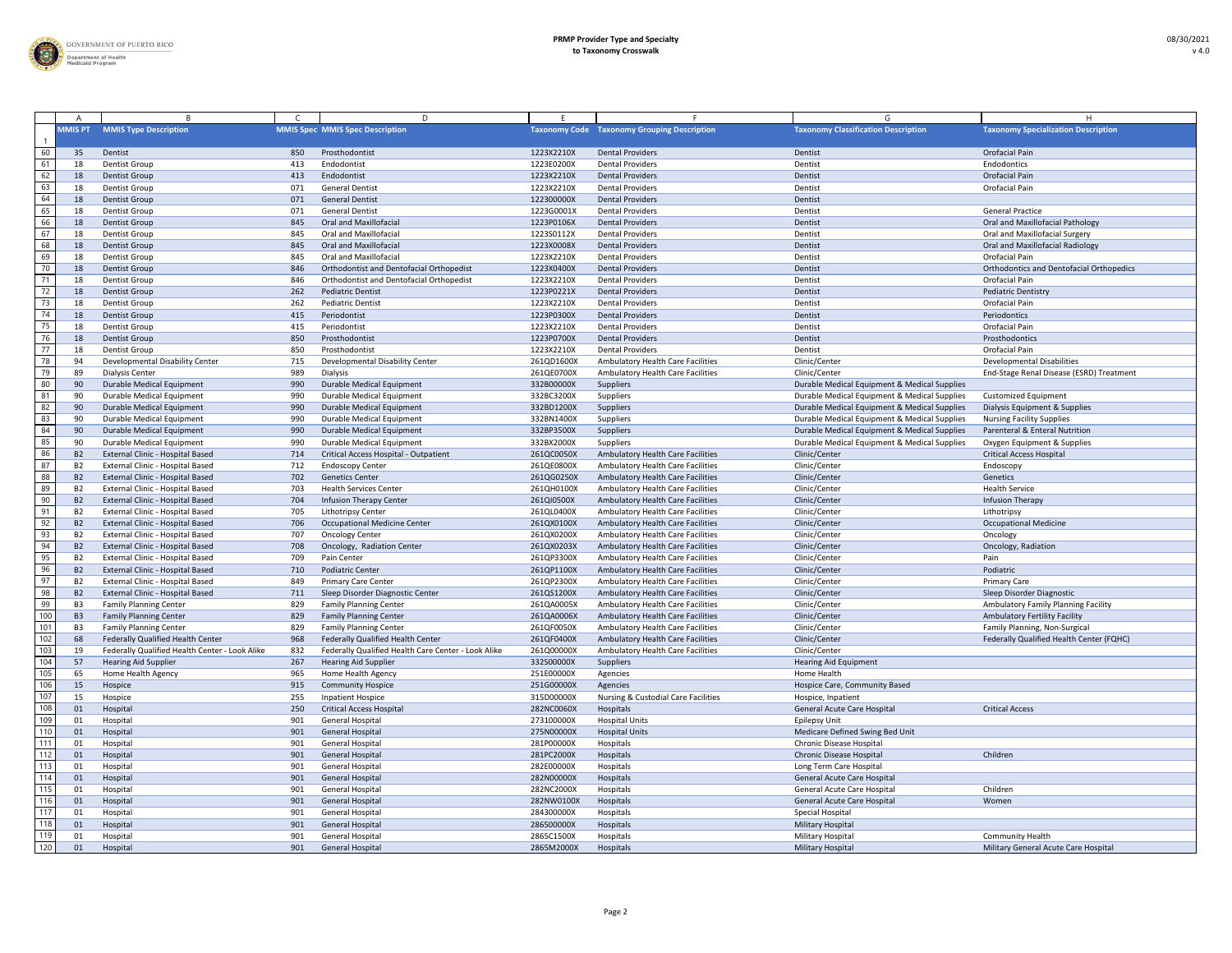

|                 |                  |                                                |     | D.                                                  |            |                                                    |                                              |                                                 |
|-----------------|------------------|------------------------------------------------|-----|-----------------------------------------------------|------------|----------------------------------------------------|----------------------------------------------|-------------------------------------------------|
|                 | <b>MMIS PT</b>   | <b>MMIS Type Description</b>                   |     | <b>MMIS Spec MMIS Spec Description</b>              |            | <b>Taxonomy Code</b> Taxonomy Grouping Description | <b>Taxonomy Classification Description</b>   | <b>Taxonomy Specialization Description</b>      |
| 60              | 35               | Dentist                                        | 850 | Prosthodontist                                      | 1223X2210X | <b>Dental Providers</b>                            | Dentist                                      | Orofacial Pain                                  |
| 61              |                  | <b>Dentist Group</b>                           | 413 | Endodontist                                         | 1223E0200X | <b>Dental Providers</b>                            | Dentist                                      | Endodontics                                     |
| 62              |                  | <b>Dentist Group</b>                           | 413 | Endodontist                                         | 1223X2210X | <b>Dental Providers</b>                            | Dentist                                      | Orofacial Pain                                  |
| 63              |                  | <b>Dentist Group</b>                           | 071 | <b>General Dentist</b>                              | 1223X2210X | <b>Dental Providers</b>                            | Dentist                                      | Orofacial Pain                                  |
| 64              |                  | <b>Dentist Group</b>                           | 071 | <b>General Dentist</b>                              | 122300000X | <b>Dental Providers</b>                            | Dentist                                      |                                                 |
| 65              |                  | <b>Dentist Group</b>                           | 071 | <b>General Dentist</b>                              | 1223G0001X | <b>Dental Providers</b>                            | Dentist                                      | <b>General Practice</b>                         |
| 66              |                  | <b>Dentist Group</b>                           | 845 | <b>Oral and Maxillofacial</b>                       | 1223P0106X | <b>Dental Providers</b>                            | Dentist                                      | Oral and Maxillofacial Pathology                |
| 67              |                  | <b>Dentist Group</b>                           | 845 | <b>Oral and Maxillofacial</b>                       | 1223S0112X | <b>Dental Providers</b>                            | Dentist                                      | Oral and Maxillofacial Surgery                  |
| 68              |                  | <b>Dentist Group</b>                           | 845 | <b>Oral and Maxillofacial</b>                       | 1223X0008X | <b>Dental Providers</b>                            | Dentist                                      | <b>Oral and Maxillofacial Radiology</b>         |
| 69              |                  | <b>Dentist Group</b>                           | 845 | <b>Oral and Maxillofacial</b>                       | 1223X2210X | <b>Dental Providers</b>                            | Dentist                                      | Orofacial Pain                                  |
| 70              |                  | <b>Dentist Group</b>                           | 846 | Orthodontist and Dentofacial Orthopedist            | 1223X0400X | <b>Dental Providers</b>                            | Dentist                                      | <b>Orthodontics and Dentofacial Orthopedics</b> |
| 71              |                  | <b>Dentist Group</b>                           | 846 | Orthodontist and Dentofacial Orthopedist            | 1223X2210X | <b>Dental Providers</b>                            | Dentist                                      | Orofacial Pain                                  |
| 72              |                  | <b>Dentist Group</b>                           | 262 | <b>Pediatric Dentist</b>                            | 1223P0221X | <b>Dental Providers</b>                            | Dentist                                      | <b>Pediatric Dentistry</b>                      |
| 73              |                  | <b>Dentist Group</b>                           | 262 | <b>Pediatric Dentist</b>                            | 1223X2210X | <b>Dental Providers</b>                            | Dentist                                      | Orofacial Pain                                  |
| $\overline{74}$ |                  | <b>Dentist Group</b>                           | 415 | Periodontist                                        | 1223P0300X | <b>Dental Providers</b>                            | Dentist                                      | Periodontics                                    |
| 75              |                  | <b>Dentist Group</b>                           | 415 | Periodontist                                        | 1223X2210X | <b>Dental Providers</b>                            | Dentist                                      | Orofacial Pain                                  |
| 76              |                  | <b>Dentist Group</b>                           | 850 | Prosthodontist                                      | 1223P0700X | <b>Dental Providers</b>                            | Dentist                                      | Prosthodontics                                  |
| 77              |                  | <b>Dentist Group</b>                           | 850 | Prosthodontist                                      | 1223X2210X | <b>Dental Providers</b>                            | Dentist                                      | Orofacial Pain                                  |
| 78              | ،9               | Developmental Disability Center                | 715 | Developmental Disability Center                     | 261QD1600X | Ambulatory Health Care Facilities                  | Clinic/Center                                | <b>Developmental Disabilities</b>               |
| 79              | 89               | <b>Dialysis Center</b>                         | 989 | Dialysis                                            | 261QE0700X | Ambulatory Health Care Facilities                  | Clinic/Center                                | End-Stage Renal Disease (ESRD) Treatment        |
| 80              | 90               | <b>Durable Medical Equipment</b>               | 990 | <b>Durable Medical Equipment</b>                    | 332B00000X | <b>Suppliers</b>                                   | Durable Medical Equipment & Medical Supplies |                                                 |
| 81              | -91              | <b>Durable Medical Equipment</b>               | 990 | Durable Medical Equipment                           | 332BC3200X | Suppliers                                          | Durable Medical Equipment & Medical Supplies | <b>Customized Equipment</b>                     |
| 82              | 90               | <b>Durable Medical Equipment</b>               | 990 | Durable Medical Equipment                           | 332BD1200X | Suppliers                                          | Durable Medical Equipment & Medical Supplies | Dialysis Equipment & Supplies                   |
| 83              | -90              | <b>Durable Medical Equipment</b>               | 990 | <b>Durable Medical Equipment</b>                    | 332BN1400X | Suppliers                                          | Durable Medical Equipment & Medical Supplies | <b>Nursing Facility Supplies</b>                |
| 84              |                  | <b>Durable Medical Equipment</b>               | 990 | Durable Medical Equipment                           | 332BP3500X | Suppliers                                          | Durable Medical Equipment & Medical Supplies | Parenteral & Enteral Nutrition                  |
| 85              | -90              | Durable Medical Equipment                      | 990 | Durable Medical Equipment                           | 332BX2000X | Suppliers                                          | Durable Medical Equipment & Medical Supplies | Oxygen Equipment & Supplies                     |
| 86              | - B <sub>2</sub> | External Clinic - Hospital Based               | 714 | Critical Access Hospital - Outpatient               | 261QC0050X | Ambulatory Health Care Facilities                  | Clinic/Center                                | <b>Critical Access Hospital</b>                 |
| 87              | B <sub>2</sub>   | External Clinic - Hospital Based               | 712 | <b>Endoscopy Center</b>                             | 261QE0800X | <b>Ambulatory Health Care Facilities</b>           | Clinic/Center                                | Endoscopy                                       |
| 88              | <b>B2</b>        | External Clinic - Hospital Based               | 702 | <b>Genetics Center</b>                              | 261QG0250X | Ambulatory Health Care Facilities                  | Clinic/Center                                | Genetics                                        |
| 89              | <b>B2</b>        | External Clinic - Hospital Based               | 703 | <b>Health Services Center</b>                       | 261QH0100X | Ambulatory Health Care Facilities                  | Clinic/Center                                | <b>Health Service</b>                           |
| 90              | <b>B2</b>        | External Clinic - Hospital Based               | 704 | <b>Infusion Therapy Center</b>                      | 261QI0500X | <b>Ambulatory Health Care Facilities</b>           | Clinic/Center                                | Infusion Therapy                                |
| 91              | - B2             | External Clinic - Hospital Based               | 705 | <b>Lithotripsy Center</b>                           | 261QL0400X | Ambulatory Health Care Facilities                  | Clinic/Center                                | Lithotripsy                                     |
| 92              | <b>B2</b>        | External Clinic - Hospital Based               | 706 | <b>Occupational Medicine Center</b>                 | 261QX0100X | Ambulatory Health Care Facilities                  | Clinic/Center                                | <b>Occupational Medicine</b>                    |
| 93              | B <sub>2</sub>   | External Clinic - Hospital Based               | 707 | <b>Oncology Center</b>                              | 261QX0200X | Ambulatory Health Care Facilities                  | Clinic/Center                                | Oncology                                        |
| 94              | <b>B2</b>        | External Clinic - Hospital Based               | 708 | Oncology, Radiation Center                          | 261QX0203X | Ambulatory Health Care Facilities                  | Clinic/Center                                | Oncology, Radiation                             |
| 95              | <b>B2</b>        | External Clinic - Hospital Based               | 709 | Pain Center                                         | 261QP3300X | <b>Ambulatory Health Care Facilities</b>           | Clinic/Center                                | Pain                                            |
| 96              | B <sub>2</sub>   | External Clinic - Hospital Based               | 710 | <b>Podiatric Center</b>                             | 261QP1100X | Ambulatory Health Care Facilities                  | Clinic/Center                                | Podiatric                                       |
| $\overline{97}$ | - B2             | External Clinic - Hospital Based               | 849 | <b>Primary Care Center</b>                          | 261QP2300X | <b>Ambulatory Health Care Facilities</b>           | Clinic/Center                                | <b>Primary Care</b>                             |
| 98              | - B2             | External Clinic - Hospital Based               | 711 | Sleep Disorder Diagnostic Center                    | 261QS1200X | Ambulatory Health Care Facilities                  | Clinic/Center                                | Sleep Disorder Diagnostic                       |
| 99              | <b>B3</b>        | <b>Family Planning Center</b>                  | 829 | <b>Family Planning Center</b>                       | 261QA0005X | <b>Ambulatory Health Care Facilities</b>           | Clinic/Center                                | <b>Ambulatory Family Planning Facility</b>      |
| 100             | <b>B3</b>        | <b>Family Planning Center</b>                  | 829 | <b>Family Planning Center</b>                       | 261QA0006X | Ambulatory Health Care Facilities                  | Clinic/Center                                | <b>Ambulatory Fertility Facility</b>            |
| 101             | B3               | <b>Family Planning Center</b>                  | 829 | <b>Family Planning Center</b>                       | 261QF0050X | <b>Ambulatory Health Care Facilities</b>           | Clinic/Center                                | Family Planning, Non-Surgical                   |
| 102             | 68               | Federally Qualified Health Center              | 968 | Federally Qualified Health Center                   | 261QF0400X | Ambulatory Health Care Facilities                  | Clinic/Center                                | Federally Qualified Health Center (FQHC)        |
| 103             | 19               | Federally Qualified Health Center - Look Alike | 832 | Federally Qualified Health Care Center - Look Alike | 261Q00000X | <b>Ambulatory Health Care Facilities</b>           | Clinic/Center                                |                                                 |
| 104             | 57               | <b>Hearing Aid Supplier</b>                    | 267 | <b>Hearing Aid Supplier</b>                         | 332S00000X | <b>Suppliers</b>                                   | <b>Hearing Aid Equipment</b>                 |                                                 |
| 105             | 65               | Home Health Agency                             | 965 | Home Health Agency                                  | 251E00000X | Agencies                                           | <b>Home Health</b>                           |                                                 |
| 106             | 15               | Hospice                                        | 915 | <b>Community Hospice</b>                            | 251G00000X | Agencies                                           | Hospice Care, Community Based                |                                                 |
| 107             |                  | Hospice                                        | 255 | Inpatient Hospice                                   | 315D00000X | <b>Nursing &amp; Custodial Care Facilities</b>     | Hospice, Inpatient                           |                                                 |
| 108             | 01               | Hospital                                       | 250 | <b>Critical Access Hospital</b>                     | 282NC0060X | Hospitals                                          | <b>General Acute Care Hospital</b>           | <b>Critical Access</b>                          |
| 109             | 01               | Hospital                                       | 901 | <b>General Hospital</b>                             | 273100000X | <b>Hospital Units</b>                              | <b>Epilepsy Unit</b>                         |                                                 |
| 110             | 01               | Hospital                                       | 901 | <b>General Hospital</b>                             | 275N00000X | <b>Hospital Units</b>                              | Medicare Defined Swing Bed Unit              |                                                 |
| 111             | 01               | Hospital                                       | 901 | <b>General Hospital</b>                             | 281P00000X | Hospitals                                          | Chronic Disease Hospital                     |                                                 |
| 112             | 01               | Hospital                                       | 901 | <b>General Hospital</b>                             | 281PC2000X | Hospitals                                          | <b>Chronic Disease Hospital</b>              | Children                                        |
| 113             |                  | Hospital                                       | 901 | <b>General Hospital</b>                             | 282E00000X | Hospitals                                          | Long Term Care Hospital                      |                                                 |
| 114             | 01               | Hospital                                       | 901 | <b>General Hospital</b>                             | 282N00000X | Hospitals                                          | <b>General Acute Care Hospital</b>           |                                                 |
| 115             | 01               | Hospital                                       | 901 | <b>General Hospital</b>                             | 282NC2000X | Hospitals                                          | <b>General Acute Care Hospital</b>           | Children                                        |
| 116             | 01               | Hospital                                       | 901 | <b>General Hospital</b>                             | 282NW0100X | Hospitals                                          | <b>General Acute Care Hospital</b>           | Women                                           |
| 117             | 01               | Hospital                                       | 901 | <b>General Hospital</b>                             | 284300000X | Hospitals                                          | <b>Special Hospital</b>                      |                                                 |
| 118             | 01               | Hospital                                       | 901 | <b>General Hospital</b>                             | 286500000X | Hospitals                                          | Military Hospital                            |                                                 |
| 119             |                  | Hospital                                       | 901 | <b>General Hospital</b>                             | 2865C1500X | Hospitals                                          | <b>Military Hospital</b>                     | <b>Community Health</b>                         |
| 120             |                  | Hospital                                       | 901 | <b>General Hospital</b>                             | 2865M2000X | Hospitals                                          | <b>Military Hospital</b>                     | Military General Acute Care Hospital            |
|                 |                  |                                                |     |                                                     |            |                                                    |                                              |                                                 |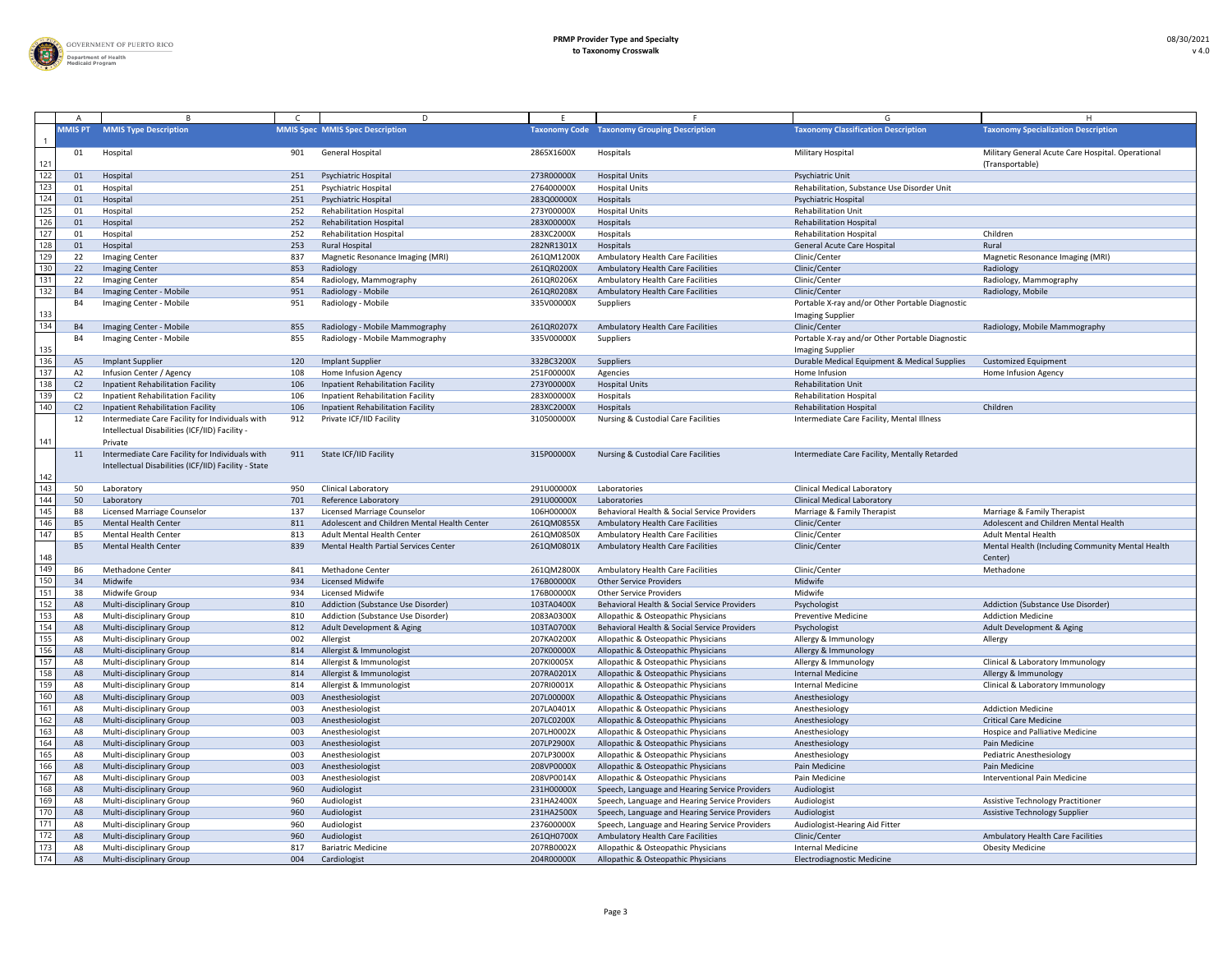

|                  |                |                                                                                                              |     | D                                            |            |                                                    |                                                                            |                                                                      |
|------------------|----------------|--------------------------------------------------------------------------------------------------------------|-----|----------------------------------------------|------------|----------------------------------------------------|----------------------------------------------------------------------------|----------------------------------------------------------------------|
|                  | <b>MMIS PT</b> | <b>MMIS Type Description</b>                                                                                 |     | <b>MMIS Spec MMIS Spec Description</b>       |            | <b>Taxonomy Code Taxonomy Grouping Description</b> | <b>Taxonomy Classification Description</b>                                 | <b>Taxonomy Specialization Description</b>                           |
| 121              | 01             | Hospital                                                                                                     | 901 | <b>General Hospital</b>                      | 2865X1600X | Hospitals                                          | <b>Military Hospital</b>                                                   | Military General Acute Care Hospital. Operational<br>(Transportable) |
| 122              | 01             | Hospital                                                                                                     | 251 | <b>Psychiatric Hospital</b>                  | 273R00000X | <b>Hospital Units</b>                              | Psychiatric Unit                                                           |                                                                      |
| 123              | 01             | Hospital                                                                                                     | 251 | <b>Psychiatric Hospital</b>                  | 276400000X | <b>Hospital Units</b>                              | Rehabilitation, Substance Use Disorder Unit                                |                                                                      |
| $\overline{124}$ | 01             | Hospital                                                                                                     | 251 | <b>Psychiatric Hospital</b>                  | 283Q00000X | Hospitals                                          | <b>Psychiatric Hospital</b>                                                |                                                                      |
| 125              | 01             | Hospital                                                                                                     | 252 | <b>Rehabilitation Hospital</b>               | 273Y00000X | <b>Hospital Units</b>                              | <b>Rehabilitation Unit</b>                                                 |                                                                      |
| 126              | 01             | Hospital                                                                                                     | 252 | <b>Rehabilitation Hospital</b>               | 283X00000X | Hospitals                                          | <b>Rehabilitation Hospital</b>                                             |                                                                      |
| 127              | 01             | Hospital                                                                                                     | 252 | <b>Rehabilitation Hospital</b>               | 283XC2000X | Hospitals                                          | <b>Rehabilitation Hospital</b>                                             | Children                                                             |
| 128              | 01             | Hospital                                                                                                     | 253 | <b>Rural Hospital</b>                        | 282NR1301X | Hospitals                                          | <b>General Acute Care Hospital</b>                                         | Rural                                                                |
| 129              | 22             | <b>Imaging Center</b>                                                                                        | 837 | <b>Magnetic Resonance Imaging (MRI)</b>      | 261QM1200X | <b>Ambulatory Health Care Facilities</b>           | Clinic/Center                                                              | Magnetic Resonance Imaging (MRI)                                     |
| 130              | 22             | <b>Imaging Center</b>                                                                                        | 853 | Radiology                                    | 261QR0200X | Ambulatory Health Care Facilities                  | Clinic/Center                                                              | Radiology                                                            |
| 131              | 22             | <b>Imaging Center</b>                                                                                        | 854 | Radiology, Mammography                       | 261QR0206X | Ambulatory Health Care Facilities                  | Clinic/Center                                                              | Radiology, Mammography                                               |
| 132              | <b>B4</b>      | Imaging Center - Mobile                                                                                      | 951 | Radiology - Mobile                           | 261QR0208X | <b>Ambulatory Health Care Facilities</b>           | Clinic/Center                                                              | Radiology, Mobile                                                    |
|                  | B4             | Imaging Center - Mobile                                                                                      | 951 | Radiology - Mobile                           | 335V00000X | Suppliers                                          | Portable X-ray and/or Other Portable Diagnostic                            |                                                                      |
| 133              |                |                                                                                                              |     |                                              |            |                                                    | <b>Imaging Supplier</b>                                                    |                                                                      |
| 134              | <b>B4</b>      | Imaging Center - Mobile                                                                                      | 855 | Radiology - Mobile Mammography               | 261QR0207X | <b>Ambulatory Health Care Facilities</b>           | Clinic/Center                                                              | Radiology, Mobile Mammography                                        |
| 135              | - B4           | Imaging Center - Mobile                                                                                      | 855 | Radiology - Mobile Mammography               | 335V00000X | Suppliers                                          | Portable X-ray and/or Other Portable Diagnostic<br><b>Imaging Supplier</b> |                                                                      |
| 136              | A5             | <b>Implant Supplier</b>                                                                                      | 120 | <b>Implant Supplier</b>                      | 332BC3200X | Suppliers                                          | Durable Medical Equipment & Medical Supplies                               | <b>Customized Equipment</b>                                          |
| 137              | A2             | Infusion Center / Agency                                                                                     | 108 | Home Infusion Agency                         | 251F00000X | Agencies                                           | Home Infusion                                                              | Home Infusion Agency                                                 |
| 138              | C <sub>2</sub> | Inpatient Rehabilitation Facility                                                                            | 106 | Inpatient Rehabilitation Facility            | 273Y00000X | <b>Hospital Units</b>                              | <b>Rehabilitation Unit</b>                                                 |                                                                      |
| 139              | C <sub>2</sub> | <b>Inpatient Rehabilitation Facility</b>                                                                     | 106 | <b>Inpatient Rehabilitation Facility</b>     | 283X00000X | Hospitals                                          | <b>Rehabilitation Hospital</b>                                             |                                                                      |
| 140              | C <sub>2</sub> | Inpatient Rehabilitation Facility                                                                            | 106 | Inpatient Rehabilitation Facility            | 283XC2000X | Hospitals                                          | <b>Rehabilitation Hospital</b>                                             | Children                                                             |
| 141              |                | Intermediate Care Facility for Individuals with<br>Intellectual Disabilities (ICF/IID) Facility -<br>Private | 912 | Private ICF/IID Facility                     | 310500000X | <b>Nursing &amp; Custodial Care Facilities</b>     | Intermediate Care Facility, Mental Illness                                 |                                                                      |
| 142              |                | Intermediate Care Facility for Individuals with<br>Intellectual Disabilities (ICF/IID) Facility - State      | 911 | <b>State ICF/IID Facility</b>                | 315P00000X | <b>Nursing &amp; Custodial Care Facilities</b>     | Intermediate Care Facility, Mentally Retarded                              |                                                                      |
| 143              | 50             | Laboratory                                                                                                   | 950 | <b>Clinical Laboratory</b>                   | 291U00000X | Laboratories                                       | <b>Clinical Medical Laboratory</b>                                         |                                                                      |
| 144              | 50             | Laboratory                                                                                                   | 701 | <b>Reference Laboratory</b>                  | 291U00000X | Laboratories                                       | <b>Clinical Medical Laboratory</b>                                         |                                                                      |
| 145              | - B8           | Licensed Marriage Counselor                                                                                  | 137 | Licensed Marriage Counselor                  | 106H00000X | Behavioral Health & Social Service Providers       | Marriage & Family Therapist                                                | Marriage & Family Therapist                                          |
| 146              | - B5           | <b>Mental Health Center</b>                                                                                  | 811 | Adolescent and Children Mental Health Center | 261QM0855X | <b>Ambulatory Health Care Facilities</b>           | Clinic/Center                                                              | Adolescent and Children Mental Health                                |
| 147              | <b>B5</b>      | <b>Mental Health Center</b>                                                                                  | 813 | <b>Adult Mental Health Center</b>            | 261QM0850X | <b>Ambulatory Health Care Facilities</b>           | Clinic/Center                                                              | <b>Adult Mental Health</b>                                           |
| 148              | B <sub>5</sub> | <b>Mental Health Center</b>                                                                                  | 839 | <b>Mental Health Partial Services Center</b> | 261QM0801X | <b>Ambulatory Health Care Facilities</b>           | Clinic/Center                                                              | Mental Health (Including Community Mental Health<br>Center)          |
| 149              | B <sub>6</sub> | <b>Methadone Center</b>                                                                                      | 841 | <b>Methadone Center</b>                      | 261QM2800X | <b>Ambulatory Health Care Facilities</b>           | Clinic/Center                                                              | Methadone                                                            |
| 150              | 34             | Midwife                                                                                                      | 934 | <b>Licensed Midwife</b>                      | 176B00000X | <b>Other Service Providers</b>                     | Midwife                                                                    |                                                                      |
| 151              | 38             | Midwife Group                                                                                                | 934 | <b>Licensed Midwife</b>                      | 176B00000X | <b>Other Service Providers</b>                     | Midwife                                                                    |                                                                      |
| 152              | A8             | Multi-disciplinary Group                                                                                     | 810 | Addiction (Substance Use Disorder)           | 103TA0400X | Behavioral Health & Social Service Providers       | Psychologist                                                               | Addiction (Substance Use Disorder)                                   |
| 153              |                | <b>Multi-disciplinary Group</b>                                                                              | 810 | Addiction (Substance Use Disorder)           | 2083A0300X | Allopathic & Osteopathic Physicians                | <b>Preventive Medicine</b>                                                 | <b>Addiction Medicine</b>                                            |
| 154              |                | Multi-disciplinary Group                                                                                     | 812 | Adult Development & Aging                    | 103TA0700X | Behavioral Health & Social Service Providers       | Psychologist                                                               | Adult Development & Aging                                            |
| 155              |                | Multi-disciplinary Group                                                                                     | 002 | Allergist                                    | 207KA0200X | Allopathic & Osteopathic Physicians                | Allergy & Immunology                                                       | Allergy                                                              |
| 156              | A8             | Multi-disciplinary Group                                                                                     | 814 | Allergist & Immunologist                     | 207K00000X | Allopathic & Osteopathic Physicians                | Allergy & Immunology                                                       |                                                                      |
| 157              | A8             | Multi-disciplinary Group                                                                                     | 814 | Allergist & Immunologist                     | 207KI0005X | Allopathic & Osteopathic Physicians                | Allergy & Immunology                                                       | Clinical & Laboratory Immunology                                     |
| $\overline{158}$ | A8             | Multi-disciplinary Group                                                                                     | 814 | Allergist & Immunologist                     | 207RA0201X | Allopathic & Osteopathic Physicians                | <b>Internal Medicine</b>                                                   | Allergy & Immunology                                                 |
| 159              | A8             | Multi-disciplinary Group                                                                                     | 814 | Allergist & Immunologist                     | 207RI0001X | Allopathic & Osteopathic Physicians                | <b>Internal Medicine</b>                                                   | Clinical & Laboratory Immunology                                     |
| 160              | A8             | Multi-disciplinary Group                                                                                     | 003 | Anesthesiologist                             | 207L00000X | Allopathic & Osteopathic Physicians                | Anesthesiology                                                             |                                                                      |
| 161              |                | Multi-disciplinary Group                                                                                     | 003 | Anesthesiologist                             | 207LA0401X | Allopathic & Osteopathic Physicians                | Anesthesiology                                                             | <b>Addiction Medicine</b>                                            |
| 162              |                | Multi-disciplinary Group                                                                                     | 003 | Anesthesiologist                             | 207LC0200X | Allopathic & Osteopathic Physicians                | Anesthesiology                                                             | <b>Critical Care Medicine</b>                                        |
| 163              | A8             | Multi-disciplinary Group                                                                                     | 003 | Anesthesiologist                             | 207LH0002X | Allopathic & Osteopathic Physicians                | Anesthesiology                                                             | Hospice and Palliative Medicine                                      |
| 164              | A8             | Multi-disciplinary Group                                                                                     | 003 | Anesthesiologist                             | 207LP2900X | Allopathic & Osteopathic Physicians                | Anesthesiology                                                             | Pain Medicine                                                        |
| 165              | A8             | Multi-disciplinary Group                                                                                     | 003 | Anesthesiologist                             | 207LP3000X | Allopathic & Osteopathic Physicians                | Anesthesiology                                                             | Pediatric Anesthesiology                                             |
| 166              | A8             | Multi-disciplinary Group                                                                                     | 003 | Anesthesiologist                             | 208VP0000X | Allopathic & Osteopathic Physicians                | Pain Medicine                                                              | Pain Medicine                                                        |
| 167              | A8             | <b>Multi-disciplinary Group</b>                                                                              | 003 | Anesthesiologist                             | 208VP0014X | Allopathic & Osteopathic Physicians                | Pain Medicine                                                              | <b>Interventional Pain Medicine</b>                                  |
| 168              | A8             | <b>Multi-disciplinary Group</b>                                                                              | 960 | Audiologist                                  | 231H00000X | Speech, Language and Hearing Service Providers     | Audiologist                                                                |                                                                      |
| 169              |                | Multi-disciplinary Group                                                                                     | 960 | Audiologist                                  | 231HA2400X | Speech, Language and Hearing Service Providers     | Audiologist                                                                | <b>Assistive Technology Practitioner</b>                             |
| 170              |                | Multi-disciplinary Group                                                                                     | 960 | Audiologist                                  | 231HA2500X | Speech, Language and Hearing Service Providers     | Audiologist                                                                | <b>Assistive Technology Supplier</b>                                 |
| 171              | A8             | Multi-disciplinary Group                                                                                     | 960 | Audiologist                                  | 237600000X | Speech, Language and Hearing Service Providers     | Audiologist-Hearing Aid Fitter                                             |                                                                      |
| 172              | A8             | <b>Multi-disciplinary Group</b>                                                                              | 960 | Audiologist                                  | 261QH0700X | Ambulatory Health Care Facilities                  | Clinic/Center                                                              | Ambulatory Health Care Facilities                                    |
| 173              |                | <b>Multi-disciplinary Group</b>                                                                              | 817 | <b>Bariatric Medicine</b>                    | 207RB0002X | Allopathic & Osteopathic Physicians                | <b>Internal Medicine</b>                                                   | <b>Obesity Medicine</b>                                              |
| 174              | A8             | Multi-disciplinary Group                                                                                     | 004 | Cardiologist                                 | 204R00000X | Allopathic & Osteopathic Physicians                | <b>Electrodiagnostic Medicine</b>                                          |                                                                      |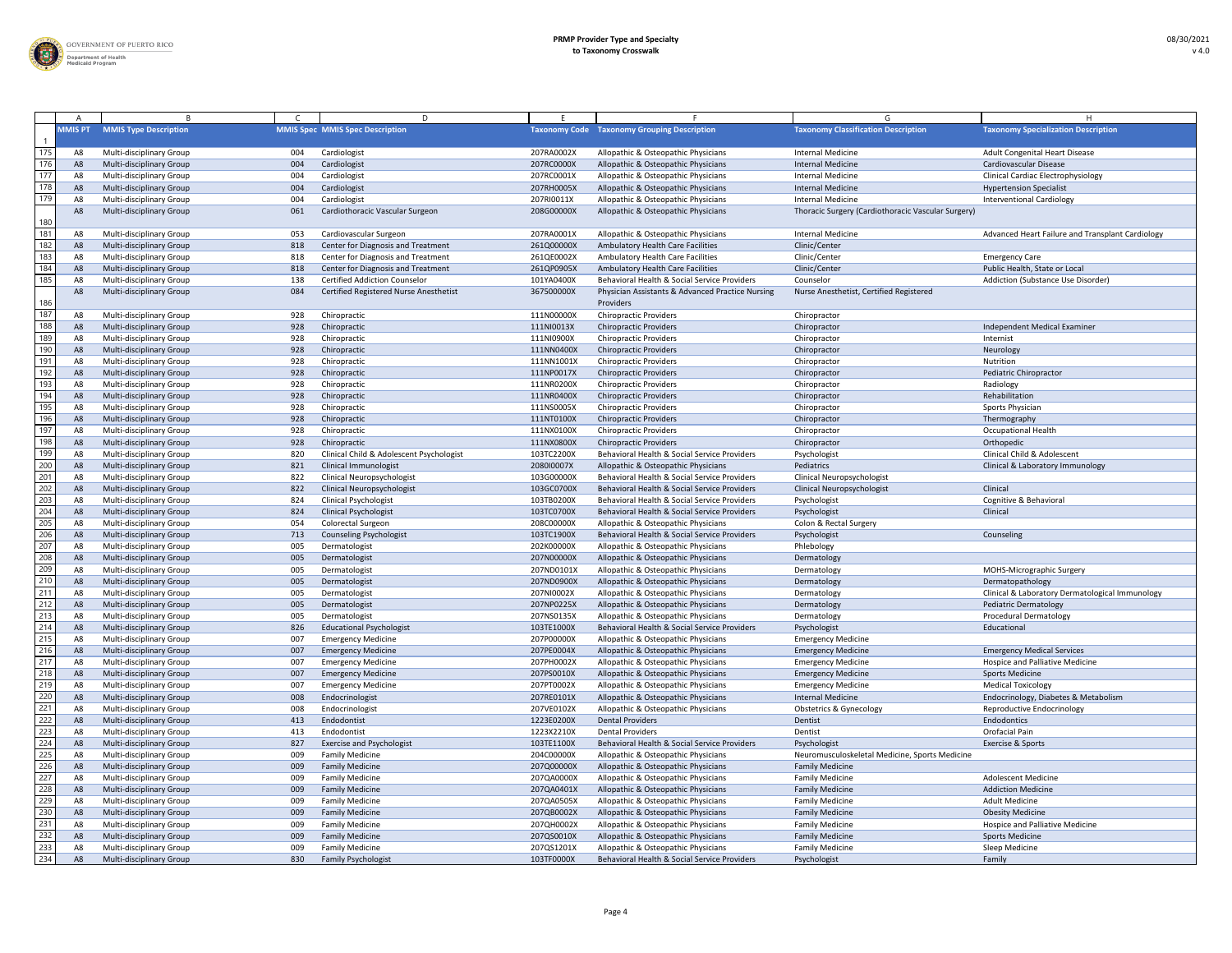

|                 |                |                                                      |            | D.                                        |                          |                                                                                     |                                                    |                                                  |
|-----------------|----------------|------------------------------------------------------|------------|-------------------------------------------|--------------------------|-------------------------------------------------------------------------------------|----------------------------------------------------|--------------------------------------------------|
|                 | <b>MMIS PT</b> | <b>MMIS Type Description</b>                         |            | <b>MMIS Spec MMIS Spec Description</b>    |                          | <b>Taxonomy Code Taxonomy Grouping Description</b>                                  | <b>Taxonomy Classification Description</b>         | <b>Taxonomy Specialization Description</b>       |
| 175             |                | Multi-disciplinary Group                             | 004        | Cardiologist                              | 207RA0002X               | Allopathic & Osteopathic Physicians                                                 | Internal Medicine                                  | Adult Congenital Heart Disease                   |
| 176             | A8             | <b>Multi-disciplinary Group</b>                      | 004        | Cardiologist                              | 207RC0000X               | Allopathic & Osteopathic Physicians                                                 | <b>Internal Medicine</b>                           | Cardiovascular Disease                           |
| 177             | A8             | Multi-disciplinary Group                             | 004        | Cardiologist                              | 207RC0001X               | Allopathic & Osteopathic Physicians                                                 | <b>Internal Medicine</b>                           | <b>Clinical Cardiac Electrophysiology</b>        |
| 178             | A8             | Multi-disciplinary Group                             | 004        | Cardiologist                              | 207RH0005X               | Allopathic & Osteopathic Physicians                                                 | <b>Internal Medicine</b>                           | <b>Hypertension Specialist</b>                   |
| 179             | A8             | Multi-disciplinary Group                             | 004        | Cardiologist                              | 207RI0011X               | Allopathic & Osteopathic Physicians                                                 | <b>Internal Medicine</b>                           | <b>Interventional Cardiology</b>                 |
|                 | A8             | Multi-disciplinary Group                             | 061        | Cardiothoracic Vascular Surgeon           | 208G00000X               | Allopathic & Osteopathic Physicians                                                 | Thoracic Surgery (Cardiothoracic Vascular Surgery) |                                                  |
| 180             |                |                                                      |            |                                           |                          |                                                                                     |                                                    |                                                  |
| 181             |                | Multi-disciplinary Group                             | 053        | Cardiovascular Surgeon                    | 207RA0001X               | Allopathic & Osteopathic Physicians                                                 | <b>Internal Medicine</b>                           | Advanced Heart Failure and Transplant Cardiology |
| 182             | A8             | <b>Multi-disciplinary Group</b>                      | 818        | Center for Diagnosis and Treatment        | 261Q00000X               | <b>Ambulatory Health Care Facilities</b>                                            | Clinic/Center                                      |                                                  |
| 183             | A8             | Multi-disciplinary Group                             | 818        | Center for Diagnosis and Treatment        | 261QE0002X               | <b>Ambulatory Health Care Facilities</b>                                            | Clinic/Center                                      | <b>Emergency Care</b>                            |
| 184             | A8             | Multi-disciplinary Group                             | 818        | <b>Center for Diagnosis and Treatment</b> | 261QP0905X               | <b>Ambulatory Health Care Facilities</b>                                            | Clinic/Center                                      | Public Health, State or Local                    |
| $\frac{1}{185}$ | A8             | Multi-disciplinary Group                             | 138        | <b>Certified Addiction Counselor</b>      | 101YA0400X               | Behavioral Health & Social Service Providers                                        | Counselor                                          | Addiction (Substance Use Disorder)               |
| 186             | A8             | <b>Multi-disciplinary Group</b>                      | 084        | Certified Registered Nurse Anesthetist    | 367500000X               | Physician Assistants & Advanced Practice Nursing<br>Providers                       | Nurse Anesthetist, Certified Registered            |                                                  |
| 187             |                | Multi-disciplinary Group                             | 928        | Chiropractic                              | 111N00000X               | <b>Chiropractic Providers</b>                                                       | Chiropractor                                       |                                                  |
| 188             |                | Multi-disciplinary Group                             | 928        | Chiropractic                              | 111NI0013X               | <b>Chiropractic Providers</b>                                                       | Chiropractor                                       | Independent Medical Examiner                     |
| 189             | A8             | Multi-disciplinary Group                             | 928        | Chiropractic                              | 111NI0900X               | <b>Chiropractic Providers</b>                                                       | Chiropractor                                       | Internist                                        |
| 190             | A8             | Multi-disciplinary Group                             | 928        | Chiropractic                              | 111NN0400X               | <b>Chiropractic Providers</b>                                                       | Chiropractor                                       | Neurology                                        |
| 191             | A8             | Multi-disciplinary Group                             | 928        | Chiropractic                              | 111NN1001X               | <b>Chiropractic Providers</b>                                                       | Chiropractor                                       | Nutrition                                        |
| 192             | A8             | Multi-disciplinary Group                             | 928        | Chiropractic                              | 111NP0017X               | <b>Chiropractic Providers</b>                                                       | Chiropractor                                       | Pediatric Chiropractor                           |
| 193             | A.             | <b>Multi-disciplinary Group</b>                      | 928        | Chiropractic                              | 111NR0200X               | <b>Chiropractic Providers</b>                                                       | Chiropractor                                       | Radiology                                        |
| 194             | A8             | Multi-disciplinary Group                             | 928        | Chiropractic                              | 111NR0400X               | <b>Chiropractic Providers</b>                                                       | Chiropractor                                       | Rehabilitation                                   |
| 195             |                | Multi-disciplinary Group                             | 928        | Chiropractic                              | 111NS0005X               | <b>Chiropractic Providers</b>                                                       | Chiropractor                                       | Sports Physician                                 |
| 196             |                | Multi-disciplinary Group                             | 928        | Chiropractic                              | 111NT0100X               | <b>Chiropractic Providers</b>                                                       | Chiropractor                                       | Thermography                                     |
| 197             |                | Multi-disciplinary Group                             | 928        | Chiropractic                              | 111NX0100X               | <b>Chiropractic Providers</b>                                                       | Chiropractor                                       | <b>Occupational Health</b>                       |
| 198             | A8             | Multi-disciplinary Group                             | 928        | Chiropractic                              | 111NX0800X               | <b>Chiropractic Providers</b>                                                       | Chiropractor                                       | Orthopedic                                       |
| 199             | A8             | Multi-disciplinary Group                             | -820       | Clinical Child & Adolescent Psychologist  | 103TC2200X               | Behavioral Health & Social Service Providers                                        | Psychologist                                       | <b>Clinical Child &amp; Adolescent</b>           |
| 200             | A8             | <b>Multi-disciplinary Group</b>                      | 821        | <b>Clinical Immunologist</b>              | 2080I0007X               | Allopathic & Osteopathic Physicians                                                 | Pediatrics                                         | Clinical & Laboratory Immunology                 |
| 201             |                | <b>Multi-disciplinary Group</b>                      | -822       | <b>Clinical Neuropsychologist</b>         | 103G00000X               | Behavioral Health & Social Service Providers                                        | <b>Clinical Neuropsychologist</b>                  |                                                  |
| 202             | A8             | <b>Multi-disciplinary Group</b>                      | 822        | <b>Clinical Neuropsychologist</b>         | 103GC0700X               | Behavioral Health & Social Service Providers                                        | <b>Clinical Neuropsychologist</b>                  | Clinical                                         |
| 203             |                | Multi-disciplinary Group                             | 824        | <b>Clinical Psychologist</b>              | 103TB0200X               | Behavioral Health & Social Service Providers                                        | Psychologist                                       | Cognitive & Behavioral                           |
| 204             |                | <b>Multi-disciplinary Group</b>                      | 824        | <b>Clinical Psychologist</b>              | 103TC0700X               | Behavioral Health & Social Service Providers                                        | Psychologist                                       | Clinical                                         |
| 205             | A8             | Multi-disciplinary Group                             | 054        | <b>Colorectal Surgeon</b>                 | 208C00000X               | Allopathic & Osteopathic Physicians                                                 | Colon & Rectal Surgery                             |                                                  |
| 206             |                | Multi-disciplinary Group                             | 713        | <b>Counseling Psychologist</b>            | 103TC1900X               | Behavioral Health & Social Service Providers                                        |                                                    | Counseling                                       |
| 207             | A8             | <b>Multi-disciplinary Group</b>                      | 005        |                                           | 202K00000X               | Allopathic & Osteopathic Physicians                                                 | Psychologist<br>Phlebology                         |                                                  |
| 208             | A8<br>A8       | Multi-disciplinary Group                             | 005        | Dermatologist<br>Dermatologist            | 207N00000X               | Allopathic & Osteopathic Physicians                                                 | Dermatology                                        |                                                  |
| 209             |                | <b>Multi-disciplinary Group</b>                      | 005        | Dermatologist                             | 207ND0101X               | Allopathic & Osteopathic Physicians                                                 | Dermatology                                        | MOHS-Micrographic Surgery                        |
| 210             |                | Multi-disciplinary Group                             | 005        | Dermatologist                             | 207ND0900X               |                                                                                     |                                                    | Dermatopathology                                 |
| 211             | A8             | Multi-disciplinary Group                             | 005        | Dermatologist                             | 207NI0002X               | Allopathic & Osteopathic Physicians<br>Allopathic & Osteopathic Physicians          | Dermatology<br>Dermatology                         | Clinical & Laboratory Dermatological Immunology  |
| 212             |                |                                                      | 005        |                                           |                          |                                                                                     |                                                    |                                                  |
| 213             | A8             | Multi-disciplinary Group<br>Multi-disciplinary Group |            | Dermatologist                             | 207NP0225X<br>207NS0135X | Allopathic & Osteopathic Physicians                                                 | Dermatology<br>Dermatology                         | Pediatric Dermatology                            |
| 214             | A8             |                                                      | 005<br>826 | Dermatologist                             |                          | Allopathic & Osteopathic Physicians<br>Behavioral Health & Social Service Providers |                                                    | <b>Procedural Dermatology</b><br>Educational     |
| 215             | A8             | Multi-disciplinary Group                             |            | <b>Educational Psychologist</b>           | 103TE1000X               |                                                                                     | Psychologist                                       |                                                  |
| 216             | A8             | Multi-disciplinary Group                             | 007        | <b>Emergency Medicine</b>                 | 207P00000X               | Allopathic & Osteopathic Physicians                                                 | <b>Emergency Medicine</b>                          |                                                  |
| 217             | A8             | Multi-disciplinary Group                             | 007        | <b>Emergency Medicine</b>                 | 207PE0004X               | Allopathic & Osteopathic Physicians                                                 | <b>Emergency Medicine</b>                          | <b>Emergency Medical Services</b>                |
| 218             |                | Multi-disciplinary Group                             | 007        | <b>Emergency Medicine</b>                 | 207PH0002X               | Allopathic & Osteopathic Physicians                                                 | <b>Emergency Medicine</b>                          | <b>Hospice and Palliative Medicine</b>           |
|                 |                | <b>Multi-disciplinary Group</b>                      | 007        | <b>Emergency Medicine</b>                 | 207PS0010X               | Allopathic & Osteopathic Physicians                                                 | <b>Emergency Medicine</b>                          | <b>Sports Medicine</b>                           |
| 219             | A8             | Multi-disciplinary Group                             | 007        | <b>Emergency Medicine</b>                 | 207PT0002X               | Allopathic & Osteopathic Physicians                                                 | <b>Emergency Medicine</b>                          | <b>Medical Toxicology</b>                        |
| 220             | A8             | Multi-disciplinary Group                             | 008        | Endocrinologist                           | 207RE0101X               | Allopathic & Osteopathic Physicians                                                 | <b>Internal Medicine</b>                           | Endocrinology, Diabetes & Metabolism             |
| 221<br>222      | A8             | Multi-disciplinary Group                             | 008        | Endocrinologist                           | 207VE0102X               | Allopathic & Osteopathic Physicians                                                 | <b>Obstetrics &amp; Gynecology</b>                 | Reproductive Endocrinology                       |
|                 | A8             | Multi-disciplinary Group                             | 413        | Endodontist                               | 1223E0200X               | <b>Dental Providers</b>                                                             | Dentist                                            | Endodontics                                      |
| 223             | A8             | <b>Multi-disciplinary Group</b>                      | 413        | Endodontist                               | 1223X2210X               | <b>Dental Providers</b>                                                             | Dentist                                            | Orofacial Pain                                   |
| 224<br>225      | A8             | Multi-disciplinary Group                             | 827        | <b>Exercise and Psychologist</b>          | 103TE1100X               | Behavioral Health & Social Service Providers                                        | Psychologist                                       | Exercise & Sports                                |
| 226             |                | <b>Multi-disciplinary Group</b>                      | 009        | <b>Family Medicine</b>                    | 204C00000X               | Allopathic & Osteopathic Physicians                                                 | Neuromusculoskeletal Medicine, Sports Medicine     |                                                  |
|                 | A8             | Multi-disciplinary Group                             | 009        | <b>Family Medicine</b>                    | 207Q00000X               | Allopathic & Osteopathic Physicians                                                 | <b>Family Medicine</b>                             |                                                  |
| 227             | A8             | <b>Multi-disciplinary Group</b>                      | 009        | <b>Family Medicine</b>                    | 207QA0000X               | Allopathic & Osteopathic Physicians                                                 | <b>Family Medicine</b>                             | <b>Adolescent Medicine</b>                       |
| 228             | A8             | Multi-disciplinary Group                             | 009        | <b>Family Medicine</b>                    | 207QA0401X               | Allopathic & Osteopathic Physicians                                                 | <b>Family Medicine</b>                             | <b>Addiction Medicine</b>                        |
| 229             | A8             | Multi-disciplinary Group                             | 009        | <b>Family Medicine</b>                    | 207QA0505X               | Allopathic & Osteopathic Physicians                                                 | <b>Family Medicine</b>                             | <b>Adult Medicine</b>                            |
| 230             |                | <b>Multi-disciplinary Group</b>                      | 009        | <b>Family Medicine</b>                    | 207QB0002X               | Allopathic & Osteopathic Physicians                                                 | <b>Family Medicine</b>                             | <b>Obesity Medicine</b>                          |
| 231             |                | <b>Multi-disciplinary Group</b>                      | 009        | <b>Family Medicine</b>                    | 207QH0002X               | Allopathic & Osteopathic Physicians                                                 | <b>Family Medicine</b>                             | <b>Hospice and Palliative Medicine</b>           |
| 232             |                | Multi-disciplinary Group                             | 009        | <b>Family Medicine</b>                    | 207QS0010X               | Allopathic & Osteopathic Physicians                                                 | <b>Family Medicine</b>                             | <b>Sports Medicine</b>                           |
| 233             | A8             | Multi-disciplinary Group                             | 009        | <b>Family Medicine</b>                    | 207QS1201X               | Allopathic & Osteopathic Physicians                                                 | <b>Family Medicine</b>                             | Sleep Medicine                                   |
| 234             | A8             | Multi-disciplinary Group                             | 830        | <b>Family Psychologist</b>                | 103TF0000X               | Behavioral Health & Social Service Providers                                        | Psychologist                                       | Family                                           |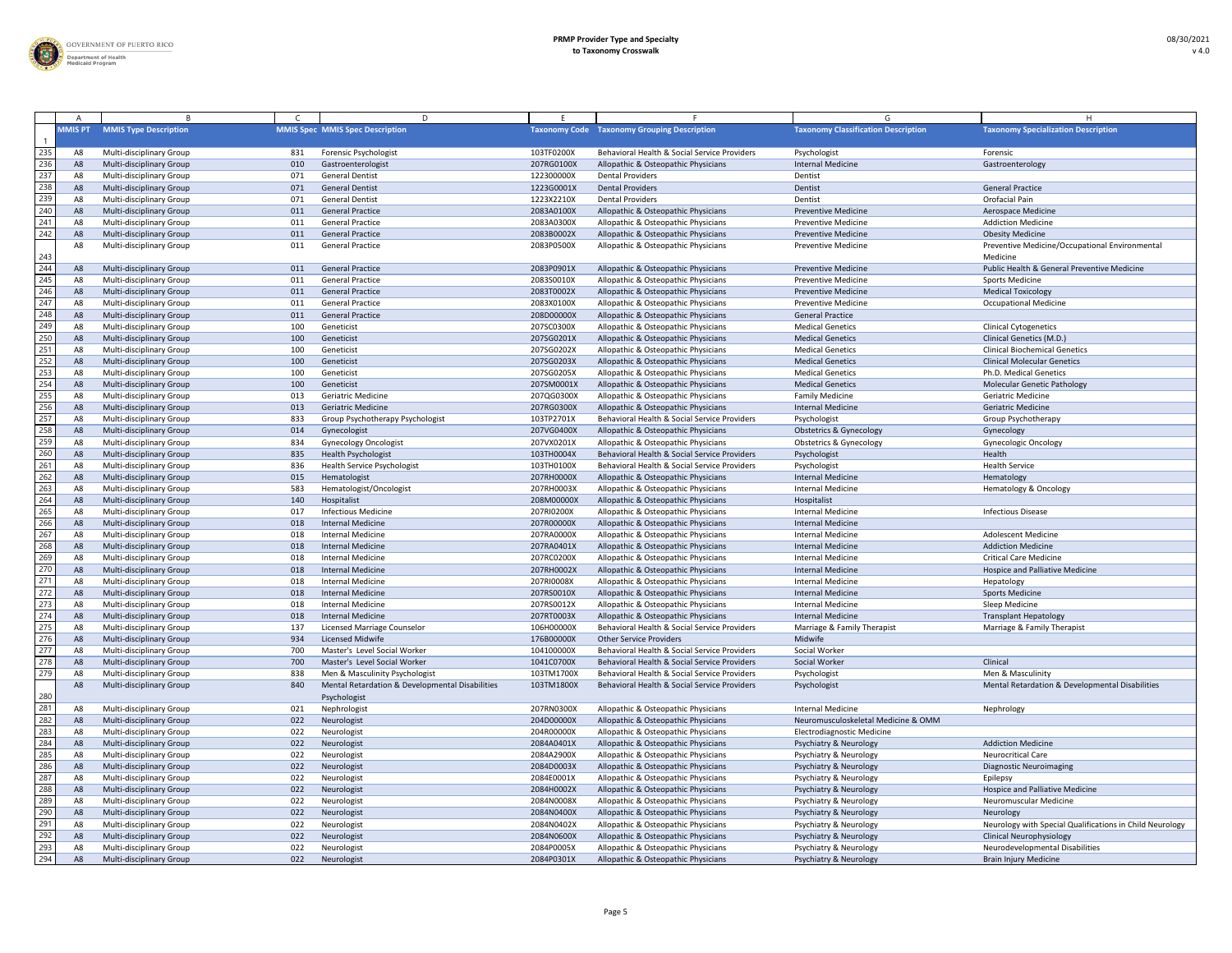

|     |                |                                                      |            | D                                               |            |                                                                                     | G                                                  |                                                          |
|-----|----------------|------------------------------------------------------|------------|-------------------------------------------------|------------|-------------------------------------------------------------------------------------|----------------------------------------------------|----------------------------------------------------------|
|     | <b>MMIS PT</b> | <b>MMIS Type Description</b>                         |            | <b>MMIS Spec MMIS Spec Description</b>          |            | <b>Taxonomy Code Taxonomy Grouping Description</b>                                  | <b>Taxonomy Classification Description</b>         | <b>Taxonomy Specialization Description</b>               |
| 235 | A8             | Multi-disciplinary Group                             | 831        | Forensic Psychologist                           | 103TF0200X | Behavioral Health & Social Service Providers                                        | Psychologist                                       | Forensic                                                 |
| 236 | A8             | <b>Multi-disciplinary Group</b>                      | 010        | Gastroenterologist                              | 207RG0100X | Allopathic & Osteopathic Physicians                                                 | <b>Internal Medicine</b>                           | Gastroenterology                                         |
| 237 |                | Multi-disciplinary Group                             | 071        | <b>General Dentist</b>                          | 122300000X | <b>Dental Providers</b>                                                             | Dentist                                            |                                                          |
| 238 | A8             | <b>Multi-disciplinary Group</b>                      | 071        | <b>General Dentist</b>                          | 1223G0001X | <b>Dental Providers</b>                                                             | Dentist                                            | <b>General Practice</b>                                  |
| 239 | A              | Multi-disciplinary Group                             | 071        | <b>General Dentist</b>                          | 1223X2210X | <b>Dental Providers</b>                                                             | Dentist                                            | Orofacial Pain                                           |
| 240 | A8             | Multi-disciplinary Group                             | 011        | <b>General Practice</b>                         | 2083A0100X | Allopathic & Osteopathic Physicians                                                 | <b>Preventive Medicine</b>                         | Aerospace Medicine                                       |
| 241 | A              | <b>Multi-disciplinary Group</b>                      | 011        | <b>General Practice</b>                         | 2083A0300X | Allopathic & Osteopathic Physicians                                                 | <b>Preventive Medicine</b>                         | <b>Addiction Medicine</b>                                |
| 242 | A              | <b>Multi-disciplinary Group</b>                      | 011        | <b>General Practice</b>                         | 2083B0002X | Allopathic & Osteopathic Physicians                                                 | <b>Preventive Medicine</b>                         | <b>Obesity Medicine</b>                                  |
|     |                | <b>Multi-disciplinary Group</b>                      | 011        | <b>General Practice</b>                         | 2083P0500X | Allopathic & Osteopathic Physicians                                                 | <b>Preventive Medicine</b>                         | Preventive Medicine/Occupational Environmental           |
| 243 |                |                                                      |            |                                                 |            |                                                                                     |                                                    | Medicine                                                 |
| 244 | A8             | Multi-disciplinary Group                             | 011        | <b>General Practice</b>                         | 2083P0901X | Allopathic & Osteopathic Physicians                                                 | <b>Preventive Medicine</b>                         | Public Health & General Preventive Medicine              |
| 245 | A8             | Multi-disciplinary Group                             | 011        | <b>General Practice</b>                         | 2083S0010X | Allopathic & Osteopathic Physicians                                                 | <b>Preventive Medicine</b>                         | <b>Sports Medicine</b>                                   |
| 246 | A <sub>8</sub> | Multi-disciplinary Group                             | 011        | <b>General Practice</b>                         | 2083T0002X | Allopathic & Osteopathic Physicians                                                 | <b>Preventive Medicine</b>                         | <b>Medical Toxicology</b>                                |
| 247 | A8             | Multi-disciplinary Group                             | 011        | <b>General Practice</b>                         | 2083X0100X | Allopathic & Osteopathic Physicians                                                 | <b>Preventive Medicine</b>                         | <b>Occupational Medicine</b>                             |
| 248 | A8             | Multi-disciplinary Group                             | 011        | <b>General Practice</b>                         | 208D00000X | Allopathic & Osteopathic Physicians                                                 | <b>General Practice</b>                            |                                                          |
| 249 | A8             | <b>Multi-disciplinary Group</b>                      | 100        | Geneticist                                      | 207SC0300X | Allopathic & Osteopathic Physicians                                                 | <b>Medical Genetics</b>                            | <b>Clinical Cytogenetics</b>                             |
| 250 | A8             | <b>Multi-disciplinary Group</b>                      | 100        | Geneticist                                      | 207SG0201X | Allopathic & Osteopathic Physicians                                                 | <b>Medical Genetics</b>                            | Clinical Genetics (M.D.)                                 |
| 251 |                | <b>Multi-disciplinary Group</b>                      | 100        | Geneticist                                      | 207SG0202X | Allopathic & Osteopathic Physicians                                                 | <b>Medical Genetics</b>                            | <b>Clinical Biochemical Genetics</b>                     |
| 252 | A8             | Multi-disciplinary Group                             | 100        | Geneticist                                      | 207SG0203X | Allopathic & Osteopathic Physicians                                                 | <b>Medical Genetics</b>                            | <b>Clinical Molecular Genetics</b>                       |
| 253 | A8             | Multi-disciplinary Group                             | 100        | Geneticist                                      | 207SG0205X | Allopathic & Osteopathic Physicians                                                 | <b>Medical Genetics</b>                            | Ph.D. Medical Genetics                                   |
| 254 | A <sub>8</sub> | Multi-disciplinary Group                             | 100        | Geneticist                                      | 207SM0001X | Allopathic & Osteopathic Physicians                                                 | <b>Medical Genetics</b>                            | <b>Molecular Genetic Pathology</b>                       |
| 255 |                |                                                      |            | <b>Geriatric Medicine</b>                       | 207QG0300X |                                                                                     |                                                    | <b>Geriatric Medicine</b>                                |
| 256 | A8             | Multi-disciplinary Group<br>Multi-disciplinary Group | 013<br>013 | <b>Geriatric Medicine</b>                       | 207RG0300X | Allopathic & Osteopathic Physicians<br>Allopathic & Osteopathic Physicians          | <b>Family Medicine</b><br><b>Internal Medicine</b> | <b>Geriatric Medicine</b>                                |
| 257 | $A^s$          |                                                      |            |                                                 | 103TP2701X | Behavioral Health & Social Service Providers                                        |                                                    |                                                          |
| 258 |                | Multi-disciplinary Group                             | 833        | Group Psychotherapy Psychologist                |            |                                                                                     | Psychologist                                       | Group Psychotherapy                                      |
|     | A8             | Multi-disciplinary Group                             | 014        | Gynecologist                                    | 207VG0400X | Allopathic & Osteopathic Physicians                                                 | <b>Obstetrics &amp; Gynecology</b>                 | Gynecology                                               |
| 259 | A8             | Multi-disciplinary Group                             | 834        | <b>Gynecology Oncologist</b>                    | 207VX0201X | Allopathic & Osteopathic Physicians<br>Behavioral Health & Social Service Providers | <b>Obstetrics &amp; Gynecology</b>                 | Gynecologic Oncology                                     |
| 260 | A <sub>8</sub> | Multi-disciplinary Group                             | 835        | <b>Health Psychologist</b>                      | 103TH0004X |                                                                                     | Psychologist                                       | Health                                                   |
| 261 | A8             | <b>Multi-disciplinary Group</b>                      | 836        | <b>Health Service Psychologist</b>              | 103TH0100X | Behavioral Health & Social Service Providers                                        | Psychologist                                       | <b>Health Service</b>                                    |
| 262 | A <sub>8</sub> | Multi-disciplinary Group                             | 015        | Hematologist                                    | 207RH0000X | Allopathic & Osteopathic Physicians                                                 | <b>Internal Medicine</b>                           | Hematology                                               |
| 263 | A8             | <b>Multi-disciplinary Group</b>                      | 583        | Hematologist/Oncologist                         | 207RH0003X | Allopathic & Osteopathic Physicians                                                 | <b>Internal Medicine</b>                           | Hematology & Oncology                                    |
| 264 | A8             | <b>Multi-disciplinary Group</b>                      | 140        | Hospitalist                                     | 208M00000X | Allopathic & Osteopathic Physicians                                                 | Hospitalist                                        |                                                          |
| 265 | A8             | <b>Multi-disciplinary Group</b>                      | 017        | <b>Infectious Medicine</b>                      | 207RI0200X | Allopathic & Osteopathic Physicians                                                 | <b>Internal Medicine</b>                           | <b>Infectious Disease</b>                                |
| 266 | A8             | Multi-disciplinary Group                             | 018        | <b>Internal Medicine</b>                        | 207R00000X | Allopathic & Osteopathic Physicians                                                 | Internal Medicine                                  |                                                          |
| 267 | A8             | Multi-disciplinary Group                             | 018        | <b>Internal Medicine</b>                        | 207RA0000X | Allopathic & Osteopathic Physicians                                                 | <b>Internal Medicine</b>                           | <b>Adolescent Medicine</b>                               |
| 268 | A <sub>8</sub> | Multi-disciplinary Group                             | 018        | <b>Internal Medicine</b>                        | 207RA0401X | Allopathic & Osteopathic Physicians                                                 | <b>Internal Medicine</b>                           | <b>Addiction Medicine</b>                                |
| 269 | A8             | Multi-disciplinary Group                             | 018        | <b>Internal Medicine</b>                        | 207RC0200X | Allopathic & Osteopathic Physicians                                                 | <b>Internal Medicine</b>                           | <b>Critical Care Medicine</b>                            |
| 270 | A8             | Multi-disciplinary Group                             | 018        | <b>Internal Medicine</b>                        | 207RH0002X | Allopathic & Osteopathic Physicians                                                 | <b>Internal Medicine</b>                           | <b>Hospice and Palliative Medicine</b>                   |
| 271 | A              | Multi-disciplinary Group                             | 018        | <b>Internal Medicine</b>                        | 207RI0008X | Allopathic & Osteopathic Physicians                                                 | <b>Internal Medicine</b>                           | Hepatology                                               |
| 272 | A8             | <b>Multi-disciplinary Group</b>                      | 018        | <b>Internal Medicine</b>                        | 207RS0010X | Allopathic & Osteopathic Physicians                                                 | <b>Internal Medicine</b>                           | <b>Sports Medicine</b>                                   |
| 273 |                | Multi-disciplinary Group                             | 018        | <b>Internal Medicine</b>                        | 207RS0012X | Allopathic & Osteopathic Physicians                                                 | <b>Internal Medicine</b>                           | Sleep Medicine                                           |
| 274 | A8             | Multi-disciplinary Group                             | 018        | <b>Internal Medicine</b>                        | 207RT0003X | Allopathic & Osteopathic Physicians                                                 | <b>Internal Medicine</b>                           | <b>Transplant Hepatology</b>                             |
| 275 | A8             | Multi-disciplinary Group                             | 137        | Licensed Marriage Counselor                     | 106H00000X | Behavioral Health & Social Service Providers                                        | Marriage & Family Therapist                        | Marriage & Family Therapist                              |
| 276 | A8             | Multi-disciplinary Group                             | 934        | <b>Licensed Midwife</b>                         | 176B00000X | <b>Other Service Providers</b>                                                      | Midwife                                            |                                                          |
| 277 | A8             | Multi-disciplinary Group                             | 700        | Master's Level Social Worker                    | 104100000X | Behavioral Health & Social Service Providers                                        | Social Worker                                      |                                                          |
| 278 | A8             | <b>Multi-disciplinary Group</b>                      | 700        | Master's Level Social Worker                    | 1041C0700X | Behavioral Health & Social Service Providers                                        | Social Worker                                      | Clinical                                                 |
| 279 |                | <b>Multi-disciplinary Group</b>                      | 838        | Men & Masculinity Psychologist                  | 103TM1700X | Behavioral Health & Social Service Providers                                        | Psychologist                                       | Men & Masculinity                                        |
|     |                | Multi-disciplinary Group                             | 840        | Mental Retardation & Developmental Disabilities | 103TM1800X | Behavioral Health & Social Service Providers                                        | Psychologist                                       | Mental Retardation & Developmental Disabilities          |
| 280 |                |                                                      |            | Psychologist                                    |            |                                                                                     |                                                    |                                                          |
| 281 |                | Multi-disciplinary Group                             | 021        | Nephrologist                                    | 207RN0300X | Allopathic & Osteopathic Physicians                                                 | <b>Internal Medicine</b>                           | Nephrology                                               |
| 282 | A8             | Multi-disciplinary Group                             | 022        | Neurologist                                     | 204D00000X | Allopathic & Osteopathic Physicians                                                 | Neuromusculoskeletal Medicine & OMM                |                                                          |
| 283 | A8             | Multi-disciplinary Group                             | 022        | Neurologist                                     | 204R00000X | Allopathic & Osteopathic Physicians                                                 | <b>Electrodiagnostic Medicine</b>                  |                                                          |
| 284 | A8             | <b>Multi-disciplinary Group</b>                      | 022        | Neurologist                                     | 2084A0401X | Allopathic & Osteopathic Physicians                                                 | <b>Psychiatry &amp; Neurology</b>                  | <b>Addiction Medicine</b>                                |
| 285 | A8             | <b>Multi-disciplinary Group</b>                      | 022        | Neurologist                                     | 2084A2900X | Allopathic & Osteopathic Physicians                                                 | Psychiatry & Neurology                             | <b>Neurocritical Care</b>                                |
| 286 | A              | <b>Multi-disciplinary Group</b>                      | 022        | Neurologist                                     | 2084D0003X | Allopathic & Osteopathic Physicians                                                 | Psychiatry & Neurology                             | <b>Diagnostic Neuroimaging</b>                           |
| 287 | A8             | <b>Multi-disciplinary Group</b>                      | 022        | Neurologist                                     | 2084E0001X | Allopathic & Osteopathic Physicians                                                 | <b>Psychiatry &amp; Neurology</b>                  | Epilepsy                                                 |
| 288 | A8             | <b>Multi-disciplinary Group</b>                      | 022        | Neurologist                                     | 2084H0002X | Allopathic & Osteopathic Physicians                                                 | <b>Psychiatry &amp; Neurology</b>                  | <b>Hospice and Palliative Medicine</b>                   |
| 289 | A8             | Multi-disciplinary Group                             | 022        | Neurologist                                     | 2084N0008X | Allopathic & Osteopathic Physicians                                                 | <b>Psychiatry &amp; Neurology</b>                  | <b>Neuromuscular Medicine</b>                            |
| 290 | A <sub>8</sub> | <b>Multi-disciplinary Group</b>                      | 022        | Neurologist                                     | 2084N0400X | Allopathic & Osteopathic Physicians                                                 | <b>Psychiatry &amp; Neurology</b>                  | Neurology                                                |
| 291 |                | Multi-disciplinary Group                             | 022        | Neurologist                                     | 2084N0402X | Allopathic & Osteopathic Physicians                                                 | Psychiatry & Neurology                             | Neurology with Special Qualifications in Child Neurology |
| 292 | A8             | <b>Multi-disciplinary Group</b>                      | 022        | Neurologist                                     | 2084N0600X | Allopathic & Osteopathic Physicians                                                 | <b>Psychiatry &amp; Neurology</b>                  | <b>Clinical Neurophysiology</b>                          |
| 293 |                | Multi-disciplinary Group                             | 022        | Neurologist                                     | 2084P0005X | Allopathic & Osteopathic Physicians                                                 | <b>Psychiatry &amp; Neurology</b>                  | Neurodevelopmental Disabilities                          |
| 294 | A8             | <b>Multi-disciplinary Group</b>                      | 022        | Neurologist                                     | 2084P0301X | Allopathic & Osteopathic Physicians                                                 | Psychiatry & Neurology                             | <b>Brain Injury Medicine</b>                             |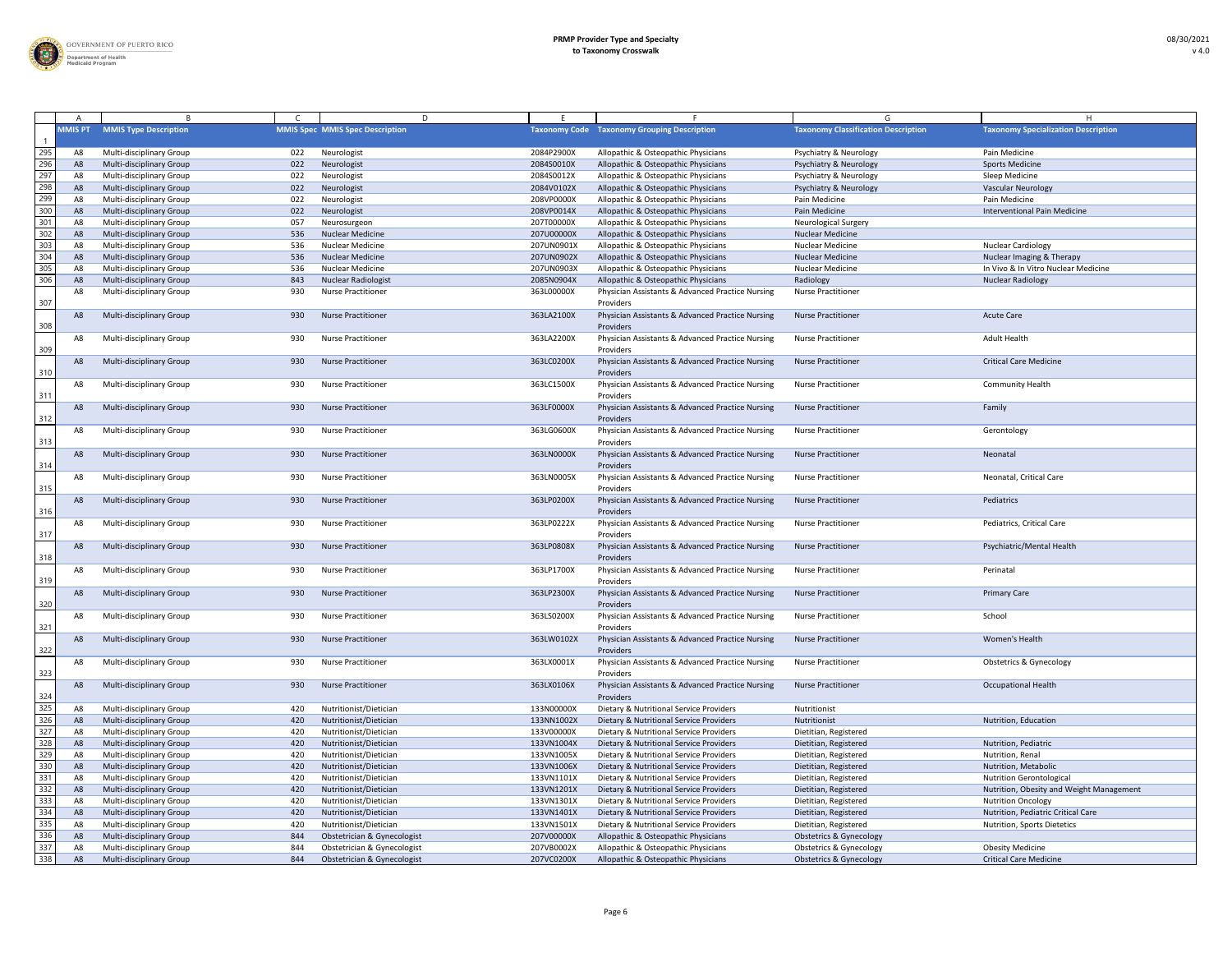

|                                                                                          |                |                                 |     | D                                      |            |                                                               |                                            |                                            |
|------------------------------------------------------------------------------------------|----------------|---------------------------------|-----|----------------------------------------|------------|---------------------------------------------------------------|--------------------------------------------|--------------------------------------------|
|                                                                                          | <b>MMIS PT</b> | <b>MMIS Type Description</b>    |     | <b>MMIS Spec MMIS Spec Description</b> |            | <b>Taxonomy Code Taxonomy Grouping Description</b>            | <b>Taxonomy Classification Description</b> | <b>Taxonomy Specialization Description</b> |
| 295                                                                                      | $A\epsilon$    | Multi-disciplinary Group        | 022 | Neurologist                            | 2084P2900X | Allopathic & Osteopathic Physicians                           | <b>Psychiatry &amp; Neurology</b>          | Pain Medicine                              |
| 296                                                                                      | A8             | <b>Multi-disciplinary Group</b> | 022 | Neurologist                            | 2084S0010X | Allopathic & Osteopathic Physicians                           | <b>Psychiatry &amp; Neurology</b>          | <b>Sports Medicine</b>                     |
| 297                                                                                      |                | <b>Multi-disciplinary Group</b> | 022 | Neurologist                            | 2084S0012X | Allopathic & Osteopathic Physicians                           | <b>Psychiatry &amp; Neurology</b>          | Sleep Medicine                             |
| 298                                                                                      |                | <b>Multi-disciplinary Group</b> | 022 | Neurologist                            | 2084V0102X | Allopathic & Osteopathic Physicians                           | Psychiatry & Neurology                     | <b>Vascular Neurology</b>                  |
| 299                                                                                      |                | Multi-disciplinary Group        | 022 | Neurologist                            | 208VP0000X | Allopathic & Osteopathic Physicians                           | Pain Medicine                              | Pain Medicine                              |
| 300                                                                                      | A8             | <b>Multi-disciplinary Group</b> | 022 | Neurologist                            | 208VP0014X | Allopathic & Osteopathic Physicians                           | Pain Medicine                              | <b>Interventional Pain Medicine</b>        |
| 301                                                                                      |                | Multi-disciplinary Group        | 057 | Neurosurgeon                           | 207T00000X | Allopathic & Osteopathic Physicians                           | <b>Neurological Surgery</b>                |                                            |
| 302                                                                                      | A8             | <b>Multi-disciplinary Group</b> | 536 | <b>Nuclear Medicine</b>                | 207U00000X | Allopathic & Osteopathic Physicians                           | <b>Nuclear Medicine</b>                    |                                            |
| 303                                                                                      |                | Multi-disciplinary Group        | 536 | <b>Nuclear Medicine</b>                | 207UN0901X | Allopathic & Osteopathic Physicians                           | <b>Nuclear Medicine</b>                    | <b>Nuclear Cardiology</b>                  |
| 304                                                                                      |                | <b>Multi-disciplinary Group</b> | 536 | <b>Nuclear Medicine</b>                | 207UN0902X | Allopathic & Osteopathic Physicians                           | <b>Nuclear Medicine</b>                    | Nuclear Imaging & Therapy                  |
| 305                                                                                      |                | Multi-disciplinary Group        | 536 | <b>Nuclear Medicine</b>                | 207UN0903X | Allopathic & Osteopathic Physicians                           | <b>Nuclear Medicine</b>                    | In Vivo & In Vitro Nuclear Medicine        |
| 306                                                                                      | A8             | Multi-disciplinary Group        | 843 | <b>Nuclear Radiologist</b>             | 2085N0904X | Allopathic & Osteopathic Physicians                           | Radiology                                  | <b>Nuclear Radiology</b>                   |
|                                                                                          | A8             | Multi-disciplinary Group        | 930 | <b>Nurse Practitioner</b>              | 363L00000X | Physician Assistants & Advanced Practice Nursing              | <b>Nurse Practitioner</b>                  |                                            |
| 307                                                                                      |                |                                 |     |                                        |            | Providers                                                     |                                            |                                            |
| 308                                                                                      | A8             | Multi-disciplinary Group        | 930 | <b>Nurse Practitioner</b>              | 363LA2100X | Physician Assistants & Advanced Practice Nursing<br>Providers | <b>Nurse Practitioner</b>                  | <b>Acute Care</b>                          |
| 309                                                                                      | A8             | Multi-disciplinary Group        | 930 | <b>Nurse Practitioner</b>              | 363LA2200X | Physician Assistants & Advanced Practice Nursing<br>Providers | <b>Nurse Practitioner</b>                  | <b>Adult Health</b>                        |
| 310                                                                                      | A8             | Multi-disciplinary Group        | 930 | <b>Nurse Practitioner</b>              | 363LC0200X | Physician Assistants & Advanced Practice Nursing<br>Providers | <b>Nurse Practitioner</b>                  | <b>Critical Care Medicine</b>              |
| 311                                                                                      | A8             | Multi-disciplinary Group        | 930 | <b>Nurse Practitioner</b>              | 363LC1500X | Physician Assistants & Advanced Practice Nursing<br>Providers | <b>Nurse Practitioner</b>                  | <b>Community Health</b>                    |
| 312                                                                                      | A8             | <b>Multi-disciplinary Group</b> | 930 | <b>Nurse Practitioner</b>              | 363LF0000X | Physician Assistants & Advanced Practice Nursing<br>Providers | <b>Nurse Practitioner</b>                  | Family                                     |
| $\frac{313}{2}$                                                                          | A8             | Multi-disciplinary Group        | 930 | <b>Nurse Practitioner</b>              | 363LG0600X | Physician Assistants & Advanced Practice Nursing<br>Providers | <b>Nurse Practitioner</b>                  | Gerontology                                |
| 314                                                                                      | A8             | <b>Multi-disciplinary Group</b> | 930 | <b>Nurse Practitioner</b>              | 363LN0000X | Physician Assistants & Advanced Practice Nursing<br>Providers | <b>Nurse Practitioner</b>                  | Neonatal                                   |
| 315                                                                                      | A8             | <b>Multi-disciplinary Group</b> | 930 | <b>Nurse Practitioner</b>              | 363LN0005X | Physician Assistants & Advanced Practice Nursing<br>Providers | <b>Nurse Practitioner</b>                  | Neonatal, Critical Care                    |
| 316                                                                                      | A8             | Multi-disciplinary Group        | 930 | <b>Nurse Practitioner</b>              | 363LP0200X | Physician Assistants & Advanced Practice Nursing<br>Providers | <b>Nurse Practitioner</b>                  | Pediatrics                                 |
| $\frac{317}{2}$                                                                          | A8             | <b>Multi-disciplinary Group</b> | 930 | <b>Nurse Practitioner</b>              | 363LP0222X | Physician Assistants & Advanced Practice Nursing<br>Providers | <b>Nurse Practitioner</b>                  | Pediatrics, Critical Care                  |
| 318                                                                                      | A <sub>8</sub> | Multi-disciplinary Group        | 930 | <b>Nurse Practitioner</b>              | 363LP0808X | Physician Assistants & Advanced Practice Nursing<br>Providers | <b>Nurse Practitioner</b>                  | Psychiatric/Mental Health                  |
| 319                                                                                      | A8             | <b>Multi-disciplinary Group</b> | 930 | <b>Nurse Practitioner</b>              | 363LP1700X | Physician Assistants & Advanced Practice Nursing<br>Providers | <b>Nurse Practitioner</b>                  | Perinatal                                  |
| 320                                                                                      | A8             | <b>Multi-disciplinary Group</b> | 930 | <b>Nurse Practitioner</b>              | 363LP2300X | Physician Assistants & Advanced Practice Nursing<br>Providers | <b>Nurse Practitioner</b>                  | <b>Primary Care</b>                        |
| $\frac{321}{2}$                                                                          | A8             | <b>Multi-disciplinary Group</b> | 930 | <b>Nurse Practitioner</b>              | 363LS0200X | Physician Assistants & Advanced Practice Nursing<br>Providers | <b>Nurse Practitioner</b>                  | School                                     |
| 322                                                                                      | A8             | <b>Multi-disciplinary Group</b> | 930 | <b>Nurse Practitioner</b>              | 363LW0102X | Physician Assistants & Advanced Practice Nursing<br>Providers | <b>Nurse Practitioner</b>                  | Women's Health                             |
| $\frac{323}{2}$                                                                          | A8             | Multi-disciplinary Group        | 930 | <b>Nurse Practitioner</b>              | 363LX0001X | Physician Assistants & Advanced Practice Nursing<br>Providers | <b>Nurse Practitioner</b>                  | <b>Obstetrics &amp; Gynecology</b>         |
| $\frac{324}{325}$                                                                        | A <sub>8</sub> | <b>Multi-disciplinary Group</b> | 930 | <b>Nurse Practitioner</b>              | 363LX0106X | Physician Assistants & Advanced Practice Nursing<br>Providers | <b>Nurse Practitioner</b>                  | <b>Occupational Health</b>                 |
|                                                                                          | A8             | <b>Multi-disciplinary Group</b> | 420 | Nutritionist/Dietician                 | 133N00000X | Dietary & Nutritional Service Providers                       | Nutritionist                               |                                            |
| 326                                                                                      | A8             | <b>Multi-disciplinary Group</b> | 420 | Nutritionist/Dietician                 | 133NN1002X | Dietary & Nutritional Service Providers                       | Nutritionist                               | Nutrition, Education                       |
| 327                                                                                      | A8             | Multi-disciplinary Group        | 420 | Nutritionist/Dietician                 | 133V00000X | Dietary & Nutritional Service Providers                       | Dietitian, Registered                      |                                            |
| 328                                                                                      | - A8           | <b>Multi-disciplinary Group</b> | 420 | Nutritionist/Dietician                 | 133VN1004X | Dietary & Nutritional Service Providers                       | Dietitian, Registered                      | Nutrition, Pediatric                       |
| 329                                                                                      |                | Multi-disciplinary Group        | 420 | Nutritionist/Dietician                 | 133VN1005X | Dietary & Nutritional Service Providers                       | Dietitian, Registered                      | Nutrition, Renal                           |
| 330                                                                                      |                | <b>Multi-disciplinary Group</b> | 420 | Nutritionist/Dietician                 | 133VN1006X | Dietary & Nutritional Service Providers                       | Dietitian, Registered                      | Nutrition, Metabolic                       |
| $\overline{331}$                                                                         |                | <b>Multi-disciplinary Group</b> | 420 | Nutritionist/Dietician                 | 133VN1101X | Dietary & Nutritional Service Providers                       | Dietitian, Registered                      | <b>Nutrition Gerontological</b>            |
| $\begin{array}{r} \n \overline{332} \\  \overline{333} \\  \overline{334}\n \end{array}$ | A8             | Multi-disciplinary Group        | 420 | Nutritionist/Dietician                 | 133VN1201X | Dietary & Nutritional Service Providers                       | Dietitian, Registered                      | Nutrition, Obesity and Weight Management   |
|                                                                                          | A8             | <b>Multi-disciplinary Group</b> | 420 | Nutritionist/Dietician                 | 133VN1301X | Dietary & Nutritional Service Providers                       | Dietitian, Registered                      | <b>Nutrition Oncology</b>                  |
|                                                                                          |                | <b>Multi-disciplinary Group</b> | 420 | Nutritionist/Dietician                 | 133VN1401X | Dietary & Nutritional Service Providers                       | Dietitian, Registered                      | Nutrition, Pediatric Critical Care         |
| 335                                                                                      |                | <b>Multi-disciplinary Group</b> | 420 | Nutritionist/Dietician                 | 133VN1501X | Dietary & Nutritional Service Providers                       | Dietitian, Registered                      | Nutrition, Sports Dietetics                |
| $\begin{array}{r} \hline 336 \\ \hline 337 \\ \hline 338 \end{array}$                    |                | <b>Multi-disciplinary Group</b> | 844 | Obstetrician & Gynecologist            | 207V00000X | Allopathic & Osteopathic Physicians                           | <b>Obstetrics &amp; Gynecology</b>         |                                            |
|                                                                                          | A8             | Multi-disciplinary Group        | 844 | Obstetrician & Gynecologist            | 207VB0002X | Allopathic & Osteopathic Physicians                           | <b>Obstetrics &amp; Gynecology</b>         | <b>Obesity Medicine</b>                    |
|                                                                                          | A8             | Multi-disciplinary Group        | 844 | Obstetrician & Gynecologist            | 207VC0200X | Allopathic & Osteopathic Physicians                           | <b>Obstetrics &amp; Gynecology</b>         | <b>Critical Care Medicine</b>              |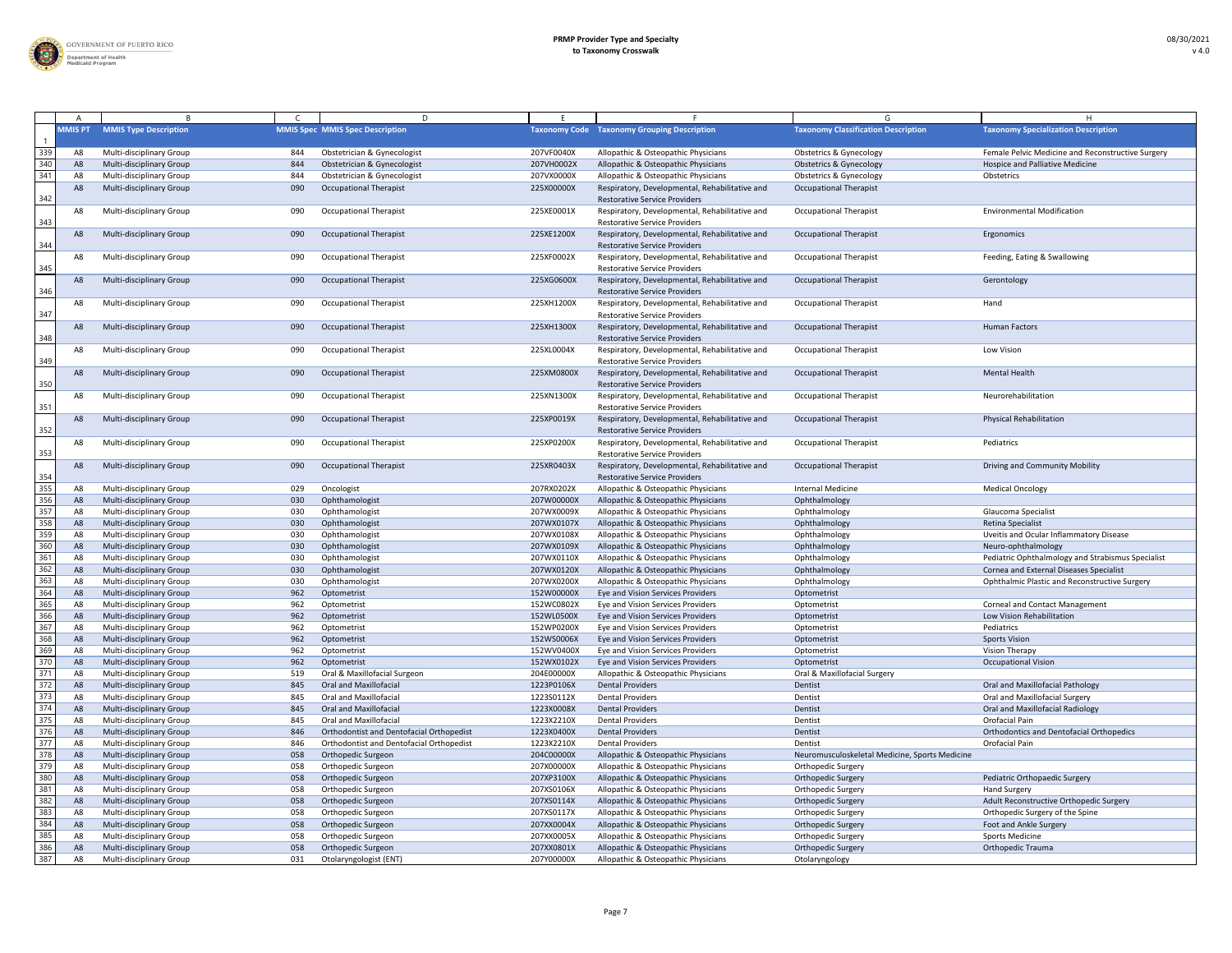

|                                                                           |                |                                                             |            | D                                               |                          |                                                                                        |                                                        |                                                   |
|---------------------------------------------------------------------------|----------------|-------------------------------------------------------------|------------|-------------------------------------------------|--------------------------|----------------------------------------------------------------------------------------|--------------------------------------------------------|---------------------------------------------------|
|                                                                           | <b>MMIS PT</b> | <b>MMIS Type Description</b>                                |            | <b>MMIS Spec MMIS Spec Description</b>          |                          | <b>Taxonomy Code Taxonomy Grouping Description</b>                                     | <b>Taxonomy Classification Description</b>             | <b>Taxonomy Specialization Description</b>        |
|                                                                           | A٤             | Multi-disciplinary Group                                    | 844        | Obstetrician & Gynecologist                     | 207VF0040X               | Allopathic & Osteopathic Physicians                                                    | <b>Obstetrics &amp; Gynecology</b>                     | Female Pelvic Medicine and Reconstructive Surgery |
| 339<br>340                                                                | A8             | <b>Multi-disciplinary Group</b>                             | 844        | Obstetrician & Gynecologist                     | 207VH0002X               | Allopathic & Osteopathic Physicians                                                    | <b>Obstetrics &amp; Gynecology</b>                     | <b>Hospice and Palliative Medicine</b>            |
| 341                                                                       | A8             | <b>Multi-disciplinary Group</b>                             | 844        | Obstetrician & Gynecologist                     | 207VX0000X               | Allopathic & Osteopathic Physicians                                                    | <b>Obstetrics &amp; Gynecology</b>                     | Obstetrics                                        |
| 342                                                                       | A8             | Multi-disciplinary Group                                    | 090        | <b>Occupational Therapist</b>                   | 225X00000X               | Respiratory, Developmental, Rehabilitative and<br><b>Restorative Service Providers</b> | <b>Occupational Therapist</b>                          |                                                   |
| $\frac{343}{2}$                                                           | A8             | <b>Multi-disciplinary Group</b>                             | 090        | <b>Occupational Therapist</b>                   | 225XE0001X               | Respiratory, Developmental, Rehabilitative and<br><b>Restorative Service Providers</b> | <b>Occupational Therapist</b>                          | <b>Environmental Modification</b>                 |
| 344                                                                       | A <sub>8</sub> | <b>Multi-disciplinary Group</b>                             | 090        | <b>Occupational Therapist</b>                   | 225XE1200X               | Respiratory, Developmental, Rehabilitative and<br><b>Restorative Service Providers</b> | <b>Occupational Therapist</b>                          | Ergonomics                                        |
| $\frac{345}{1}$                                                           | A8             | <b>Multi-disciplinary Group</b>                             | 090        | <b>Occupational Therapist</b>                   | 225XF0002X               | Respiratory, Developmental, Rehabilitative and<br><b>Restorative Service Providers</b> | <b>Occupational Therapist</b>                          | Feeding, Eating & Swallowing                      |
| $\frac{346}{5}$                                                           | A <sub>8</sub> | <b>Multi-disciplinary Group</b>                             | 090        | <b>Occupational Therapist</b>                   | 225XG0600X               | Respiratory, Developmental, Rehabilitative and<br><b>Restorative Service Providers</b> | <b>Occupational Therapist</b>                          | Gerontology                                       |
| $\frac{347}{2}$                                                           | A8             | <b>Multi-disciplinary Group</b>                             | 090        | <b>Occupational Therapist</b>                   | 225XH1200X               | Respiratory, Developmental, Rehabilitative and<br><b>Restorative Service Providers</b> | <b>Occupational Therapist</b>                          | Hand                                              |
| 348                                                                       | A <sub>8</sub> | <b>Multi-disciplinary Group</b>                             | 090        | <b>Occupational Therapist</b>                   | 225XH1300X               | Respiratory, Developmental, Rehabilitative and<br><b>Restorative Service Providers</b> | <b>Occupational Therapist</b>                          | <b>Human Factors</b>                              |
| 349                                                                       | A8             | <b>Multi-disciplinary Group</b>                             | 090        | <b>Occupational Therapist</b>                   | 225XL0004X               | Respiratory, Developmental, Rehabilitative and<br><b>Restorative Service Providers</b> | <b>Occupational Therapist</b>                          | Low Vision                                        |
| $\frac{350}{2}$                                                           | A8             | <b>Multi-disciplinary Group</b>                             | 090        | <b>Occupational Therapist</b>                   | 225XM0800X               | Respiratory, Developmental, Rehabilitative and<br><b>Restorative Service Providers</b> | <b>Occupational Therapist</b>                          | <b>Mental Health</b>                              |
| $\frac{351}{2}$                                                           | A8             | Multi-disciplinary Group                                    | 090        | <b>Occupational Therapist</b>                   | 225XN1300X               | Respiratory, Developmental, Rehabilitative and<br><b>Restorative Service Providers</b> | <b>Occupational Therapist</b>                          | Neurorehabilitation                               |
| $\frac{352}{2}$                                                           | A8             | <b>Multi-disciplinary Group</b>                             | 090        | <b>Occupational Therapist</b>                   | 225XP0019X               | Respiratory, Developmental, Rehabilitative and<br><b>Restorative Service Providers</b> | <b>Occupational Therapist</b>                          | <b>Physical Rehabilitation</b>                    |
| $\frac{353}{2}$                                                           | A8             | Multi-disciplinary Group                                    | 090        | <b>Occupational Therapist</b>                   | 225XP0200X               | Respiratory, Developmental, Rehabilitative and<br><b>Restorative Service Providers</b> | <b>Occupational Therapist</b>                          | Pediatrics                                        |
| $\frac{354}{355}$                                                         | A <sub>8</sub> | <b>Multi-disciplinary Group</b>                             | 090        | <b>Occupational Therapist</b>                   | 225XR0403X               | Respiratory, Developmental, Rehabilitative and<br><b>Restorative Service Providers</b> | <b>Occupational Therapist</b>                          | Driving and Community Mobility                    |
|                                                                           | A              | <b>Multi-disciplinary Group</b>                             | 029        | Oncologist                                      | 207RX0202X               | Allopathic & Osteopathic Physicians                                                    | <b>Internal Medicine</b>                               | <b>Medical Oncology</b>                           |
| 356                                                                       | - A8           | <b>Multi-disciplinary Group</b>                             | 030        | Ophthamologist                                  | 207W00000X               | Allopathic & Osteopathic Physicians                                                    | Ophthalmology                                          |                                                   |
| $\overline{357}$                                                          | A8             | Multi-disciplinary Group                                    | 030        | Ophthamologist                                  | 207WX0009X               | Allopathic & Osteopathic Physicians                                                    | Ophthalmology                                          | Glaucoma Specialist                               |
| 358                                                                       | A8             | <b>Multi-disciplinary Group</b>                             | 030        | Ophthamologist                                  | 207WX0107X               | Allopathic & Osteopathic Physicians                                                    | Ophthalmology                                          | Retina Specialist                                 |
| 359                                                                       |                | <b>Multi-disciplinary Group</b>                             | 030        | Ophthamologist                                  | 207WX0108X               | Allopathic & Osteopathic Physicians                                                    | Ophthalmology                                          | Uveitis and Ocular Inflammatory Disease           |
| 360                                                                       | A8             | <b>Multi-disciplinary Group</b>                             | 030        | Ophthamologist                                  | 207WX0109X               | Allopathic & Osteopathic Physicians                                                    | Ophthalmology                                          | Neuro-ophthalmology                               |
| $\frac{361}{362}$ $\frac{363}{364}$                                       | A٤             | Multi-disciplinary Group                                    | 030        | Ophthamologist                                  | 207WX0110X               | Allopathic & Osteopathic Physicians                                                    | Ophthalmology                                          | Pediatric Ophthalmology and Strabismus Specialist |
|                                                                           | A8             | <b>Multi-disciplinary Group</b>                             | 030        | Ophthamologist                                  | 207WX0120X               | Allopathic & Osteopathic Physicians                                                    | Ophthalmology                                          | Cornea and External Diseases Specialist           |
|                                                                           | A              | Multi-disciplinary Group                                    | 030        | Ophthamologist                                  | 207WX0200X               | Allopathic & Osteopathic Physicians                                                    | Ophthalmology                                          | Ophthalmic Plastic and Reconstructive Surgery     |
|                                                                           | A8             | <b>Multi-disciplinary Group</b>                             | 962        | Optometrist                                     | 152W00000X               | Eye and Vision Services Providers                                                      | Optometrist                                            |                                                   |
| 365                                                                       |                | Multi-disciplinary Group                                    | 962        | Optometrist                                     | 152WC0802X               | Eye and Vision Services Providers                                                      | Optometrist                                            | <b>Corneal and Contact Management</b>             |
| 366                                                                       |                | <b>Multi-disciplinary Group</b>                             | 962        | Optometrist                                     | 152WL0500X               | Eye and Vision Services Providers                                                      | Optometrist                                            | Low Vision Rehabilitation                         |
| 367                                                                       | A8             | Multi-disciplinary Group                                    | 962        | Optometrist                                     | 152WP0200X               | Eye and Vision Services Providers                                                      | Optometrist                                            | Pediatrics                                        |
| $\begin{array}{r} \hline 368 \\ 369 \end{array}$                          | A8             | <b>Multi-disciplinary Group</b>                             | 962        | Optometrist                                     | 152WS0006X               | Eye and Vision Services Providers                                                      | Optometrist                                            | <b>Sports Vision</b>                              |
|                                                                           | A٤             | Multi-disciplinary Group                                    | 962        | Optometrist                                     | 152WV0400X               | Eye and Vision Services Providers                                                      | Optometrist                                            | <b>Vision Therapy</b>                             |
| 370<br>371                                                                |                | <b>Multi-disciplinary Group</b>                             | 962        | Optometrist                                     | 152WX0102X               | Eye and Vision Services Providers                                                      | Optometrist                                            | <b>Occupational Vision</b>                        |
|                                                                           | A              | <b>Multi-disciplinary Group</b>                             | 519        | Oral & Maxillofacial Surgeon                    | 204E00000X               | Allopathic & Osteopathic Physicians                                                    | Oral & Maxillofacial Surgery                           |                                                   |
| 372<br>373                                                                | A8             | <b>Multi-disciplinary Group</b>                             | 845        | <b>Oral and Maxillofacial</b>                   | 1223P0106X               | <b>Dental Providers</b>                                                                | Dentist                                                | Oral and Maxillofacial Pathology                  |
|                                                                           |                | <b>Multi-disciplinary Group</b>                             | 845        | <b>Oral and Maxillofacial</b>                   | 1223S0112X               | <b>Dental Providers</b>                                                                | Dentist                                                | Oral and Maxillofacial Surgery                    |
| $\frac{374}{7}$<br>375                                                    | A8             | <b>Multi-disciplinary Group</b>                             | 845        | <b>Oral and Maxillofacial</b>                   | 1223X0008X               | <b>Dental Providers</b>                                                                | Dentist                                                | <b>Oral and Maxillofacial Radiology</b>           |
| 376                                                                       | A              | Multi-disciplinary Group                                    | 845        | <b>Oral and Maxillofacial</b>                   | 1223X2210X               | <b>Dental Providers</b>                                                                | Dentist                                                | Orofacial Pain                                    |
| $\frac{1}{377}$                                                           | A8             | <b>Multi-disciplinary Group</b>                             | 846        | Orthodontist and Dentofacial Orthopedist        | 1223X0400X               | <b>Dental Providers</b>                                                                | Dentist                                                | <b>Orthodontics and Dentofacial Orthopedics</b>   |
| 378                                                                       | A٤             | Multi-disciplinary Group                                    | 846        | Orthodontist and Dentofacial Orthopedist        | 1223X2210X               | <b>Dental Providers</b>                                                                | Dentist                                                | Orofacial Pain                                    |
| 379                                                                       | - A8           | <b>Multi-disciplinary Group</b>                             | 058        | Orthopedic Surgeon                              | 204C00000X               | Allopathic & Osteopathic Physicians                                                    | Neuromusculoskeletal Medicine, Sports Medicine         |                                                   |
| 380                                                                       |                | <b>Multi-disciplinary Group</b>                             | 058        | Orthopedic Surgeon                              | 207X00000X               | Allopathic & Osteopathic Physicians                                                    | <b>Orthopedic Surgery</b>                              |                                                   |
|                                                                           | A8             | <b>Multi-disciplinary Group</b>                             | 058        | Orthopedic Surgeon                              | 207XP3100X               | Allopathic & Osteopathic Physicians                                                    | <b>Orthopedic Surgery</b>                              | Pediatric Orthopaedic Surgery                     |
| $\begin{array}{r} \n 381 \\  \hline\n 382 \\  \hline\n 383\n \end{array}$ | A8             | Multi-disciplinary Group                                    | 058        | Orthopedic Surgeon                              | 207XS0106X               | Allopathic & Osteopathic Physicians                                                    | <b>Orthopedic Surgery</b>                              | <b>Hand Surgery</b>                               |
|                                                                           | A8             | <b>Multi-disciplinary Group</b>                             | 058        | Orthopedic Surgeon                              | 207XS0114X               | Allopathic & Osteopathic Physicians                                                    | <b>Orthopedic Surgery</b>                              | Adult Reconstructive Orthopedic Surgery           |
| 384                                                                       | A8             | <b>Multi-disciplinary Group</b>                             | 058<br>058 | Orthopedic Surgeon                              | 207XS0117X<br>207XX0004X | Allopathic & Osteopathic Physicians                                                    | <b>Orthopedic Surgery</b>                              | Orthopedic Surgery of the Spine                   |
| $\frac{1}{385}$                                                           | A8             | <b>Multi-disciplinary Group</b><br>Multi-disciplinary Group | 058        | <b>Orthopedic Surgeon</b><br>Orthopedic Surgeon | 207XX0005X               | Allopathic & Osteopathic Physicians<br>Allopathic & Osteopathic Physicians             | <b>Orthopedic Surgery</b>                              | Foot and Ankle Surgery<br><b>Sports Medicine</b>  |
| 386                                                                       | A8             | Multi-disciplinary Group                                    | 058        | Orthopedic Surgeon                              | 207XX0801X               | Allopathic & Osteopathic Physicians                                                    | <b>Orthopedic Surgery</b><br><b>Orthopedic Surgery</b> | <b>Orthopedic Trauma</b>                          |
| 387                                                                       | A8             | Multi-disciplinary Group                                    | 031        | Otolaryngologist (ENT)                          | 207Y00000X               | Allopathic & Osteopathic Physicians                                                    | Otolaryngology                                         |                                                   |
|                                                                           |                |                                                             |            |                                                 |                          |                                                                                        |                                                        |                                                   |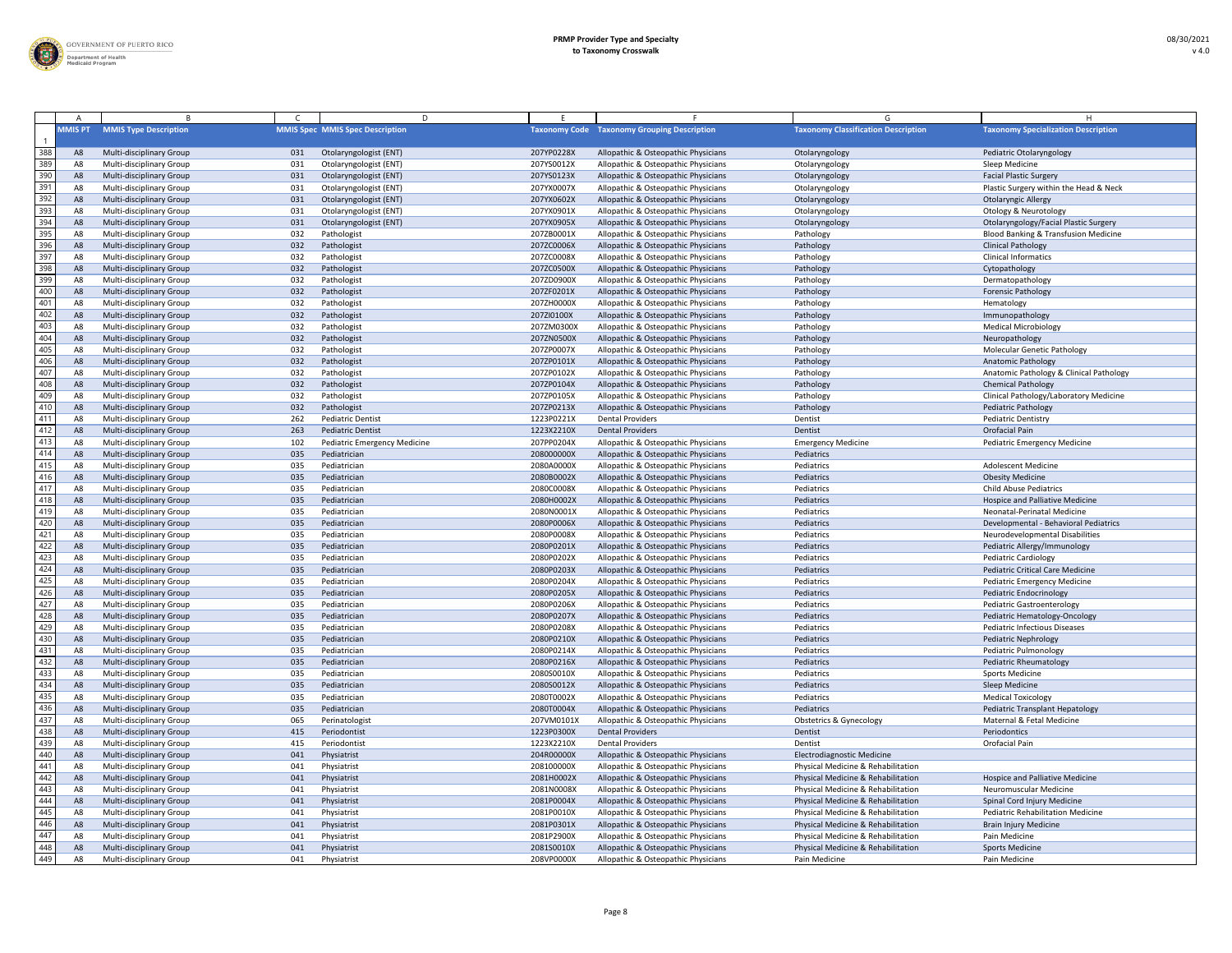

|     |                |                                 |     | D                                      |            |                                                    |                                            |                                                 |
|-----|----------------|---------------------------------|-----|----------------------------------------|------------|----------------------------------------------------|--------------------------------------------|-------------------------------------------------|
|     | <b>MMIS PT</b> | <b>MMIS Type Description</b>    |     | <b>MMIS Spec MMIS Spec Description</b> |            | <b>Taxonomy Code</b> Taxonomy Grouping Description | <b>Taxonomy Classification Description</b> | <b>Taxonomy Specialization Description</b>      |
| 388 |                | Multi-disciplinary Group        | 031 | Otolaryngologist (ENT)                 | 207YP0228X | Allopathic & Osteopathic Physicians                | Otolaryngology                             | Pediatric Otolaryngology                        |
| 389 |                | <b>Multi-disciplinary Group</b> | 031 | Otolaryngologist (ENT)                 | 207YS0012X | Allopathic & Osteopathic Physicians                | Otolaryngology                             | Sleep Medicine                                  |
| 390 | A8             | Multi-disciplinary Group        | 031 | Otolaryngologist (ENT)                 | 207YS0123X | Allopathic & Osteopathic Physicians                | Otolaryngology                             | <b>Facial Plastic Surgery</b>                   |
| 391 | A8             | <b>Multi-disciplinary Group</b> | 031 | Otolaryngologist (ENT)                 | 207YX0007X | Allopathic & Osteopathic Physicians                | Otolaryngology                             | Plastic Surgery within the Head & Neck          |
| 392 | A8             | Multi-disciplinary Group        | 031 | Otolaryngologist (ENT)                 | 207YX0602X | Allopathic & Osteopathic Physicians                | Otolaryngology                             | <b>Otolaryngic Allergy</b>                      |
| 393 |                | Multi-disciplinary Group        | 031 | Otolaryngologist (ENT)                 | 207YX0901X | Allopathic & Osteopathic Physicians                | Otolaryngology                             | <b>Otology &amp; Neurotology</b>                |
| 394 | $A\epsilon$    | Multi-disciplinary Group        | 031 | Otolaryngologist (ENT)                 | 207YX0905X | Allopathic & Osteopathic Physicians                | Otolaryngology                             | Otolaryngology/Facial Plastic Surgery           |
| 395 | A8             | Multi-disciplinary Group        | 032 | Pathologist                            | 207ZB0001X | Allopathic & Osteopathic Physicians                | Pathology                                  | <b>Blood Banking &amp; Transfusion Medicine</b> |
| 396 | A8             | <b>Multi-disciplinary Group</b> | 032 | Pathologist                            | 207ZC0006X | Allopathic & Osteopathic Physicians                | Pathology                                  | <b>Clinical Pathology</b>                       |
| 397 | A8             | Multi-disciplinary Group        | 032 | Pathologist                            | 207ZC0008X | Allopathic & Osteopathic Physicians                | Pathology                                  | <b>Clinical Informatics</b>                     |
| 398 | A8             | Multi-disciplinary Group        | 032 | Pathologist                            | 207ZC0500X | Allopathic & Osteopathic Physicians                | Pathology                                  | Cytopathology                                   |
| 399 | A٤             | Multi-disciplinary Group        | 032 | Pathologist                            | 207ZD0900X | Allopathic & Osteopathic Physicians                | Pathology                                  | Dermatopathology                                |
| 400 | A8             | Multi-disciplinary Group        | 032 | Pathologist                            | 207ZF0201X | Allopathic & Osteopathic Physicians                | Pathology                                  | <b>Forensic Pathology</b>                       |
| 401 |                | Multi-disciplinary Group        | 032 | Pathologist                            | 207ZH0000X | Allopathic & Osteopathic Physicians                | Pathology                                  | Hematology                                      |
| 402 |                | <b>Multi-disciplinary Group</b> | 032 | Pathologist                            | 207ZI0100X | Allopathic & Osteopathic Physicians                | Pathology                                  | Immunopathology                                 |
| 403 |                | Multi-disciplinary Group        | 032 | Pathologist                            | 207ZM0300> | Allopathic & Osteopathic Physicians                | Pathology                                  | <b>Medical Microbiology</b>                     |
| 404 | A8             | Multi-disciplinary Group        | 032 | Pathologist                            | 207ZN0500X | Allopathic & Osteopathic Physicians                | Pathology                                  | Neuropathology                                  |
| 405 | A٤             | Multi-disciplinary Group        | 032 | Pathologist                            | 207ZP0007X | Allopathic & Osteopathic Physicians                | Pathology                                  | <b>Molecular Genetic Pathology</b>              |
| 406 | A8             | Multi-disciplinary Group        | 032 | Pathologist                            | 207ZP0101X | Allopathic & Osteopathic Physicians                | Pathology                                  | <b>Anatomic Pathology</b>                       |
| 407 | A8             | Multi-disciplinary Group        | 032 | Pathologist                            | 207ZP0102X | Allopathic & Osteopathic Physicians                | Pathology                                  | Anatomic Pathology & Clinical Pathology         |
| 408 | A8             | Multi-disciplinary Group        | 032 | Pathologist                            | 207ZP0104X | Allopathic & Osteopathic Physicians                | Pathology                                  | <b>Chemical Pathology</b>                       |
| 409 | A8             |                                 | 032 | Pathologist                            | 207ZP0105X |                                                    |                                            | Clinical Pathology/Laboratory Medicine          |
| 410 |                | Multi-disciplinary Group        |     |                                        |            | Allopathic & Osteopathic Physicians                | Pathology                                  |                                                 |
|     | $A\epsilon$    | <b>Multi-disciplinary Group</b> | 032 | Pathologist                            | 207ZP0213X | Allopathic & Osteopathic Physicians                | Pathology                                  | <b>Pediatric Pathology</b>                      |
| 411 |                | Multi-disciplinary Group        | 262 | <b>Pediatric Dentist</b>               | 1223P0221X | <b>Dental Providers</b>                            | Dentist                                    | <b>Pediatric Dentistry</b>                      |
| 412 |                | Multi-disciplinary Group        | 263 | <b>Pediatric Dentist</b>               | 1223X2210X | <b>Dental Providers</b>                            | Dentist                                    | Orofacial Pain                                  |
| 413 | A8             | Multi-disciplinary Group        | 102 | <b>Pediatric Emergency Medicine</b>    | 207PP0204X | Allopathic & Osteopathic Physicians                | <b>Emergency Medicine</b>                  | <b>Pediatric Emergency Medicine</b>             |
| 414 | - A8           | Multi-disciplinary Group        | 035 | Pediatrician                           | 208000000X | Allopathic & Osteopathic Physicians                | Pediatrics                                 |                                                 |
| 415 |                | Multi-disciplinary Group        | 035 | Pediatrician                           | 2080A0000X | Allopathic & Osteopathic Physicians                | Pediatrics                                 | <b>Adolescent Medicine</b>                      |
| 416 |                | <b>Multi-disciplinary Group</b> | 035 | Pediatrician                           | 2080B0002X | Allopathic & Osteopathic Physicians                | Pediatrics                                 | <b>Obesity Medicine</b>                         |
| 417 | A8             | <b>Multi-disciplinary Group</b> | 035 | Pediatrician                           | 2080C0008X | Allopathic & Osteopathic Physicians                | Pediatrics                                 | <b>Child Abuse Pediatrics</b>                   |
| 418 | A8             | <b>Multi-disciplinary Group</b> | 035 | Pediatrician                           | 2080H0002X | Allopathic & Osteopathic Physicians                | Pediatrics                                 | Hospice and Palliative Medicine                 |
| 419 | A٤             | <b>Multi-disciplinary Group</b> | 035 | Pediatrician                           | 2080N0001X | Allopathic & Osteopathic Physicians                | Pediatrics                                 | Neonatal-Perinatal Medicine                     |
| 420 | A8             | <b>Multi-disciplinary Group</b> | 035 | Pediatrician                           | 2080P0006X | Allopathic & Osteopathic Physicians                | Pediatrics                                 | Developmental - Behavioral Pediatrics           |
| 421 | A8             | Multi-disciplinary Group        | 035 | Pediatrician                           | 2080P0008X | Allopathic & Osteopathic Physicians                | Pediatrics                                 | Neurodevelopmental Disabilities                 |
| 422 | A8             | Multi-disciplinary Group        | 035 | Pediatrician                           | 2080P0201X | Allopathic & Osteopathic Physicians                | Pediatrics                                 | Pediatric Allergy/Immunology                    |
| 423 | A8             | Multi-disciplinary Group        | 035 | Pediatrician                           | 2080P0202X | Allopathic & Osteopathic Physicians                | Pediatrics                                 | <b>Pediatric Cardiology</b>                     |
| 424 | $A\epsilon$    | Multi-disciplinary Group        | 035 | Pediatrician                           | 2080P0203X | Allopathic & Osteopathic Physicians                | Pediatrics                                 | <b>Pediatric Critical Care Medicine</b>         |
| 425 | A8             | Multi-disciplinary Group        | 035 | Pediatrician                           | 2080P0204X | Allopathic & Osteopathic Physicians                | Pediatrics                                 | <b>Pediatric Emergency Medicine</b>             |
| 426 | A8             | Multi-disciplinary Group        | 035 | Pediatrician                           | 2080P0205X | Allopathic & Osteopathic Physicians                | Pediatrics                                 | <b>Pediatric Endocrinology</b>                  |
| 427 | A8             | Multi-disciplinary Group        | 035 | Pediatrician                           | 2080P0206X | Allopathic & Osteopathic Physicians                | Pediatrics                                 | <b>Pediatric Gastroenterology</b>               |
| 428 | A8             | Multi-disciplinary Group        | 035 | Pediatrician                           | 2080P0207X | Allopathic & Osteopathic Physicians                | Pediatrics                                 | Pediatric Hematology-Oncology                   |
| 429 | A٤             | Multi-disciplinary Group        | 035 | Pediatrician                           | 2080P0208X | Allopathic & Osteopathic Physicians                | Pediatrics                                 | <b>Pediatric Infectious Diseases</b>            |
| 430 | A8             | <b>Multi-disciplinary Group</b> | 035 | Pediatrician                           | 2080P0210X | Allopathic & Osteopathic Physicians                | Pediatrics                                 | <b>Pediatric Nephrology</b>                     |
| 431 |                | Multi-disciplinary Group        | 035 | Pediatrician                           | 2080P0214X | Allopathic & Osteopathic Physicians                | Pediatrics                                 | Pediatric Pulmonology                           |
| 432 |                | <b>Multi-disciplinary Group</b> | 035 | Pediatrician                           | 2080P0216X | Allopathic & Osteopathic Physicians                | Pediatrics                                 | Pediatric Rheumatology                          |
| 433 | A8             | <b>Multi-disciplinary Group</b> | 035 | Pediatrician                           | 2080S0010X | Allopathic & Osteopathic Physicians                | Pediatrics                                 | <b>Sports Medicine</b>                          |
| 434 | A8             | Multi-disciplinary Group        | 035 | Pediatrician                           | 2080S0012X | Allopathic & Osteopathic Physicians                | Pediatrics                                 | Sleep Medicine                                  |
| 435 | A8             | Multi-disciplinary Group        | 035 | Pediatrician                           | 2080T0002X | Allopathic & Osteopathic Physicians                | Pediatrics                                 | <b>Medical Toxicology</b>                       |
| 436 | A8             | Multi-disciplinary Group        | 035 | Pediatrician                           | 2080T0004X | Allopathic & Osteopathic Physicians                | Pediatrics                                 | <b>Pediatric Transplant Hepatology</b>          |
| 437 | A8             | Multi-disciplinary Group        | 065 | Perinatologist                         | 207VM0101> | Allopathic & Osteopathic Physicians                | <b>Obstetrics &amp; Gynecology</b>         | Maternal & Fetal Medicine                       |
| 438 | $A\epsilon$    | Multi-disciplinary Group        | 415 | Periodontist                           | 1223P0300X | <b>Dental Providers</b>                            | Dentist                                    | Periodontics                                    |
| 439 |                | Multi-disciplinary Group        | 415 | Periodontist                           | 1223X2210X | <b>Dental Providers</b>                            | Dentist                                    | Orofacial Pain                                  |
| 440 | A8             | <b>Multi-disciplinary Group</b> | 041 | Physiatrist                            | 204R00000X | Allopathic & Osteopathic Physicians                | <b>Electrodiagnostic Medicine</b>          |                                                 |
| 441 | A8             | Multi-disciplinary Group        | 041 | Physiatrist                            | 208100000X | Allopathic & Osteopathic Physicians                | Physical Medicine & Rehabilitation         |                                                 |
| 442 | A8             | Multi-disciplinary Group        | 041 | Physiatrist                            | 2081H0002X | Allopathic & Osteopathic Physicians                | Physical Medicine & Rehabilitation         | <b>Hospice and Palliative Medicine</b>          |
| 443 | A٤             | Multi-disciplinary Group        | 041 | Physiatrist                            | 2081N0008X | Allopathic & Osteopathic Physicians                | Physical Medicine & Rehabilitation         | Neuromuscular Medicine                          |
| 444 | A8             | <b>Multi-disciplinary Group</b> | 041 | Physiatrist                            | 2081P0004X | Allopathic & Osteopathic Physicians                | Physical Medicine & Rehabilitation         | Spinal Cord Injury Medicine                     |
| 445 |                | <b>Multi-disciplinary Group</b> | 041 | Physiatrist                            | 2081P0010X | Allopathic & Osteopathic Physicians                | Physical Medicine & Rehabilitation         | <b>Pediatric Rehabilitation Medicine</b>        |
| 446 |                | <b>Multi-disciplinary Group</b> | 041 | Physiatrist                            | 2081P0301X | Allopathic & Osteopathic Physicians                | Physical Medicine & Rehabilitation         | <b>Brain Injury Medicine</b>                    |
| 447 |                | Multi-disciplinary Group        | 041 | Physiatrist                            | 2081P2900X | Allopathic & Osteopathic Physicians                | Physical Medicine & Rehabilitation         | Pain Medicine                                   |
| 448 | A8             | <b>Multi-disciplinary Group</b> | 041 | Physiatrist                            | 2081S0010X | Allopathic & Osteopathic Physicians                | Physical Medicine & Rehabilitation         | <b>Sports Medicine</b>                          |
| 449 | A8             | Multi-disciplinary Group        | 041 | Physiatrist                            | 208VP0000X | Allopathic & Osteopathic Physicians                | Pain Medicine                              | Pain Medicine                                   |
|     |                |                                 |     |                                        |            |                                                    |                                            |                                                 |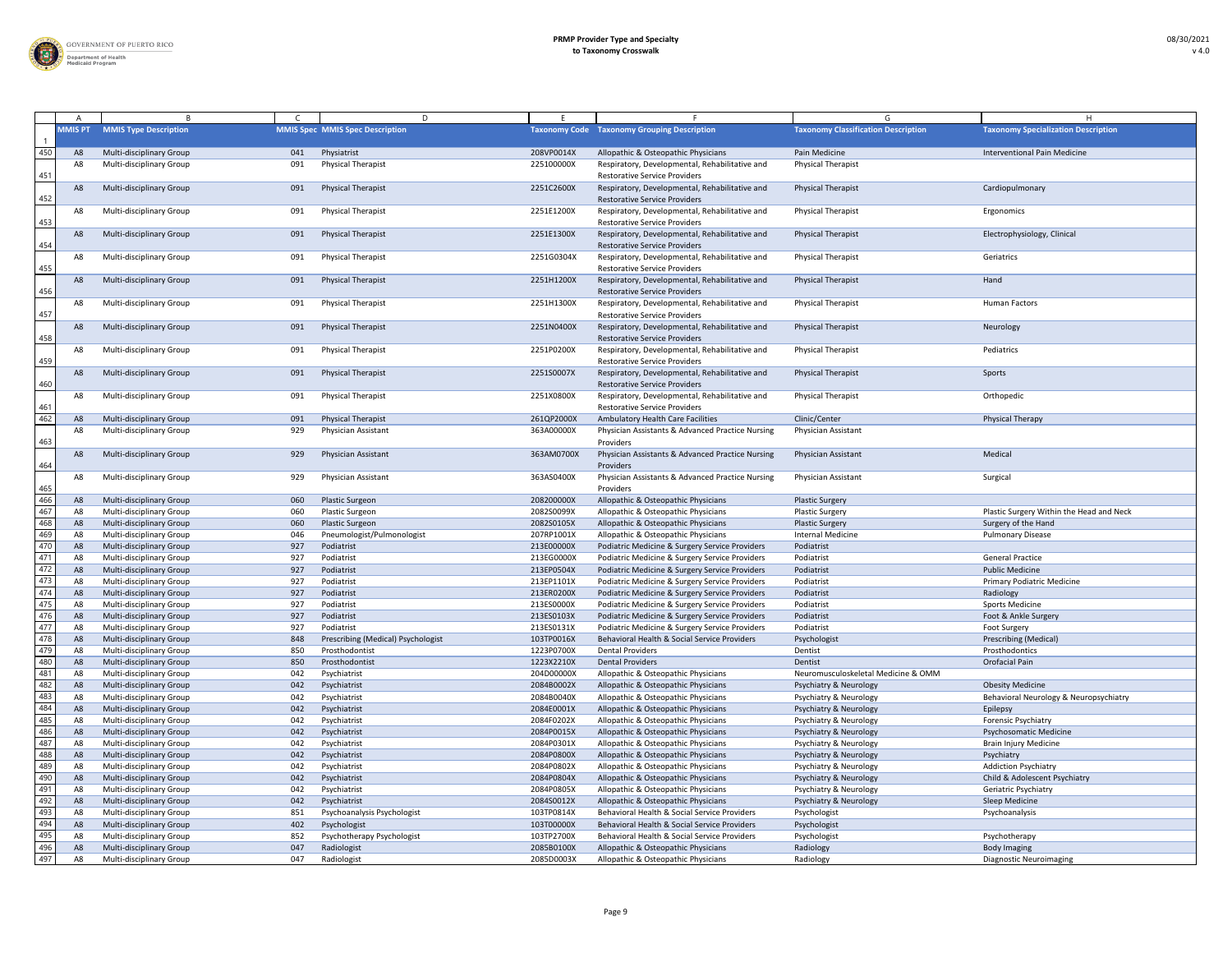

|                 |                |                                                             |            | D                                      |                          |                                                                                                  |                                            |                                            |
|-----------------|----------------|-------------------------------------------------------------|------------|----------------------------------------|--------------------------|--------------------------------------------------------------------------------------------------|--------------------------------------------|--------------------------------------------|
|                 | <b>MMIS PT</b> | <b>MMIS Type Description</b>                                |            | <b>MMIS Spec MMIS Spec Description</b> |                          | <b>Taxonomy Code Taxonomy Grouping Description</b>                                               | <b>Taxonomy Classification Description</b> | <b>Taxonomy Specialization Description</b> |
| 450             |                | <b>Multi-disciplinary Group</b>                             | 041        | Physiatrist                            | 208VP0014X               | Allopathic & Osteopathic Physicians                                                              | Pain Medicine                              | <b>Interventional Pain Medicine</b>        |
| 451             | A8             | Multi-disciplinary Group                                    | 091        | <b>Physical Therapist</b>              | 225100000X               | Respiratory, Developmental, Rehabilitative and<br><b>Restorative Service Providers</b>           | <b>Physical Therapist</b>                  |                                            |
| 452             | A8             | <b>Multi-disciplinary Group</b>                             | 091        | <b>Physical Therapist</b>              | 2251C2600X               | Respiratory, Developmental, Rehabilitative and<br><b>Restorative Service Providers</b>           | <b>Physical Therapist</b>                  | Cardiopulmonary                            |
| 453             | A8             | Multi-disciplinary Group                                    | 091        | <b>Physical Therapist</b>              | 2251E1200X               | Respiratory, Developmental, Rehabilitative and<br><b>Restorative Service Providers</b>           | <b>Physical Therapist</b>                  | Ergonomics                                 |
| 454             | A8             | <b>Multi-disciplinary Group</b>                             | 091        | <b>Physical Therapist</b>              | 2251E1300X               | Respiratory, Developmental, Rehabilitative and<br><b>Restorative Service Providers</b>           | <b>Physical Therapist</b>                  | Electrophysiology, Clinical                |
| $\frac{455}{1}$ | A8             | Multi-disciplinary Group                                    | 091        | <b>Physical Therapist</b>              | 2251G0304X               | Respiratory, Developmental, Rehabilitative and<br><b>Restorative Service Providers</b>           | <b>Physical Therapist</b>                  | Geriatrics                                 |
| 456             | A <sub>8</sub> | Multi-disciplinary Group                                    | 091        | <b>Physical Therapist</b>              | 2251H1200X               | Respiratory, Developmental, Rehabilitative and<br><b>Restorative Service Providers</b>           | <b>Physical Therapist</b>                  | Hand                                       |
| 457             | A8             | <b>Multi-disciplinary Group</b>                             | 091        | <b>Physical Therapist</b>              | 2251H1300X               | Respiratory, Developmental, Rehabilitative and<br><b>Restorative Service Providers</b>           | <b>Physical Therapist</b>                  | <b>Human Factors</b>                       |
| 458             | A8             | <b>Multi-disciplinary Group</b>                             | 091        | <b>Physical Therapist</b>              | 2251N0400X               | Respiratory, Developmental, Rehabilitative and<br><b>Restorative Service Providers</b>           | <b>Physical Therapist</b>                  | Neurology                                  |
| 459             | A8             | Multi-disciplinary Group                                    | 091        | <b>Physical Therapist</b>              | 2251P0200X               | Respiratory, Developmental, Rehabilitative and<br><b>Restorative Service Providers</b>           | <b>Physical Therapist</b>                  | Pediatrics                                 |
| 460             | A8             | <b>Multi-disciplinary Group</b>                             | 091        | <b>Physical Therapist</b>              | 2251S0007X               | Respiratory, Developmental, Rehabilitative and<br><b>Restorative Service Providers</b>           | <b>Physical Therapist</b>                  | Sports                                     |
| 461             | A8             | Multi-disciplinary Group                                    | 091        | <b>Physical Therapist</b>              | 2251X0800X               | Respiratory, Developmental, Rehabilitative and<br><b>Restorative Service Providers</b>           | <b>Physical Therapist</b>                  | Orthopedic                                 |
| 462             | A8             | <b>Multi-disciplinary Group</b>                             | 091        | <b>Physical Therapist</b>              | 261QP2000X               | <b>Ambulatory Health Care Facilities</b>                                                         | Clinic/Center                              | <b>Physical Therapy</b>                    |
| 463             | A8             | Multi-disciplinary Group                                    | 929        | Physician Assistant                    | 363A00000X               | Physician Assistants & Advanced Practice Nursing<br>Providers                                    | <b>Physician Assistant</b>                 |                                            |
| 464             | A8             | <b>Multi-disciplinary Group</b>                             | 929        | <b>Physician Assistant</b>             | 363AM0700X               | Physician Assistants & Advanced Practice Nursing<br>Providers                                    | <b>Physician Assistant</b>                 | Medical                                    |
| 465<br>466      | A8             | <b>Multi-disciplinary Group</b>                             | 929        | Physician Assistant                    | 363AS0400X               | Physician Assistants & Advanced Practice Nursing<br>Providers                                    | <b>Physician Assistant</b>                 | Surgical                                   |
| 467             | A8             | <b>Multi-disciplinary Group</b>                             | 060        | <b>Plastic Surgeon</b>                 | 208200000X               | Allopathic & Osteopathic Physicians                                                              | <b>Plastic Surgery</b>                     |                                            |
|                 | A8             | <b>Multi-disciplinary Group</b>                             | 060        | <b>Plastic Surgeon</b>                 | 2082S0099X               | Allopathic & Osteopathic Physicians                                                              | <b>Plastic Surgery</b>                     | Plastic Surgery Within the Head and Neck   |
| 468<br>469      | A8             | <b>Multi-disciplinary Group</b>                             | 060        | <b>Plastic Surgeon</b>                 | 2082S0105X               | Allopathic & Osteopathic Physicians                                                              | <b>Plastic Surgery</b>                     | Surgery of the Hand                        |
| 470             | A8             | Multi-disciplinary Group                                    | 046        | Pneumologist/Pulmonologist             | 207RP1001X               | Allopathic & Osteopathic Physicians                                                              | <b>Internal Medicine</b>                   | <b>Pulmonary Disease</b>                   |
| 471             | $A\delta$      | <b>Multi-disciplinary Group</b>                             | 927<br>927 | Podiatrist<br>Podiatrist               | 213E00000X<br>213EG0000X | Podiatric Medicine & Surgery Service Providers<br>Podiatric Medicine & Surgery Service Providers | Podiatrist<br>Podiatrist                   | <b>General Practice</b>                    |
| 472             |                | Multi-disciplinary Group<br><b>Multi-disciplinary Group</b> | 927        | Podiatrist                             | 213EP0504X               | Podiatric Medicine & Surgery Service Providers                                                   | Podiatrist                                 | <b>Public Medicine</b>                     |
| 473             |                | <b>Multi-disciplinary Group</b>                             | 927        | Podiatrist                             | 213EP1101X               | Podiatric Medicine & Surgery Service Providers                                                   | Podiatrist                                 | <b>Primary Podiatric Medicine</b>          |
| 474             | A8             | <b>Multi-disciplinary Group</b>                             | 927        | Podiatrist                             | 213ER0200X               | Podiatric Medicine & Surgery Service Providers                                                   | Podiatrist                                 | Radiology                                  |
| 475             | A8             | <b>Multi-disciplinary Group</b>                             | 927        | Podiatrist                             | 213ES0000X               | Podiatric Medicine & Surgery Service Providers                                                   | Podiatrist                                 | <b>Sports Medicine</b>                     |
| 476             | $A\epsilon$    | <b>Multi-disciplinary Group</b>                             | 927        | Podiatrist                             | 213ES0103X               | Podiatric Medicine & Surgery Service Providers                                                   | Podiatrist                                 | Foot & Ankle Surgery                       |
| 477             | A٤             | Multi-disciplinary Group                                    | 927        | Podiatrist                             | 213ES0131X               | Podiatric Medicine & Surgery Service Providers                                                   | Podiatrist                                 | Foot Surgery                               |
| 478             | A8             | <b>Multi-disciplinary Group</b>                             | 848        | Prescribing (Medical) Psychologist     | 103TP0016X               | Behavioral Health & Social Service Providers                                                     | Psychologist                               | <b>Prescribing (Medical)</b>               |
| 479             |                | Multi-disciplinary Group                                    | 850        | Prosthodontist                         | 1223P0700X               | <b>Dental Providers</b>                                                                          | Dentist                                    | Prosthodontics                             |
| 480             |                | <b>Multi-disciplinary Group</b>                             | 850        | Prosthodontist                         | 1223X2210X               | <b>Dental Providers</b>                                                                          | Dentist                                    | Orofacial Pain                             |
| 481             |                | Multi-disciplinary Group                                    | 042        | Psychiatrist                           | 204D00000X               | Allopathic & Osteopathic Physicians                                                              | Neuromusculoskeletal Medicine & OMM        |                                            |
| 482             | A8             | Multi-disciplinary Group                                    | 042        | Psychiatrist                           | 2084B0002X               | Allopathic & Osteopathic Physicians                                                              | <b>Psychiatry &amp; Neurology</b>          | <b>Obesity Medicine</b>                    |
| 483             | A8             | Multi-disciplinary Group                                    | 042        | Psychiatrist                           | 2084B0040X               | Allopathic & Osteopathic Physicians                                                              | <b>Psychiatry &amp; Neurology</b>          | Behavioral Neurology & Neuropsychiatry     |
| 484             | A8             | <b>Multi-disciplinary Group</b>                             | 042        | Psychiatrist                           | 2084E0001X               | Allopathic & Osteopathic Physicians                                                              | <b>Psychiatry &amp; Neurology</b>          | Epilepsy                                   |
| 485             | A٤             | Multi-disciplinary Group                                    | 042        | Psychiatrist                           | 2084F0202X               | Allopathic & Osteopathic Physicians                                                              | <b>Psychiatry &amp; Neurology</b>          | <b>Forensic Psychiatry</b>                 |
| 486             | A8             | <b>Multi-disciplinary Group</b>                             | 042        | Psychiatrist                           | 2084P0015X               | Allopathic & Osteopathic Physicians                                                              | <b>Psychiatry &amp; Neurology</b>          | Psychosomatic Medicine                     |
| 487             |                | Multi-disciplinary Group                                    | 042        | Psychiatrist                           | 2084P0301X               | Allopathic & Osteopathic Physicians                                                              | <b>Psychiatry &amp; Neurology</b>          | <b>Brain Injury Medicine</b>               |
| 488             | A8             | <b>Multi-disciplinary Group</b>                             | 042        | Psychiatrist                           | 2084P0800X               | Allopathic & Osteopathic Physicians                                                              | <b>Psychiatry &amp; Neurology</b>          | Psychiatry                                 |
| 489             | A8             | <b>Multi-disciplinary Group</b>                             | 042        | Psychiatrist                           | 2084P0802X               | Allopathic & Osteopathic Physicians                                                              | <b>Psychiatry &amp; Neurology</b>          | <b>Addiction Psychiatry</b>                |
| 490             | A8             | <b>Multi-disciplinary Group</b>                             | 042        | Psychiatrist                           | 2084P0804X               | Allopathic & Osteopathic Physicians                                                              | <b>Psychiatry &amp; Neurology</b>          | Child & Adolescent Psychiatry              |
| 491             | A8             | Multi-disciplinary Group                                    | 042        | Psychiatrist                           | 2084P0805X               | Allopathic & Osteopathic Physicians                                                              | <b>Psychiatry &amp; Neurology</b>          | Geriatric Psychiatry                       |
| 492             | - A8           | <b>Multi-disciplinary Group</b>                             | 042        | Psychiatrist                           | 2084S0012X               | Allopathic & Osteopathic Physicians                                                              | <b>Psychiatry &amp; Neurology</b>          | Sleep Medicine                             |
| 493             |                | <b>Multi-disciplinary Group</b>                             | 851        | Psychoanalysis Psychologist            | 103TP0814X               | Behavioral Health & Social Service Providers                                                     | Psychologist                               | Psychoanalysis                             |
| 494             |                | <b>Multi-disciplinary Group</b>                             | 402        | Psychologist                           | 103T00000X               | Behavioral Health & Social Service Providers                                                     | Psychologist                               |                                            |
|                 |                | <b>Multi-disciplinary Group</b>                             | 852        | Psychotherapy Psychologist             | 103TP2700X               | Behavioral Health & Social Service Providers                                                     | Psychologist                               | Psychotherapy                              |
| 495<br>496      | A8             | <b>Multi-disciplinary Group</b>                             | 047        | Radiologist                            | 2085B0100X               | Allopathic & Osteopathic Physicians                                                              | Radiology                                  | <b>Body Imaging</b>                        |
| 497             | A8             | Multi-disciplinary Group                                    | 047        | Radiologist                            | 2085D0003X               | Allopathic & Osteopathic Physicians                                                              | Radiology                                  | <b>Diagnostic Neuroimaging</b>             |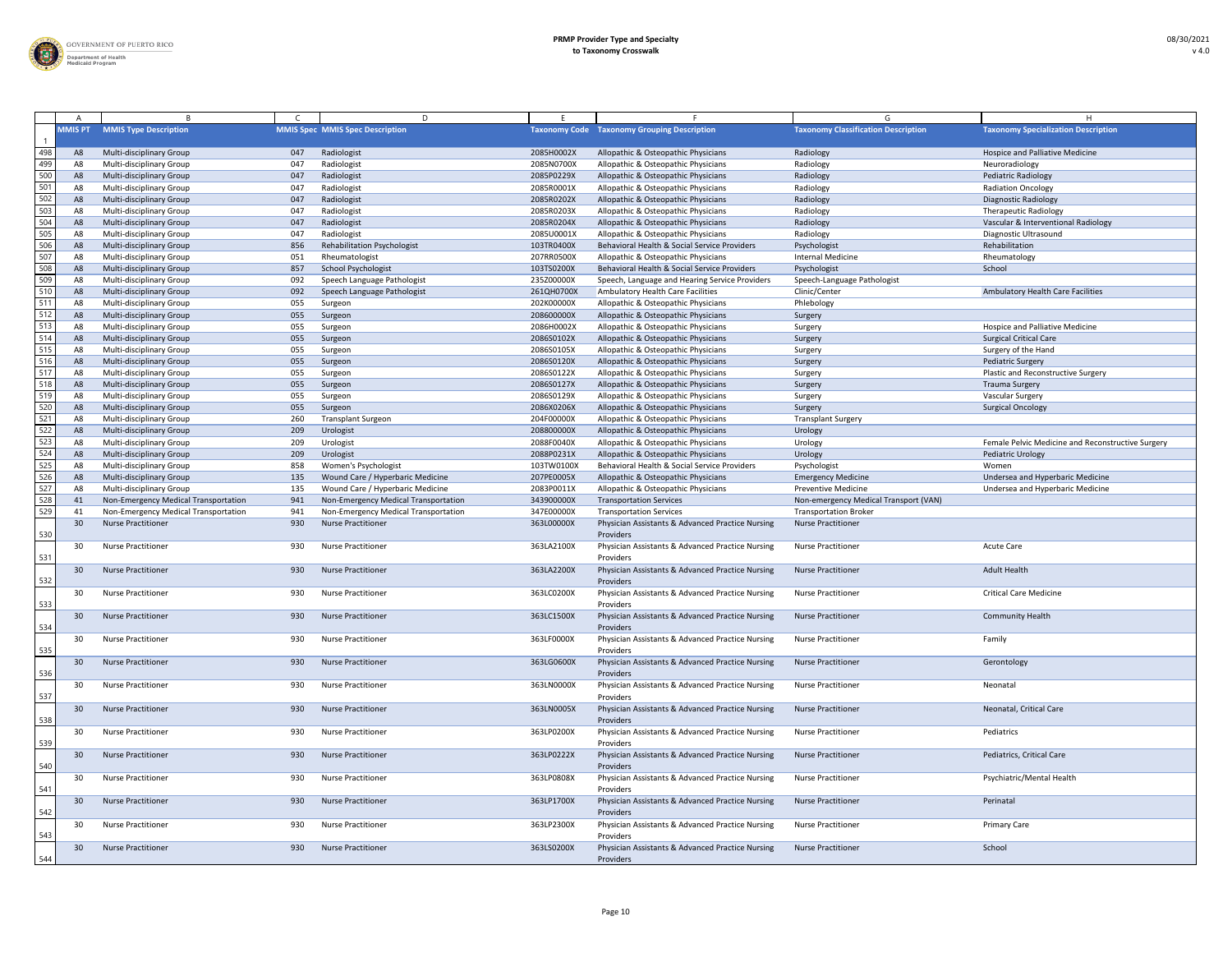

|                                     |                |                                      |     | D.                                     |            |                                                               |                                            |                                                   |
|-------------------------------------|----------------|--------------------------------------|-----|----------------------------------------|------------|---------------------------------------------------------------|--------------------------------------------|---------------------------------------------------|
|                                     | <b>MMIS PT</b> | <b>MMIS Type Description</b>         |     | <b>MMIS Spec MMIS Spec Description</b> |            | <b>Taxonomy Code Taxonomy Grouping Description</b>            | <b>Taxonomy Classification Description</b> | <b>Taxonomy Specialization Description</b>        |
| 498                                 | A8             | <b>Multi-disciplinary Group</b>      | 047 | Radiologist                            | 2085H0002X | Allopathic & Osteopathic Physicians                           | Radiology                                  | Hospice and Palliative Medicine                   |
| 499                                 | A              | <b>Multi-disciplinary Group</b>      | 047 | Radiologist                            | 2085N0700X | Allopathic & Osteopathic Physicians                           | Radiology                                  | Neuroradiology                                    |
| 500                                 | A8             | <b>Multi-disciplinary Group</b>      | 047 | Radiologist                            | 2085P0229X | Allopathic & Osteopathic Physicians                           | Radiology                                  | <b>Pediatric Radiology</b>                        |
| 501                                 |                | <b>Multi-disciplinary Group</b>      | 047 | Radiologist                            | 2085R0001X | Allopathic & Osteopathic Physicians                           | Radiology                                  | <b>Radiation Oncology</b>                         |
| 502                                 |                | <b>Multi-disciplinary Group</b>      | 047 | Radiologist                            | 2085R0202X | Allopathic & Osteopathic Physicians                           | Radiology                                  | <b>Diagnostic Radiology</b>                       |
| $\frac{503}{504}$ $\frac{504}{505}$ | A8             | Multi-disciplinary Group             | 047 | Radiologist                            | 2085R0203X | Allopathic & Osteopathic Physicians                           | Radiology                                  | <b>Therapeutic Radiology</b>                      |
|                                     | A8             | <b>Multi-disciplinary Group</b>      | 047 | Radiologist                            | 2085R0204X | Allopathic & Osteopathic Physicians                           | Radiology                                  | Vascular & Interventional Radiology               |
|                                     | A              | Multi-disciplinary Group             | 047 | Radiologist                            | 2085U0001X | Allopathic & Osteopathic Physicians                           | Radiology                                  | Diagnostic Ultrasound                             |
|                                     | A8             | <b>Multi-disciplinary Group</b>      | 856 | <b>Rehabilitation Psychologist</b>     | 103TR0400X | Behavioral Health & Social Service Providers                  | Psychologist                               | Rehabilitation                                    |
| 507                                 |                | Multi-disciplinary Group             | 051 | Rheumatologist                         | 207RR0500X | Allopathic & Osteopathic Physicians                           | Internal Medicine                          | Rheumatology                                      |
| 508                                 |                | <b>Multi-disciplinary Group</b>      | 857 | <b>School Psychologist</b>             | 103TS0200X | Behavioral Health & Social Service Providers                  | Psychologist                               | School                                            |
| 509                                 |                | Multi-disciplinary Group             | 092 | Speech Language Pathologist            | 235Z00000X | Speech, Language and Hearing Service Providers                | Speech-Language Pathologist                |                                                   |
| $\frac{510}{511}$                   |                | <b>Multi-disciplinary Group</b>      | 092 | Speech Language Pathologist            | 261QH0700X | <b>Ambulatory Health Care Facilities</b>                      | Clinic/Center                              | <b>Ambulatory Health Care Facilities</b>          |
|                                     | A8             | Multi-disciplinary Group             | 055 | Surgeon                                | 202K00000X | Allopathic & Osteopathic Physicians                           | Phlebology                                 |                                                   |
| 512                                 |                | Multi-disciplinary Group             | 055 | Surgeon                                | 208600000X | Allopathic & Osteopathic Physicians                           | Surgery                                    |                                                   |
| 513                                 | A              | <b>Multi-disciplinary Group</b>      | 055 | Surgeon                                | 2086H0002X | Allopathic & Osteopathic Physicians                           | Surgery                                    | <b>Hospice and Palliative Medicine</b>            |
| 514                                 | A8             | <b>Multi-disciplinary Group</b>      | 055 | Surgeon                                | 2086S0102X | Allopathic & Osteopathic Physicians                           | Surgery                                    | <b>Surgical Critical Care</b>                     |
| 515                                 |                | Multi-disciplinary Group             | 055 | Surgeon                                | 2086S0105X | Allopathic & Osteopathic Physicians                           | Surgery                                    | Surgery of the Hand                               |
| 516                                 |                | <b>Multi-disciplinary Group</b>      | 055 | Surgeon                                | 2086S0120X | Allopathic & Osteopathic Physicians                           | Surgery                                    | <b>Pediatric Surgery</b>                          |
| 517                                 |                | <b>Multi-disciplinary Group</b>      | 055 | Surgeon                                | 2086S0122X | Allopathic & Osteopathic Physicians                           | Surgery                                    | Plastic and Reconstructive Surgery                |
| 518                                 | A8             | <b>Multi-disciplinary Group</b>      | 055 | Surgeon                                | 2086S0127X | Allopathic & Osteopathic Physicians                           | Surgery                                    | <b>Trauma Surgery</b>                             |
| 519                                 | A٤             | Multi-disciplinary Group             | 055 | Surgeon                                | 2086S0129X | Allopathic & Osteopathic Physicians                           | Surgery                                    | <b>Vascular Surgery</b>                           |
| 520                                 | A8             | <b>Multi-disciplinary Group</b>      | 055 | Surgeon                                | 2086X0206X | Allopathic & Osteopathic Physicians                           | Surgery                                    | <b>Surgical Oncology</b>                          |
| 521                                 |                | Multi-disciplinary Group             | 260 | <b>Transplant Surgeon</b>              | 204F00000X | Allopathic & Osteopathic Physicians                           | <b>Transplant Surgery</b>                  |                                                   |
| 522                                 | A8             | <b>Multi-disciplinary Group</b>      | 209 | Urologist                              | 208800000X | Allopathic & Osteopathic Physicians                           | Urology                                    |                                                   |
| $\frac{523}{524}$                   |                | Multi-disciplinary Group             | 209 | Urologist                              | 2088F0040X | Allopathic & Osteopathic Physicians                           | Urology                                    | Female Pelvic Medicine and Reconstructive Surgery |
|                                     |                | <b>Multi-disciplinary Group</b>      | 209 | Urologist                              | 2088P0231X | Allopathic & Osteopathic Physicians                           | Urology                                    | <b>Pediatric Urology</b>                          |
| 525                                 | A8             | <b>Multi-disciplinary Group</b>      | 858 | Women's Psychologist                   | 103TW0100X | Behavioral Health & Social Service Providers                  | Psychologist                               | Women                                             |
|                                     | A <sub>8</sub> | <b>Multi-disciplinary Group</b>      | 135 | Wound Care / Hyperbaric Medicine       | 207PE0005X | Allopathic & Osteopathic Physicians                           | <b>Emergency Medicine</b>                  | Undersea and Hyperbaric Medicine                  |
|                                     |                |                                      |     |                                        |            |                                                               |                                            |                                                   |
|                                     | A8             | <b>Multi-disciplinary Group</b>      | 135 | Wound Care / Hyperbaric Medicine       | 2083P0011X | Allopathic & Osteopathic Physicians                           | <b>Preventive Medicine</b>                 | Undersea and Hyperbaric Medicine                  |
| $\frac{526}{527}$                   | -41            | Non-Emergency Medical Transportation | 941 | Non-Emergency Medical Transportation   | 343900000X | <b>Transportation Services</b>                                | Non-emergency Medical Transport (VAN)      |                                                   |
| 529                                 | -4             | Non-Emergency Medical Transportation | 941 | Non-Emergency Medical Transportation   | 347E00000X | <b>Transportation Services</b>                                | <b>Transportation Broker</b>               |                                                   |
|                                     | 30             | <b>Nurse Practitioner</b>            | 930 | <b>Nurse Practitioner</b>              | 363L00000X | Physician Assistants & Advanced Practice Nursing              | <b>Nurse Practitioner</b>                  |                                                   |
| 530                                 |                |                                      |     |                                        |            | Providers                                                     |                                            |                                                   |
|                                     | 30             | <b>Nurse Practitioner</b>            | 930 | <b>Nurse Practitioner</b>              | 363LA2100X | Physician Assistants & Advanced Practice Nursing              | <b>Nurse Practitioner</b>                  | <b>Acute Care</b>                                 |
| 531                                 |                |                                      |     |                                        |            | Providers                                                     |                                            |                                                   |
|                                     | 30             | <b>Nurse Practitioner</b>            | 930 | <b>Nurse Practitioner</b>              | 363LA2200X | Physician Assistants & Advanced Practice Nursing              | <b>Nurse Practitioner</b>                  | <b>Adult Health</b>                               |
| 532                                 |                |                                      |     |                                        |            | Providers                                                     |                                            |                                                   |
|                                     | 30             | <b>Nurse Practitioner</b>            | 930 | <b>Nurse Practitioner</b>              | 363LC0200X | Physician Assistants & Advanced Practice Nursing              | <b>Nurse Practitioner</b>                  | <b>Critical Care Medicine</b>                     |
| 533                                 |                |                                      |     |                                        |            | Providers                                                     |                                            |                                                   |
|                                     | 30             | <b>Nurse Practitioner</b>            | 930 | <b>Nurse Practitioner</b>              | 363LC1500X | Physician Assistants & Advanced Practice Nursing              | <b>Nurse Practitioner</b>                  | <b>Community Health</b>                           |
| 534                                 |                |                                      |     |                                        |            | Providers                                                     |                                            |                                                   |
|                                     | 30             | <b>Nurse Practitioner</b>            | 930 | <b>Nurse Practitioner</b>              | 363LF0000X | Physician Assistants & Advanced Practice Nursing              | <b>Nurse Practitioner</b>                  | Family                                            |
| $\frac{535}{2}$                     |                |                                      |     |                                        |            | Providers                                                     |                                            |                                                   |
|                                     | 30             | <b>Nurse Practitioner</b>            | 930 | <b>Nurse Practitioner</b>              | 363LG0600X | Physician Assistants & Advanced Practice Nursing              | <b>Nurse Practitioner</b>                  | Gerontology                                       |
| 536                                 |                |                                      |     |                                        |            | Providers                                                     |                                            |                                                   |
|                                     | 30             | <b>Nurse Practitioner</b>            | 930 | <b>Nurse Practitioner</b>              | 363LN0000X | Physician Assistants & Advanced Practice Nursing              | <b>Nurse Practitioner</b>                  | Neonatal                                          |
| 537                                 |                |                                      |     |                                        |            | Providers                                                     |                                            |                                                   |
|                                     |                | <b>Nurse Practitioner</b>            | 930 | <b>Nurse Practitioner</b>              | 363LN0005X | Physician Assistants & Advanced Practice Nursing              | <b>Nurse Practitioner</b>                  | Neonatal, Critical Care                           |
| 538                                 |                |                                      |     |                                        |            | Providers                                                     |                                            |                                                   |
|                                     | 30             | <b>Nurse Practitioner</b>            | 930 | <b>Nurse Practitioner</b>              | 363LP0200X | Physician Assistants & Advanced Practice Nursing              | <b>Nurse Practitioner</b>                  | Pediatrics                                        |
| 539                                 |                |                                      |     |                                        |            | Providers                                                     |                                            |                                                   |
|                                     | 30             | <b>Nurse Practitioner</b>            | 930 | <b>Nurse Practitioner</b>              | 363LP0222X | Physician Assistants & Advanced Practice Nursing              | <b>Nurse Practitioner</b>                  | Pediatrics, Critical Care                         |
| 540                                 |                |                                      |     |                                        |            | Providers                                                     |                                            |                                                   |
|                                     | 30             | <b>Nurse Practitioner</b>            | 930 | <b>Nurse Practitioner</b>              | 363LP0808X | Physician Assistants & Advanced Practice Nursing              | <b>Nurse Practitioner</b>                  | Psychiatric/Mental Health                         |
| 541                                 |                |                                      |     |                                        |            | Providers                                                     |                                            |                                                   |
|                                     | 30             | <b>Nurse Practitioner</b>            | 930 | <b>Nurse Practitioner</b>              | 363LP1700X | Physician Assistants & Advanced Practice Nursing              | <b>Nurse Practitioner</b>                  | Perinatal                                         |
| 542                                 |                |                                      |     |                                        |            | Providers                                                     |                                            |                                                   |
|                                     |                | <b>Nurse Practitioner</b>            | 930 | <b>Nurse Practitioner</b>              | 363LP2300X | Physician Assistants & Advanced Practice Nursing              | <b>Nurse Practitioner</b>                  | <b>Primary Care</b>                               |
| 543                                 |                | <b>Nurse Practitioner</b>            | 930 | <b>Nurse Practitioner</b>              | 363LS0200X | Providers<br>Physician Assistants & Advanced Practice Nursing | <b>Nurse Practitioner</b>                  | School                                            |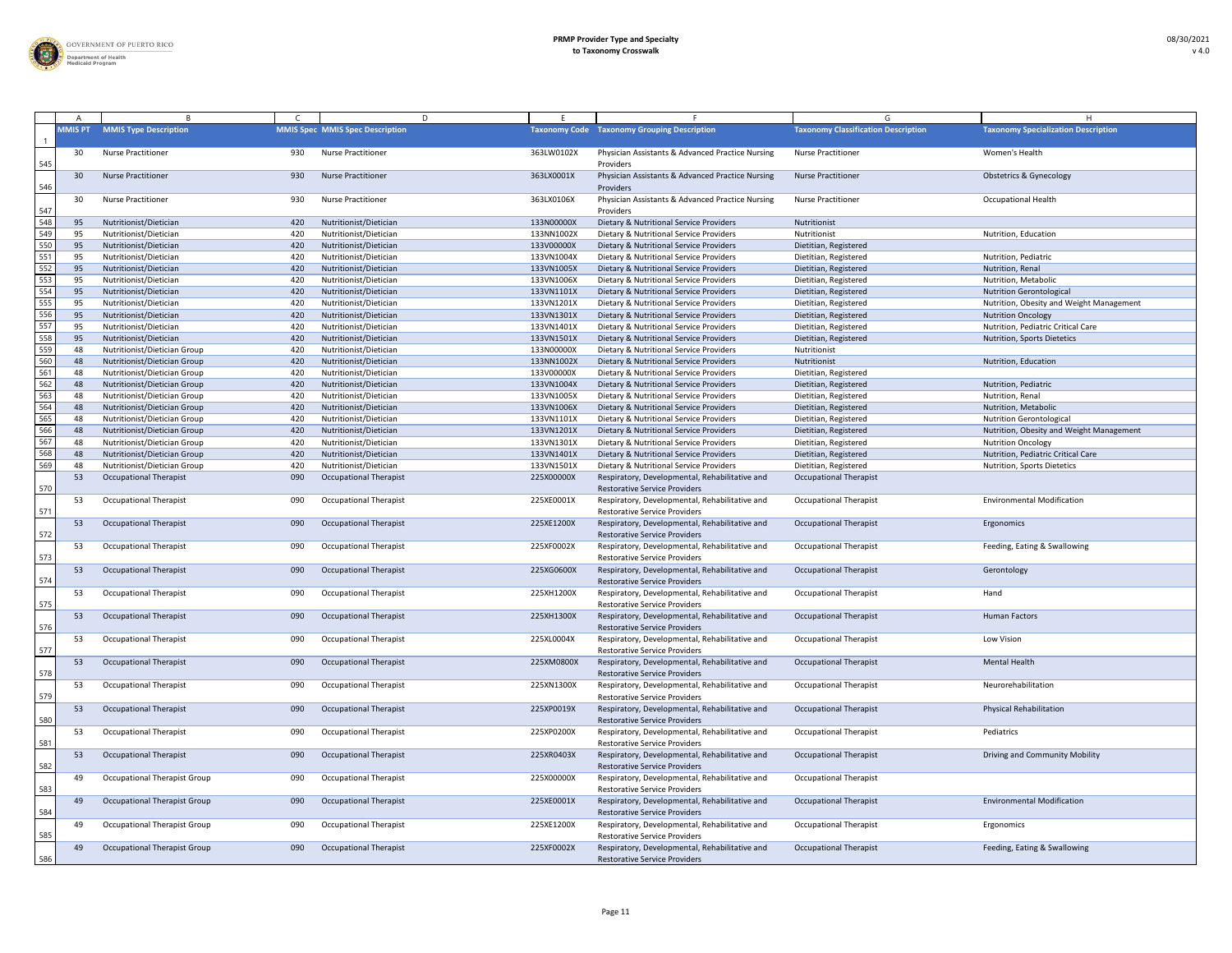

|                  |                |                                     |     | D                                      |            |                                                                                        |                                            |                                            |
|------------------|----------------|-------------------------------------|-----|----------------------------------------|------------|----------------------------------------------------------------------------------------|--------------------------------------------|--------------------------------------------|
|                  | <b>MMIS PT</b> | <b>MMIS Type Description</b>        |     | <b>MMIS Spec MMIS Spec Description</b> |            | <b>Taxonomy Code</b> Taxonomy Grouping Description                                     | <b>Taxonomy Classification Description</b> | <b>Taxonomy Specialization Description</b> |
| 545              | 30             | <b>Nurse Practitioner</b>           | 930 | <b>Nurse Practitioner</b>              | 363LW0102X | Physician Assistants & Advanced Practice Nursing<br>Providers                          | <b>Nurse Practitioner</b>                  | Women's Health                             |
| 546              | 30             | <b>Nurse Practitioner</b>           | 930 | <b>Nurse Practitioner</b>              | 363LX0001X | Physician Assistants & Advanced Practice Nursing<br>Providers                          | <b>Nurse Practitioner</b>                  | <b>Obstetrics &amp; Gynecology</b>         |
| 547              | 30             | <b>Nurse Practitioner</b>           | 930 | <b>Nurse Practitioner</b>              | 363LX0106X | Physician Assistants & Advanced Practice Nursing<br>Providers                          | <b>Nurse Practitioner</b>                  | <b>Occupational Health</b>                 |
| 548              | 95             | Nutritionist/Dietician              | 420 | Nutritionist/Dietician                 | 133N00000X | Dietary & Nutritional Service Providers                                                | Nutritionist                               |                                            |
| 549              | 95             | Nutritionist/Dietician              | 420 | Nutritionist/Dietician                 | 133NN1002X | Dietary & Nutritional Service Providers                                                | Nutritionist                               | Nutrition, Education                       |
| 550              | 95             | Nutritionist/Dietician              | 420 | Nutritionist/Dietician                 | 133V00000X | Dietary & Nutritional Service Providers                                                | Dietitian, Registered                      |                                            |
| 551              | 95             | Nutritionist/Dietician              | 420 | Nutritionist/Dietician                 | 133VN1004X | Dietary & Nutritional Service Providers                                                | Dietitian, Registered                      | Nutrition, Pediatric                       |
| 552              | 95             | Nutritionist/Dietician              | 420 | Nutritionist/Dietician                 | 133VN1005X | Dietary & Nutritional Service Providers                                                | Dietitian, Registered                      | Nutrition, Renal                           |
| $\overline{553}$ | 95             | Nutritionist/Dietician              | 420 | Nutritionist/Dietician                 | 133VN1006X | Dietary & Nutritional Service Providers                                                | Dietitian, Registered                      | Nutrition, Metabolic                       |
| 554              | 95             | Nutritionist/Dietician              | 420 | Nutritionist/Dietician                 | 133VN1101X | Dietary & Nutritional Service Providers                                                | Dietitian, Registered                      | <b>Nutrition Gerontological</b>            |
| 555              | 95             | Nutritionist/Dietician              | 420 | Nutritionist/Dietician                 | 133VN1201X | Dietary & Nutritional Service Providers                                                | Dietitian, Registered                      | Nutrition, Obesity and Weight Management   |
| 556              | 95             | Nutritionist/Dietician              | 420 | Nutritionist/Dietician                 | 133VN1301X | Dietary & Nutritional Service Providers                                                | Dietitian, Registered                      | <b>Nutrition Oncology</b>                  |
| 557              | 95             | Nutritionist/Dietician              | 420 | Nutritionist/Dietician                 | 133VN1401X | Dietary & Nutritional Service Providers                                                | Dietitian, Registered                      | Nutrition, Pediatric Critical Care         |
| 558              | 95             | Nutritionist/Dietician              | 420 | Nutritionist/Dietician                 | 133VN1501X | Dietary & Nutritional Service Providers                                                | Dietitian, Registered                      | Nutrition, Sports Dietetics                |
| 559              | 48             | Nutritionist/Dietician Group        | 420 | Nutritionist/Dietician                 | 133N00000X | Dietary & Nutritional Service Providers                                                | Nutritionist                               |                                            |
| 560              | 48             | Nutritionist/Dietician Group        | 420 | Nutritionist/Dietician                 | 133NN1002X | Dietary & Nutritional Service Providers                                                | Nutritionist                               | Nutrition, Education                       |
| 561              | 48             | Nutritionist/Dietician Group        | 420 | Nutritionist/Dietician                 | 133V00000X | Dietary & Nutritional Service Providers                                                | Dietitian, Registered                      |                                            |
| 562              | 48             | Nutritionist/Dietician Group        | 420 | Nutritionist/Dietician                 | 133VN1004X | Dietary & Nutritional Service Providers                                                | Dietitian, Registered                      | Nutrition, Pediatric                       |
| 563              | 48             | Nutritionist/Dietician Group        | 420 | Nutritionist/Dietician                 | 133VN1005X | Dietary & Nutritional Service Providers                                                | Dietitian, Registered                      | Nutrition, Renal                           |
| 564              | 48             | Nutritionist/Dietician Group        | 420 | Nutritionist/Dietician                 | 133VN1006X | Dietary & Nutritional Service Providers                                                | Dietitian, Registered                      | Nutrition, Metabolic                       |
| 565              | 48             | Nutritionist/Dietician Group        | 420 | Nutritionist/Dietician                 | 133VN1101X | Dietary & Nutritional Service Providers                                                | Dietitian, Registered                      | <b>Nutrition Gerontological</b>            |
| 566              | -48            | Nutritionist/Dietician Group        | 420 | Nutritionist/Dietician                 | 133VN1201X | Dietary & Nutritional Service Providers                                                | Dietitian, Registered                      | Nutrition, Obesity and Weight Management   |
| 567              | -48            | Nutritionist/Dietician Group        | 420 | Nutritionist/Dietician                 | 133VN1301X | Dietary & Nutritional Service Providers                                                | Dietitian, Registered                      | <b>Nutrition Oncology</b>                  |
| 568              | -48            | Nutritionist/Dietician Group        | 420 | Nutritionist/Dietician                 | 133VN1401X | Dietary & Nutritional Service Providers                                                | Dietitian, Registered                      | Nutrition, Pediatric Critical Care         |
| 569              | 48             | Nutritionist/Dietician Group        | 420 | Nutritionist/Dietician                 | 133VN1501X | Dietary & Nutritional Service Providers                                                | Dietitian, Registered                      | Nutrition, Sports Dietetics                |
| 570              | 53             | <b>Occupational Therapist</b>       | 090 | <b>Occupational Therapist</b>          | 225X00000X | Respiratory, Developmental, Rehabilitative and<br><b>Restorative Service Providers</b> | <b>Occupational Therapist</b>              |                                            |
| 571              | 53             | <b>Occupational Therapist</b>       | 090 | <b>Occupational Therapist</b>          | 225XE0001X | Respiratory, Developmental, Rehabilitative and<br><b>Restorative Service Providers</b> | <b>Occupational Therapist</b>              | <b>Environmental Modification</b>          |
| 572              | 53             | <b>Occupational Therapist</b>       | 090 | <b>Occupational Therapist</b>          | 225XE1200X | Respiratory, Developmental, Rehabilitative and<br><b>Restorative Service Providers</b> | <b>Occupational Therapist</b>              | Ergonomics                                 |
| 573              | 53             | <b>Occupational Therapist</b>       | 090 | <b>Occupational Therapist</b>          | 225XF0002X | Respiratory, Developmental, Rehabilitative and<br><b>Restorative Service Providers</b> | <b>Occupational Therapist</b>              | Feeding, Eating & Swallowing               |
| 574              | 53             | <b>Occupational Therapist</b>       | 090 | <b>Occupational Therapist</b>          | 225XG0600X | Respiratory, Developmental, Rehabilitative and<br><b>Restorative Service Providers</b> | <b>Occupational Therapist</b>              | Gerontology                                |
| 575              | 53             | <b>Occupational Therapist</b>       | 090 | <b>Occupational Therapist</b>          | 225XH1200X | Respiratory, Developmental, Rehabilitative and<br><b>Restorative Service Providers</b> | <b>Occupational Therapist</b>              | Hand                                       |
| 576              | 53             | <b>Occupational Therapist</b>       | 090 | <b>Occupational Therapist</b>          | 225XH1300X | Respiratory, Developmental, Rehabilitative and<br><b>Restorative Service Providers</b> | <b>Occupational Therapist</b>              | Human Factors                              |
| 577              | 53             | <b>Occupational Therapist</b>       | 090 | <b>Occupational Therapist</b>          | 225XL0004X | Respiratory, Developmental, Rehabilitative and<br><b>Restorative Service Providers</b> | <b>Occupational Therapist</b>              | Low Vision                                 |
| 578              | 53             | <b>Occupational Therapist</b>       | 090 | <b>Occupational Therapist</b>          | 225XM0800X | Respiratory, Developmental, Rehabilitative and<br><b>Restorative Service Providers</b> | <b>Occupational Therapist</b>              | <b>Mental Health</b>                       |
| 579              | 53             | <b>Occupational Therapist</b>       | 090 | <b>Occupational Therapist</b>          | 225XN1300X | Respiratory, Developmental, Rehabilitative and<br><b>Restorative Service Providers</b> | <b>Occupational Therapist</b>              | Neurorehabilitation                        |
| 580              | 53             | <b>Occupational Therapist</b>       | 090 | <b>Occupational Therapist</b>          | 225XP0019X | Respiratory, Developmental, Rehabilitative and<br><b>Restorative Service Providers</b> | <b>Occupational Therapist</b>              | <b>Physical Rehabilitation</b>             |
| 581              | 53             | <b>Occupational Therapist</b>       | 090 | <b>Occupational Therapist</b>          | 225XP0200X | Respiratory, Developmental, Rehabilitative and<br><b>Restorative Service Providers</b> | <b>Occupational Therapist</b>              | Pediatrics                                 |
| 582              | 53             | <b>Occupational Therapist</b>       | 090 | <b>Occupational Therapist</b>          | 225XR0403X | Respiratory, Developmental, Rehabilitative and<br><b>Restorative Service Providers</b> | <b>Occupational Therapist</b>              | Driving and Community Mobility             |
| 583              | 49             | <b>Occupational Therapist Group</b> | 090 | <b>Occupational Therapist</b>          | 225X00000X | Respiratory, Developmental, Rehabilitative and<br><b>Restorative Service Providers</b> | <b>Occupational Therapist</b>              |                                            |
| 584              | 49             | <b>Occupational Therapist Group</b> | 090 | <b>Occupational Therapist</b>          | 225XE0001X | Respiratory, Developmental, Rehabilitative and<br><b>Restorative Service Providers</b> | <b>Occupational Therapist</b>              | <b>Environmental Modification</b>          |
| 585              | 49             | Occupational Therapist Group        | 090 | <b>Occupational Therapist</b>          | 225XE1200X | Respiratory, Developmental, Rehabilitative and<br><b>Restorative Service Providers</b> | <b>Occupational Therapist</b>              | Ergonomics                                 |
| 586              | 49             | <b>Occupational Therapist Group</b> | 090 | <b>Occupational Therapist</b>          | 225XF0002X | Respiratory, Developmental, Rehabilitative and<br><b>Restorative Service Providers</b> | <b>Occupational Therapist</b>              | Feeding, Eating & Swallowing               |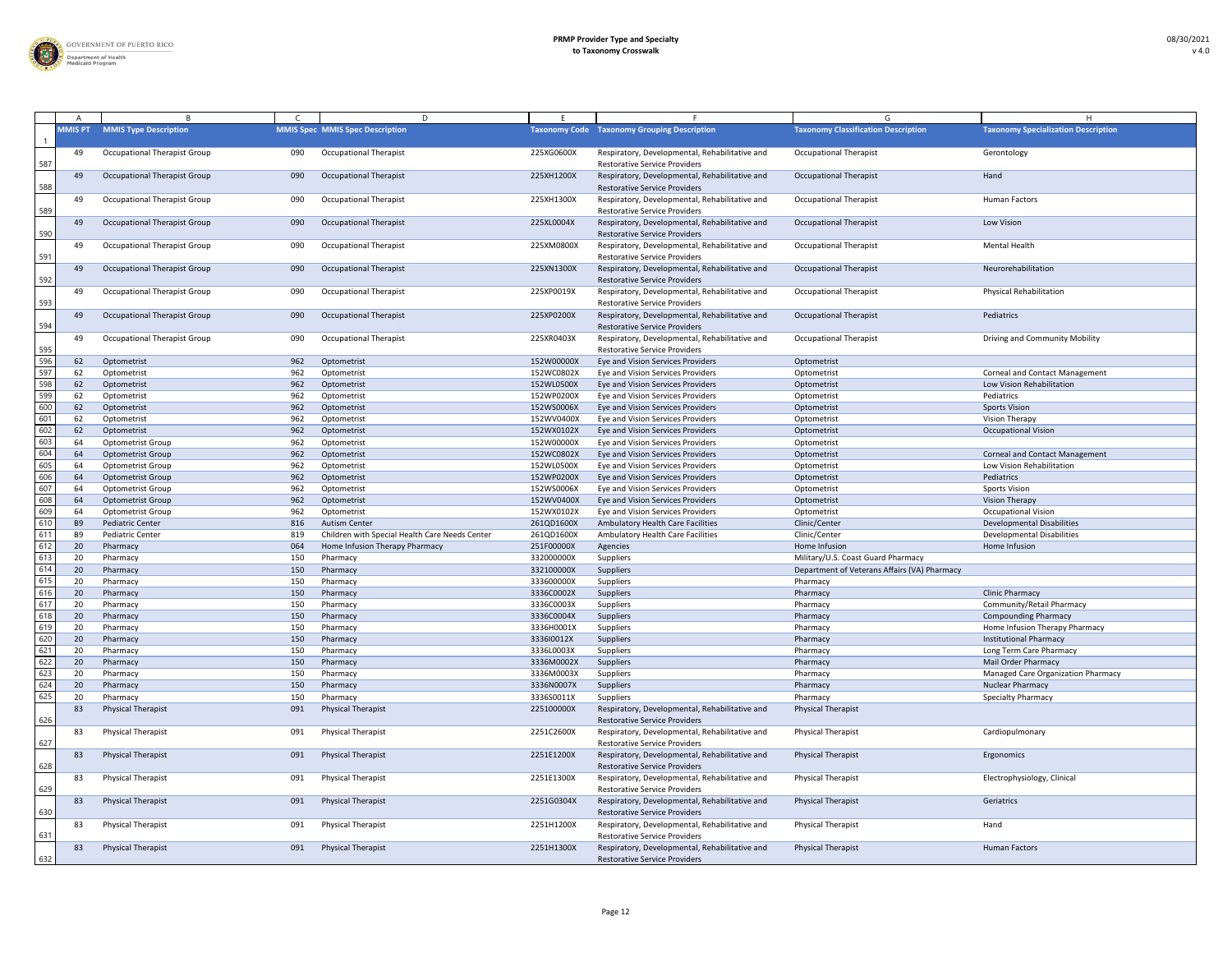

|                                                                                                             | <b>MMIS PT</b> | <b>MMIS Type Description</b>        |     | <b>MMIS Spec MMIS Spec Description</b>         |            | <b>Taxonomy Code Taxonomy Grouping Description</b>                                     | <b>Taxonomy Classification Description</b>   | <b>Taxonomy Specialization Description</b> |
|-------------------------------------------------------------------------------------------------------------|----------------|-------------------------------------|-----|------------------------------------------------|------------|----------------------------------------------------------------------------------------|----------------------------------------------|--------------------------------------------|
| 587                                                                                                         | 49             | <b>Occupational Therapist Group</b> | 090 | <b>Occupational Therapist</b>                  | 225XG0600X | Respiratory, Developmental, Rehabilitative and<br><b>Restorative Service Providers</b> | <b>Occupational Therapist</b>                | Gerontology                                |
| 588                                                                                                         | 49             | <b>Occupational Therapist Group</b> | 090 | <b>Occupational Therapist</b>                  | 225XH1200X | Respiratory, Developmental, Rehabilitative and<br><b>Restorative Service Providers</b> | <b>Occupational Therapist</b>                | Hand                                       |
| 589                                                                                                         | 49             | <b>Occupational Therapist Group</b> | 090 | <b>Occupational Therapist</b>                  | 225XH1300X | Respiratory, Developmental, Rehabilitative and<br><b>Restorative Service Providers</b> | <b>Occupational Therapist</b>                | <b>Human Factors</b>                       |
|                                                                                                             | 49             | <b>Occupational Therapist Group</b> | 090 | <b>Occupational Therapist</b>                  | 225XL0004X | Respiratory, Developmental, Rehabilitative and<br><b>Restorative Service Providers</b> | <b>Occupational Therapist</b>                | Low Vision                                 |
| 590<br>591                                                                                                  | 49             | <b>Occupational Therapist Group</b> | 090 | <b>Occupational Therapist</b>                  | 225XM0800X | Respiratory, Developmental, Rehabilitative and<br><b>Restorative Service Providers</b> | <b>Occupational Therapist</b>                | <b>Mental Health</b>                       |
| 592                                                                                                         | 49             | <b>Occupational Therapist Group</b> | 090 | <b>Occupational Therapist</b>                  | 225XN1300X | Respiratory, Developmental, Rehabilitative and<br><b>Restorative Service Providers</b> | <b>Occupational Therapist</b>                | Neurorehabilitation                        |
|                                                                                                             | 49             | <b>Occupational Therapist Group</b> | 090 | <b>Occupational Therapist</b>                  | 225XP0019X | Respiratory, Developmental, Rehabilitative and<br><b>Restorative Service Providers</b> | <b>Occupational Therapist</b>                | <b>Physical Rehabilitation</b>             |
| 593                                                                                                         | 49             | <b>Occupational Therapist Group</b> | 090 | <b>Occupational Therapist</b>                  | 225XP0200X | Respiratory, Developmental, Rehabilitative and<br><b>Restorative Service Providers</b> | <b>Occupational Therapist</b>                | Pediatrics                                 |
| 594                                                                                                         | 49             | <b>Occupational Therapist Group</b> | 090 | <b>Occupational Therapist</b>                  | 225XR0403X | Respiratory, Developmental, Rehabilitative and<br><b>Restorative Service Providers</b> | <b>Occupational Therapist</b>                | Driving and Community Mobility             |
| $\frac{595}{596}$                                                                                           | 62             | Optometrist                         | 962 | Optometrist                                    | 152W00000X | Eye and Vision Services Providers                                                      | Optometrist                                  |                                            |
| 597                                                                                                         | 62             |                                     | 962 | Optometrist                                    | 152WC0802X |                                                                                        |                                              | <b>Corneal and Contact Management</b>      |
| 598                                                                                                         |                | Optometrist                         |     |                                                |            | Eye and Vision Services Providers                                                      | Optometrist                                  |                                            |
|                                                                                                             | 62             | Optometrist                         | 962 | Optometrist                                    | 152WL0500X | Eye and Vision Services Providers                                                      | Optometrist                                  | Low Vision Rehabilitation                  |
| 599                                                                                                         | 62             | Optometrist                         | 962 | Optometrist                                    | 152WP0200X | Eye and Vision Services Providers                                                      | Optometrist                                  | Pediatrics                                 |
| 600                                                                                                         | 62             | Optometrist                         | 962 | Optometrist                                    | 152WS0006X | Eye and Vision Services Providers                                                      | Optometrist                                  | <b>Sports Vision</b>                       |
| 601                                                                                                         | 62             | Optometrist                         | 962 | Optometrist                                    | 152WV0400X | Eye and Vision Services Providers                                                      | Optometrist                                  | Vision Therapy                             |
| $\frac{602}{603}$                                                                                           | 62             | Optometrist                         | 962 | Optometrist                                    | 152WX0102X | Eye and Vision Services Providers                                                      | Optometrist                                  | <b>Occupational Vision</b>                 |
|                                                                                                             |                | <b>Optometrist Group</b>            | 962 | Optometrist                                    | 152W00000X | Eye and Vision Services Providers                                                      | Optometrist                                  |                                            |
| 604                                                                                                         |                | <b>Optometrist Group</b>            | 962 | Optometrist                                    | 152WC0802X | Eye and Vision Services Providers                                                      | Optometrist                                  | <b>Corneal and Contact Management</b>      |
| 605                                                                                                         |                | <b>Optometrist Group</b>            | 962 | Optometrist                                    | 152WL0500X | Eye and Vision Services Providers                                                      | Optometrist                                  | Low Vision Rehabilitation                  |
|                                                                                                             | 64             | <b>Optometrist Group</b>            | 962 | Optometrist                                    | 152WP0200X | <b>Eye and Vision Services Providers</b>                                               | Optometrist                                  | Pediatrics                                 |
| $\frac{606}{607}$                                                                                           |                | <b>Optometrist Group</b>            | 962 | Optometrist                                    | 152WS0006X | Eye and Vision Services Providers                                                      | Optometrist                                  | <b>Sports Vision</b>                       |
|                                                                                                             | 64             | <b>Optometrist Group</b>            | 962 | Optometrist                                    | 152WV0400X | Eye and Vision Services Providers                                                      | Optometrist                                  | <b>Vision Therapy</b>                      |
| $\frac{609}{610}$                                                                                           |                | <b>Optometrist Group</b>            | 962 | Optometrist                                    | 152WX0102X | <b>Eye and Vision Services Providers</b>                                               | Optometrist                                  | <b>Occupational Vision</b>                 |
|                                                                                                             | B <sub>9</sub> | <b>Pediatric Center</b>             | 816 | <b>Autism Center</b>                           | 261QD1600X | Ambulatory Health Care Facilities                                                      | Clinic/Center                                | <b>Developmental Disabilities</b>          |
| 611                                                                                                         | -B9            | <b>Pediatric Center</b>             | 819 | Children with Special Health Care Needs Center | 261QD1600) | <b>Ambulatory Health Care Facilities</b>                                               | Clinic/Center                                | <b>Developmental Disabilities</b>          |
| 612                                                                                                         | 20             | Pharmacy                            | 064 | Home Infusion Therapy Pharmacy                 | 251F00000X | Agencies                                                                               | Home Infusion                                | Home Infusion                              |
| 613<br>614<br>615<br>616<br>617                                                                             | 20             | Pharmacy                            | 150 | Pharmacy                                       | 332000000X | Suppliers                                                                              | Military/U.S. Coast Guard Pharmacy           |                                            |
|                                                                                                             | 20             | Pharmacy                            | 150 | Pharmacy                                       | 332100000X | <b>Suppliers</b>                                                                       | Department of Veterans Affairs (VA) Pharmacy |                                            |
|                                                                                                             | 20             | Pharmacy                            | 150 | Pharmacy                                       | 333600000X | Suppliers                                                                              | Pharmacy                                     |                                            |
|                                                                                                             | 20             | Pharmacy                            | 150 | Pharmacy                                       | 3336C0002X | Suppliers                                                                              | Pharmacy                                     | <b>Clinic Pharmacy</b>                     |
|                                                                                                             |                | Pharmacy                            | 150 | Pharmacy                                       | 3336C0003X | Suppliers                                                                              | Pharmacy                                     | Community/Retail Pharmacy                  |
| 618                                                                                                         | 2 <sup>c</sup> | Pharmacy                            | 150 | Pharmacy                                       | 3336C0004X | Suppliers                                                                              | Pharmacy                                     | <b>Compounding Pharmacy</b>                |
| 619                                                                                                         |                | Pharmacy                            | 150 | Pharmacy                                       | 3336H0001X | Suppliers                                                                              | Pharmacy                                     | Home Infusion Therapy Pharmacy             |
|                                                                                                             | 20             | Pharmacy                            | 150 | Pharmacy                                       | 333610012X | Suppliers                                                                              | Pharmacy                                     | <b>Institutional Pharmacy</b>              |
| $\begin{array}{r} \n 620 \\  \hline\n 621 \\  \hline\n 622 \\  \hline\n 623 \\  \hline\n 624\n \end{array}$ | 20             | Pharmacy                            | 150 | Pharmacy                                       | 3336L0003X | Suppliers                                                                              | Pharmacy                                     | Long Term Care Pharmacy                    |
|                                                                                                             | 20             | Pharmacy                            | 150 | Pharmacy                                       | 3336M0002X | Suppliers                                                                              | Pharmacy                                     | Mail Order Pharmacy                        |
|                                                                                                             |                | Pharmacy                            | 150 | Pharmacy                                       | 3336M0003X | Suppliers                                                                              | Pharmacy                                     | Managed Care Organization Pharmacy         |
|                                                                                                             | 20             | Pharmacy                            | 150 | Pharmacy                                       | 3336N0007X | Suppliers                                                                              | Pharmacy                                     | <b>Nuclear Pharmacy</b>                    |
| 625                                                                                                         | -20            | Pharmacy                            | 150 | Pharmacy                                       | 3336S0011X | <b>Suppliers</b>                                                                       | Pharmacy                                     | <b>Specialty Pharmacy</b>                  |
| 626                                                                                                         | 83             | <b>Physical Therapist</b>           | 091 | <b>Physical Therapist</b>                      | 225100000X | Respiratory, Developmental, Rehabilitative and<br><b>Restorative Service Providers</b> | <b>Physical Therapist</b>                    |                                            |
|                                                                                                             | 83             | <b>Physical Therapist</b>           | 091 | <b>Physical Therapist</b>                      | 2251C2600X | Respiratory, Developmental, Rehabilitative and<br><b>Restorative Service Providers</b> | <b>Physical Therapist</b>                    | Cardiopulmonary                            |
| 627<br>628                                                                                                  | 83             | <b>Physical Therapist</b>           | 091 | <b>Physical Therapist</b>                      | 2251E1200X | Respiratory, Developmental, Rehabilitative and<br><b>Restorative Service Providers</b> | <b>Physical Therapist</b>                    | Ergonomics                                 |
|                                                                                                             | 83             | <b>Physical Therapist</b>           | 091 | <b>Physical Therapist</b>                      | 2251E1300X | Respiratory, Developmental, Rehabilitative and<br><b>Restorative Service Providers</b> | <b>Physical Therapist</b>                    | Electrophysiology, Clinical                |
| 629                                                                                                         | 83             | <b>Physical Therapist</b>           | 091 | <b>Physical Therapist</b>                      | 2251G0304X | Respiratory, Developmental, Rehabilitative and<br><b>Restorative Service Providers</b> | <b>Physical Therapist</b>                    | Geriatrics                                 |
| 630                                                                                                         | 83             | <b>Physical Therapist</b>           | 091 | <b>Physical Therapist</b>                      | 2251H1200X | Respiratory, Developmental, Rehabilitative and<br><b>Restorative Service Providers</b> | <b>Physical Therapist</b>                    | Hand                                       |
| 631                                                                                                         | 83             | <b>Physical Therapist</b>           | 091 | <b>Physical Therapist</b>                      | 2251H1300X | Respiratory, Developmental, Rehabilitative and                                         | <b>Physical Therapist</b>                    | <b>Human Factors</b>                       |
| 632                                                                                                         |                |                                     |     |                                                |            | <b>Restorative Service Providers</b>                                                   |                                              |                                            |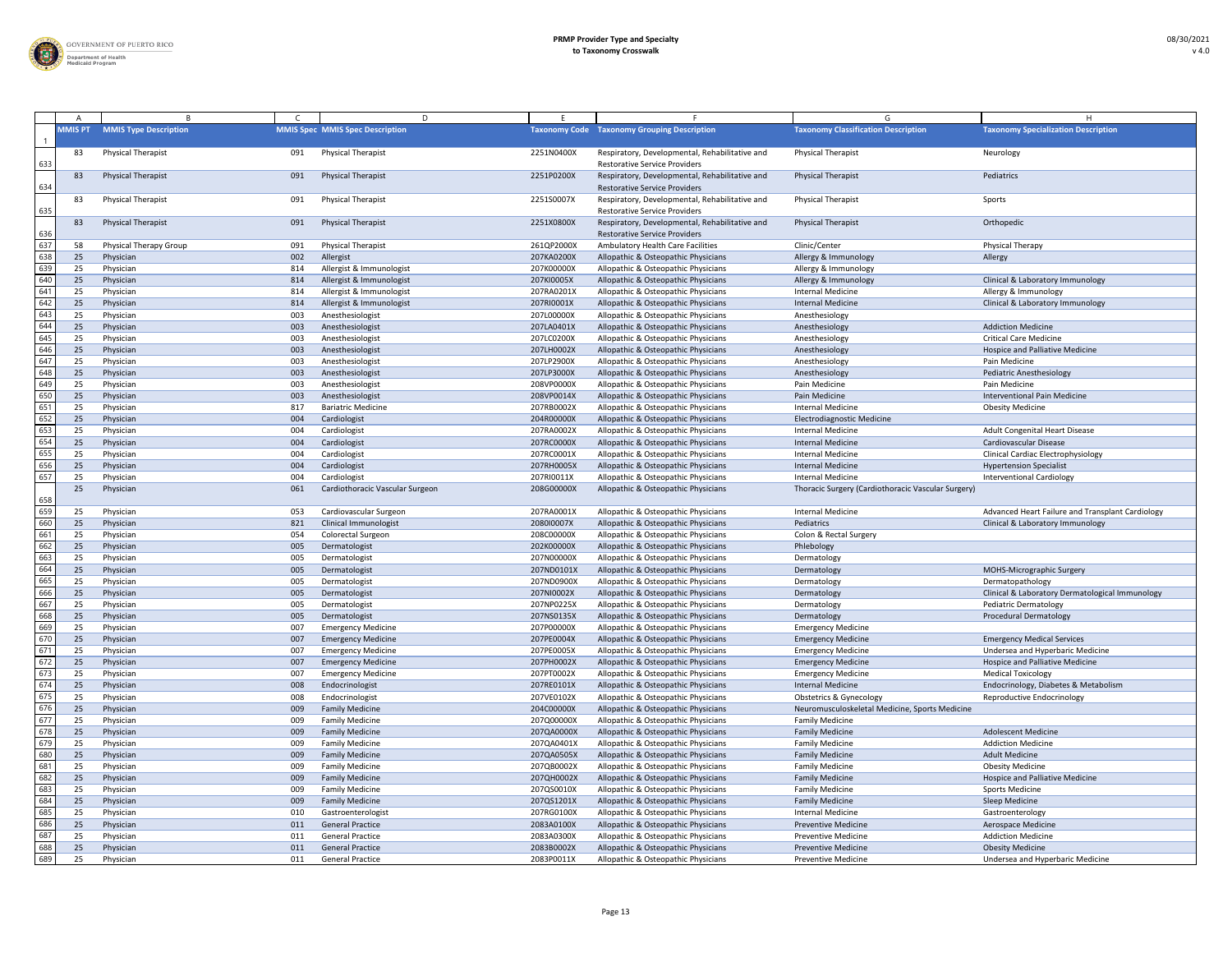

|     |                |                               |     | D                                      |            |                                                                                        |                                                    |                                                  |
|-----|----------------|-------------------------------|-----|----------------------------------------|------------|----------------------------------------------------------------------------------------|----------------------------------------------------|--------------------------------------------------|
|     | <b>MMIS PT</b> | <b>MMIS Type Description</b>  |     | <b>MMIS Spec MMIS Spec Description</b> |            | <b>Taxonomy Code Taxonomy Grouping Description</b>                                     | <b>Taxonomy Classification Description</b>         | <b>Taxonomy Specialization Description</b>       |
| 633 | -83            | <b>Physical Therapist</b>     | 091 | <b>Physical Therapist</b>              | 2251N0400X | Respiratory, Developmental, Rehabilitative and<br><b>Restorative Service Providers</b> | <b>Physical Therapist</b>                          | Neurology                                        |
| 634 | 83             | <b>Physical Therapist</b>     | 091 | <b>Physical Therapist</b>              | 2251P0200X | Respiratory, Developmental, Rehabilitative and<br><b>Restorative Service Providers</b> | <b>Physical Therapist</b>                          | Pediatrics                                       |
| 635 | -83            | <b>Physical Therapist</b>     | 091 | <b>Physical Therapist</b>              | 2251S0007X | Respiratory, Developmental, Rehabilitative and<br><b>Restorative Service Providers</b> | <b>Physical Therapist</b>                          | Sports                                           |
| 636 | 83             | <b>Physical Therapist</b>     | 091 | <b>Physical Therapist</b>              | 2251X0800X | Respiratory, Developmental, Rehabilitative and<br><b>Restorative Service Providers</b> | <b>Physical Therapist</b>                          | Orthopedic                                       |
| 637 | 58             | <b>Physical Therapy Group</b> | 091 | <b>Physical Therapist</b>              | 261QP2000X | Ambulatory Health Care Facilities                                                      | Clinic/Center                                      | Physical Therapy                                 |
| 638 | 25             | Physician                     | 002 | Allergist                              | 207KA0200X | Allopathic & Osteopathic Physicians                                                    | Allergy & Immunology                               | Allergy                                          |
| 639 | 2!             | Physician                     | 814 | Allergist & Immunologist               | 207K00000X | Allopathic & Osteopathic Physicians                                                    | Allergy & Immunology                               |                                                  |
| 640 | 25             | Physician                     | 814 | Allergist & Immunologist               | 207KI0005X | Allopathic & Osteopathic Physicians                                                    | Allergy & Immunology                               | Clinical & Laboratory Immunology                 |
| 641 |                | Physician                     | 814 | Allergist & Immunologist               | 207RA0201X | Allopathic & Osteopathic Physicians                                                    | <b>Internal Medicine</b>                           | Allergy & Immunology                             |
| 642 | 25             | Physician                     | 814 | Allergist & Immunologist               | 207RI0001X | Allopathic & Osteopathic Physicians                                                    | <b>Internal Medicine</b>                           | Clinical & Laboratory Immunology                 |
| 643 |                | Physician                     | 003 | Anesthesiologist                       | 207L00000X | Allopathic & Osteopathic Physicians                                                    | Anesthesiology                                     |                                                  |
| 644 | 25             | Physician                     | 003 | Anesthesiologist                       | 207LA0401X | Allopathic & Osteopathic Physicians                                                    | Anesthesiology                                     | <b>Addiction Medicine</b>                        |
| 645 | 2!             | Physician                     | 003 | Anesthesiologist                       | 207LC0200X | Allopathic & Osteopathic Physicians                                                    | Anesthesiology                                     | <b>Critical Care Medicine</b>                    |
| 646 | 25             | Physician                     | 003 | Anesthesiologist                       | 207LH0002X | Allopathic & Osteopathic Physicians                                                    | Anesthesiology                                     | Hospice and Palliative Medicine                  |
| 647 | 25             | Physician                     | 003 | Anesthesiologist                       | 207LP2900X | Allopathic & Osteopathic Physicians                                                    | Anesthesiology                                     | Pain Medicine                                    |
| 648 | 25             | Physician                     | 003 | Anesthesiologist                       | 207LP3000X | Allopathic & Osteopathic Physicians                                                    | Anesthesiology                                     | <b>Pediatric Anesthesiology</b>                  |
| 649 | 25             | Physician                     | 003 | Anesthesiologist                       | 208VP0000X | Allopathic & Osteopathic Physicians                                                    | Pain Medicine                                      | Pain Medicine                                    |
| 650 | 25             | Physician                     | 003 | Anesthesiologist                       | 208VP0014X | Allopathic & Osteopathic Physicians                                                    | Pain Medicine                                      | <b>Interventional Pain Medicine</b>              |
| 651 | 25             | Physician                     | 817 | <b>Bariatric Medicine</b>              | 207RB0002X | Allopathic & Osteopathic Physicians                                                    | <b>Internal Medicine</b>                           | <b>Obesity Medicine</b>                          |
| 652 | 25             | Physician                     | 004 | Cardiologist                           | 204R00000X | Allopathic & Osteopathic Physicians                                                    | Electrodiagnostic Medicine                         |                                                  |
| 653 | 25             | Physician                     | 004 | Cardiologist                           | 207RA0002X | Allopathic & Osteopathic Physicians                                                    | <b>Internal Medicine</b>                           | Adult Congenital Heart Disease                   |
| 654 | 25             | Physician                     | 004 | Cardiologist                           | 207RC0000X | Allopathic & Osteopathic Physicians                                                    | <b>Internal Medicine</b>                           | Cardiovascular Disease                           |
| 655 |                | Physician                     | 004 | Cardiologist                           | 207RC0001X | Allopathic & Osteopathic Physicians                                                    | <b>Internal Medicine</b>                           | <b>Clinical Cardiac Electrophysiology</b>        |
| 656 | 25             | Physician                     | 004 | Cardiologist                           | 207RH0005X | Allopathic & Osteopathic Physicians                                                    | Internal Medicine                                  | <b>Hypertension Specialist</b>                   |
| 657 |                | Physician                     | 004 | Cardiologist                           | 207RI0011X | Allopathic & Osteopathic Physicians                                                    | <b>Internal Medicine</b>                           | <b>Interventional Cardiology</b>                 |
| 658 | 25             | Physician                     | 061 | Cardiothoracic Vascular Surgeon        | 208G00000X | Allopathic & Osteopathic Physicians                                                    | Thoracic Surgery (Cardiothoracic Vascular Surgery) |                                                  |
| 659 | 25             | Physician                     | 053 | Cardiovascular Surgeon                 | 207RA0001X | Allopathic & Osteopathic Physicians                                                    | <b>Internal Medicine</b>                           | Advanced Heart Failure and Transplant Cardiology |
| 660 | 25             | Physician                     | 821 | <b>Clinical Immunologist</b>           | 208010007X | Allopathic & Osteopathic Physicians                                                    | Pediatrics                                         | Clinical & Laboratory Immunology                 |
| 661 | 25             | Physician                     | 054 | <b>Colorectal Surgeon</b>              | 208C00000X | Allopathic & Osteopathic Physicians                                                    | Colon & Rectal Surgery                             |                                                  |
| 662 | 25             | Physician                     | 005 | Dermatologist                          | 202K00000X | Allopathic & Osteopathic Physicians                                                    | Phlebology                                         |                                                  |
| 663 |                | Physician                     | 005 | Dermatologist                          | 207N00000X | Allopathic & Osteopathic Physicians                                                    | Dermatology                                        |                                                  |
| 664 | 25             | Physician                     | 005 | Dermatologist                          | 207ND0101X | Allopathic & Osteopathic Physicians                                                    | Dermatology                                        | <b>MOHS-Micrographic Surgery</b>                 |
| 665 | 25             | Physician                     | 005 | Dermatologist                          | 207ND0900X | Allopathic & Osteopathic Physicians                                                    | Dermatology                                        | Dermatopathology                                 |
| 666 | 25             | Physician                     | 005 | Dermatologist                          | 207NI0002X | Allopathic & Osteopathic Physicians                                                    | Dermatology                                        | Clinical & Laboratory Dermatological Immunology  |
| 667 | 2!             | Physician                     | 005 | Dermatologist                          | 207NP0225X | Allopathic & Osteopathic Physicians                                                    | Dermatology                                        | Pediatric Dermatology                            |
| 668 | 25             | Physician                     | 005 | Dermatologist                          | 207NS0135X | Allopathic & Osteopathic Physicians                                                    | Dermatology                                        | <b>Procedural Dermatology</b>                    |
| 669 | 25             | Physician                     | 007 | <b>Emergency Medicine</b>              | 207P00000X | Allopathic & Osteopathic Physicians                                                    | <b>Emergency Medicine</b>                          |                                                  |
| 670 | 25             | Physician                     | 007 | <b>Emergency Medicine</b>              | 207PE0004X | Allopathic & Osteopathic Physicians                                                    | <b>Emergency Medicine</b>                          | <b>Emergency Medical Services</b>                |
| 671 |                | Physician                     | 007 | <b>Emergency Medicine</b>              | 207PE0005X | Allopathic & Osteopathic Physicians                                                    | <b>Emergency Medicine</b>                          | Undersea and Hyperbaric Medicine                 |
| 672 | 25             | Physician                     | 007 | <b>Emergency Medicine</b>              | 207PH0002X | Allopathic & Osteopathic Physicians                                                    | <b>Emergency Medicine</b>                          | Hospice and Palliative Medicine                  |
| 673 | 25             | Physician                     | 007 | <b>Emergency Medicine</b>              | 207PT0002X | Allopathic & Osteopathic Physicians                                                    | <b>Emergency Medicine</b>                          | <b>Medical Toxicology</b>                        |
| 674 | 25             | Physician                     | 008 | Endocrinologist                        | 207RE0101X | Allopathic & Osteopathic Physicians                                                    | <b>Internal Medicine</b>                           | Endocrinology, Diabetes & Metabolism             |
| 675 | 2!             | Physician                     | 008 | Endocrinologist                        | 207VE0102X | Allopathic & Osteopathic Physicians                                                    | <b>Obstetrics &amp; Gynecology</b>                 | Reproductive Endocrinology                       |
| 676 | 25             | Physician                     | 009 | <b>Family Medicine</b>                 | 204C00000X | Allopathic & Osteopathic Physicians                                                    | Neuromusculoskeletal Medicine, Sports Medicine     |                                                  |
| 677 | 2!             | Physician                     | 009 | <b>Family Medicine</b>                 | 207Q00000X | Allopathic & Osteopathic Physicians                                                    | <b>Family Medicine</b>                             |                                                  |
| 678 | 25             | Physician                     | 009 | <b>Family Medicine</b>                 | 207QA0000X | Allopathic & Osteopathic Physicians                                                    | <b>Family Medicine</b>                             | <b>Adolescent Medicine</b>                       |
| 679 | 25             | Physician                     | 009 | <b>Family Medicine</b>                 | 207QA0401X | Allopathic & Osteopathic Physicians                                                    | <b>Family Medicine</b>                             | <b>Addiction Medicine</b>                        |
| 680 | 25             | Physician                     | 009 | <b>Family Medicine</b>                 | 207QA0505X | Allopathic & Osteopathic Physicians                                                    | <b>Family Medicine</b>                             | <b>Adult Medicine</b>                            |
| 681 | 2!             | Physician                     | 009 | <b>Family Medicine</b>                 | 207QB0002X | Allopathic & Osteopathic Physicians                                                    | <b>Family Medicine</b>                             | <b>Obesity Medicine</b>                          |
| 682 | 25             | Physician                     | 009 | <b>Family Medicine</b>                 | 207QH0002X | Allopathic & Osteopathic Physicians                                                    | <b>Family Medicine</b>                             | Hospice and Palliative Medicine                  |
| 683 | 25             | Physician                     | 009 | <b>Family Medicine</b>                 | 207QS0010X | Allopathic & Osteopathic Physicians                                                    | <b>Family Medicine</b>                             | <b>Sports Medicine</b>                           |
| 684 | 25             | Physician                     | 009 | <b>Family Medicine</b>                 | 207QS1201X | Allopathic & Osteopathic Physicians                                                    | <b>Family Medicine</b>                             | Sleep Medicine                                   |
| 685 | 25             | Physician                     | 010 | Gastroenterologist                     | 207RG0100X | Allopathic & Osteopathic Physicians                                                    | <b>Internal Medicine</b>                           | Gastroenterology                                 |
| 686 |                | Physician                     | 011 | <b>General Practice</b>                | 2083A0100X | Allopathic & Osteopathic Physicians                                                    | <b>Preventive Medicine</b>                         | <b>Aerospace Medicine</b>                        |
| 687 |                | Physician                     | 011 | <b>General Practice</b>                | 2083A0300X | Allopathic & Osteopathic Physicians                                                    | <b>Preventive Medicine</b>                         | <b>Addiction Medicine</b>                        |
| 688 | 25             | Physician                     | 011 | <b>General Practice</b>                | 2083B0002X | Allopathic & Osteopathic Physicians                                                    | <b>Preventive Medicine</b>                         | <b>Obesity Medicine</b>                          |
| 689 | 25             | Physician                     | 011 | <b>General Practice</b>                | 2083P0011X | Allopathic & Osteopathic Physicians                                                    | <b>Preventive Medicine</b>                         | Undersea and Hyperbaric Medicine                 |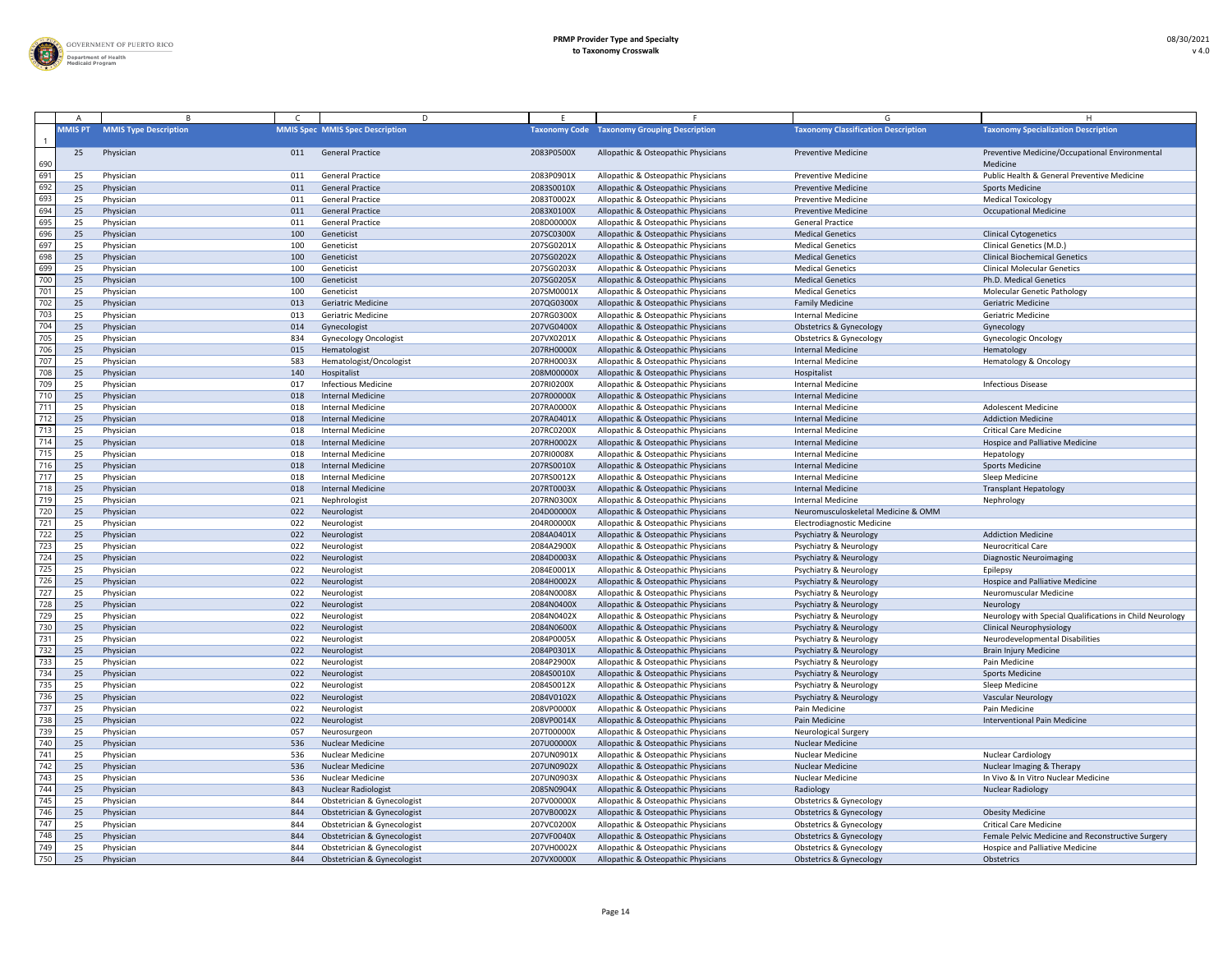

|     |                |                              |     | D                                      |            |                                                    |                                            |                                                            |
|-----|----------------|------------------------------|-----|----------------------------------------|------------|----------------------------------------------------|--------------------------------------------|------------------------------------------------------------|
|     | <b>MMIS PT</b> | <b>MMIS Type Description</b> |     | <b>MMIS Spec MMIS Spec Description</b> |            | <b>Taxonomy Code Taxonomy Grouping Description</b> | <b>Taxonomy Classification Description</b> | <b>Taxonomy Specialization Description</b>                 |
| 690 | 25             | Physician                    | 011 | <b>General Practice</b>                | 2083P0500X | Allopathic & Osteopathic Physicians                | <b>Preventive Medicine</b>                 | Preventive Medicine/Occupational Environmental<br>Medicine |
| 691 | 2!             | Physician                    | 011 | <b>General Practice</b>                | 2083P0901X | Allopathic & Osteopathic Physicians                | <b>Preventive Medicine</b>                 | Public Health & General Preventive Medicine                |
| 692 | 25             | Physician                    | 011 | <b>General Practice</b>                | 2083S0010X | Allopathic & Osteopathic Physicians                | <b>Preventive Medicine</b>                 | <b>Sports Medicine</b>                                     |
| 693 | 2!             | Physician                    | 011 | <b>General Practice</b>                | 2083T0002X | Allopathic & Osteopathic Physicians                | <b>Preventive Medicine</b>                 | <b>Medical Toxicology</b>                                  |
| 694 | 25             | Physician                    | 011 | <b>General Practice</b>                | 2083X0100X | Allopathic & Osteopathic Physicians                | <b>Preventive Medicine</b>                 | <b>Occupational Medicine</b>                               |
| 695 | 25             | Physician                    | 011 | <b>General Practice</b>                | 208D00000X | Allopathic & Osteopathic Physicians                | <b>General Practice</b>                    |                                                            |
| 696 | 25             | Physician                    | 100 | Geneticist                             | 207SC0300X | Allopathic & Osteopathic Physicians                | <b>Medical Genetics</b>                    | <b>Clinical Cytogenetics</b>                               |
| 697 | 25             | Physician                    | 100 | Geneticist                             | 207SG0201X | Allopathic & Osteopathic Physicians                | <b>Medical Genetics</b>                    | Clinical Genetics (M.D.)                                   |
| 698 | 25             | Physician                    | 100 | Geneticist                             | 207SG0202X | Allopathic & Osteopathic Physicians                | <b>Medical Genetics</b>                    | <b>Clinical Biochemical Genetics</b>                       |
| 699 | 2!             | Physician                    | 100 | Geneticist                             | 207SG0203X | Allopathic & Osteopathic Physicians                | <b>Medical Genetics</b>                    | <b>Clinical Molecular Genetics</b>                         |
| 700 | 25             | Physician                    | 100 | Geneticist                             | 207SG0205X | Allopathic & Osteopathic Physicians                | <b>Medical Genetics</b>                    | Ph.D. Medical Genetics                                     |
| 701 |                | Physician                    | 100 | Geneticist                             | 207SM0001X | Allopathic & Osteopathic Physicians                | <b>Medical Genetics</b>                    | <b>Molecular Genetic Pathology</b>                         |
| 702 | 25             | Physician                    | 013 | <b>Geriatric Medicine</b>              | 207QG0300X | Allopathic & Osteopathic Physicians                | <b>Family Medicine</b>                     | <b>Geriatric Medicine</b>                                  |
| 703 |                | Physician                    | 013 | <b>Geriatric Medicine</b>              | 207RG0300X | Allopathic & Osteopathic Physicians                | <b>Internal Medicine</b>                   | <b>Geriatric Medicine</b>                                  |
| 704 | 25             | Physician                    | 014 | Gynecologist                           | 207VG0400X | Allopathic & Osteopathic Physicians                | <b>Obstetrics &amp; Gynecology</b>         | Gynecology                                                 |
| 705 | 2!             | Physician                    | 834 | <b>Gynecology Oncologist</b>           | 207VX0201X | Allopathic & Osteopathic Physicians                | <b>Obstetrics &amp; Gynecology</b>         | <b>Gynecologic Oncology</b>                                |
| 706 | 25             | Physician                    | 015 | Hematologist                           | 207RH0000X | Allopathic & Osteopathic Physicians                | <b>Internal Medicine</b>                   | Hematology                                                 |
| 707 | 2!             | Physician                    | 583 | Hematologist/Oncologist                | 207RH0003X | Allopathic & Osteopathic Physicians                | <b>Internal Medicine</b>                   | <b>Hematology &amp; Oncology</b>                           |
| 708 | 25             | Physician                    | 140 | Hospitalist                            | 208M00000X | Allopathic & Osteopathic Physicians                | Hospitalist                                |                                                            |
| 709 | 25             | Physician                    | 017 | <b>Infectious Medicine</b>             | 207RI0200X | Allopathic & Osteopathic Physicians                | <b>Internal Medicine</b>                   | <b>Infectious Disease</b>                                  |
| 710 | 25             | Physician                    | 018 | <b>Internal Medicine</b>               | 207R00000X | Allopathic & Osteopathic Physicians                | <b>Internal Medicine</b>                   |                                                            |
| 711 | 25             | Physician                    | 018 | <b>Internal Medicine</b>               | 207RA0000X | Allopathic & Osteopathic Physicians                | <b>Internal Medicine</b>                   | <b>Adolescent Medicine</b>                                 |
| 712 | 25             | Physician                    | 018 | <b>Internal Medicine</b>               | 207RA0401X | Allopathic & Osteopathic Physicians                | <b>Internal Medicine</b>                   | <b>Addiction Medicine</b>                                  |
| 713 | 2!             | Physician                    | 018 | <b>Internal Medicine</b>               | 207RC0200X | Allopathic & Osteopathic Physicians                | <b>Internal Medicine</b>                   | <b>Critical Care Medicine</b>                              |
| 714 | 25             | Physician                    | 018 | <b>Internal Medicine</b>               | 207RH0002X | Allopathic & Osteopathic Physicians                | <b>Internal Medicine</b>                   | Hospice and Palliative Medicine                            |
| 715 |                | Physician                    | 018 | <b>Internal Medicine</b>               | 207RI0008X | Allopathic & Osteopathic Physicians                | <b>Internal Medicine</b>                   | Hepatology                                                 |
| 716 | 25             | Physician                    | 018 | <b>Internal Medicine</b>               | 207RS0010X | Allopathic & Osteopathic Physicians                | Internal Medicine                          | <b>Sports Medicine</b>                                     |
| 717 |                | Physician                    | 018 | <b>Internal Medicine</b>               | 207RS0012X | Allopathic & Osteopathic Physicians                | <b>Internal Medicine</b>                   | Sleep Medicine                                             |
| 718 | 25             | Physician                    | 018 | <b>Internal Medicine</b>               | 207RT0003X | Allopathic & Osteopathic Physicians                | <b>Internal Medicine</b>                   | <b>Transplant Hepatology</b>                               |
| 719 | 25             | Physician                    | 021 | Nephrologist                           | 207RN0300X | Allopathic & Osteopathic Physicians                | <b>Internal Medicine</b>                   | Nephrology                                                 |
| 720 | 25             | Physician                    | 022 | Neurologist                            | 204D00000X | Allopathic & Osteopathic Physicians                | Neuromusculoskeletal Medicine & OMM        |                                                            |
| 721 | 25             | Physician                    | 022 | Neurologist                            | 204R00000X | Allopathic & Osteopathic Physicians                | <b>Electrodiagnostic Medicine</b>          |                                                            |
| 722 | 25             | Physician                    | 022 | Neurologist                            | 2084A0401X | Allopathic & Osteopathic Physicians                | Psychiatry & Neurology                     | <b>Addiction Medicine</b>                                  |
| 723 | -25            | Physician                    | 022 | Neurologist                            | 2084A2900X | Allopathic & Osteopathic Physicians                | <b>Psychiatry &amp; Neurology</b>          | <b>Neurocritical Care</b>                                  |
| 724 | 25             | Physician                    | 022 | Neurologist                            | 2084D0003X | Allopathic & Osteopathic Physicians                | Psychiatry & Neurology                     | <b>Diagnostic Neuroimaging</b>                             |
| 725 | 25             | Physician                    | 022 | Neurologist                            | 2084E0001X | Allopathic & Osteopathic Physicians                | <b>Psychiatry &amp; Neurology</b>          | Epilepsy                                                   |
| 726 | 25             | Physician                    | 022 | Neurologist                            | 2084H0002X | Allopathic & Osteopathic Physicians                | <b>Psychiatry &amp; Neurology</b>          | Hospice and Palliative Medicine                            |
| 727 | 25             | Physician                    | 022 | Neurologist                            | 2084N0008X | Allopathic & Osteopathic Physicians                | <b>Psychiatry &amp; Neurology</b>          | Neuromuscular Medicine                                     |
| 728 | 25             | Physician                    | 022 | Neurologist                            | 2084N0400X | Allopathic & Osteopathic Physicians                | <b>Psychiatry &amp; Neurology</b>          | Neurology                                                  |
| 729 | 25             | Physician                    | 022 | Neurologist                            | 2084N0402X | Allopathic & Osteopathic Physicians                | <b>Psychiatry &amp; Neurology</b>          | Neurology with Special Qualifications in Child Neurology   |
| 730 | 25             | Physician                    | 022 | Neurologist                            | 2084N0600X | Allopathic & Osteopathic Physicians                | <b>Psychiatry &amp; Neurology</b>          | <b>Clinical Neurophysiology</b>                            |
| 731 |                | Physician                    | 022 | Neurologist                            | 2084P0005X | Allopathic & Osteopathic Physicians                | <b>Psychiatry &amp; Neurology</b>          | Neurodevelopmental Disabilities                            |
| 732 | 25             | Physician                    | 022 | Neurologist                            | 2084P0301X | Allopathic & Osteopathic Physicians                | <b>Psychiatry &amp; Neurology</b>          | <b>Brain Injury Medicine</b>                               |
| 733 | 25             | Physician                    | 022 | Neurologist                            | 2084P2900X | Allopathic & Osteopathic Physicians                | <b>Psychiatry &amp; Neurology</b>          | Pain Medicine                                              |
| 734 | 25             | Physician                    | 022 | Neurologist                            | 2084S0010X | Allopathic & Osteopathic Physicians                | <b>Psychiatry &amp; Neurology</b>          | <b>Sports Medicine</b>                                     |
| 735 | 25             | Physician                    | 022 | Neurologist                            | 2084S0012X | Allopathic & Osteopathic Physicians                | <b>Psychiatry &amp; Neurology</b>          | Sleep Medicine                                             |
| 736 | 25             | Physician                    | 022 | Neurologist                            | 2084V0102X | Allopathic & Osteopathic Physicians                | Psychiatry & Neurology                     | <b>Vascular Neurology</b>                                  |
| 737 | 25             | Physician                    | 022 | Neurologist                            | 208VP0000X | Allopathic & Osteopathic Physicians                | Pain Medicine                              | Pain Medicine                                              |
| 738 | 25             | Physician                    | 022 | Neurologist                            | 208VP0014X | Allopathic & Osteopathic Physicians                | Pain Medicine                              | <b>Interventional Pain Medicine</b>                        |
| 739 | 25             | Physician                    | 057 | Neurosurgeon                           | 207T00000X | Allopathic & Osteopathic Physicians                | <b>Neurological Surgery</b>                |                                                            |
| 740 | 25             | Physician                    | 536 | <b>Nuclear Medicine</b>                | 207U00000X | Allopathic & Osteopathic Physicians                | <b>Nuclear Medicine</b>                    |                                                            |
| 741 | 25             | Physician                    | 536 | Nuclear Medicine                       | 207UN0901X | Allopathic & Osteopathic Physicians                | <b>Nuclear Medicine</b>                    | <b>Nuclear Cardiology</b>                                  |
| 742 | 25             | Physician                    | 536 | <b>Nuclear Medicine</b>                | 207UN0902X | Allopathic & Osteopathic Physicians                | <b>Nuclear Medicine</b>                    | Nuclear Imaging & Therapy                                  |
| 743 | 25             | Physician                    | 536 | <b>Nuclear Medicine</b>                | 207UN0903X | Allopathic & Osteopathic Physicians                | Nuclear Medicine                           | In Vivo & In Vitro Nuclear Medicine                        |
| 744 | 25             | Physician                    | 843 | <b>Nuclear Radiologist</b>             | 2085N0904X | Allopathic & Osteopathic Physicians                | Radiology                                  | <b>Nuclear Radiology</b>                                   |
| 745 | 2!             | Physician                    | 844 | Obstetrician & Gynecologist            | 207V00000X | Allopathic & Osteopathic Physicians                | <b>Obstetrics &amp; Gynecology</b>         |                                                            |
| 746 | 25             | Physician                    | 844 | Obstetrician & Gynecologist            | 207VB0002X | Allopathic & Osteopathic Physicians                | <b>Obstetrics &amp; Gynecology</b>         | <b>Obesity Medicine</b>                                    |
| 747 |                | Physician                    | 844 | Obstetrician & Gynecologist            | 207VC0200X | Allopathic & Osteopathic Physicians                | <b>Obstetrics &amp; Gynecology</b>         | <b>Critical Care Medicine</b>                              |
| 748 | 25             | Physician                    | 844 | Obstetrician & Gynecologist            | 207VF0040X | Allopathic & Osteopathic Physicians                | <b>Obstetrics &amp; Gynecology</b>         | Female Pelvic Medicine and Reconstructive Surgery          |
| 749 | - 25           | Physician                    | 844 | Obstetrician & Gynecologist            | 207VH0002X | Allopathic & Osteopathic Physicians                | <b>Obstetrics &amp; Gynecology</b>         | <b>Hospice and Palliative Medicine</b>                     |
| 750 | 25             | Physician                    | 844 | Obstetrician & Gynecologist            | 207VX0000X | Allopathic & Osteopathic Physicians                | <b>Obstetrics &amp; Gynecology</b>         | Obstetrics                                                 |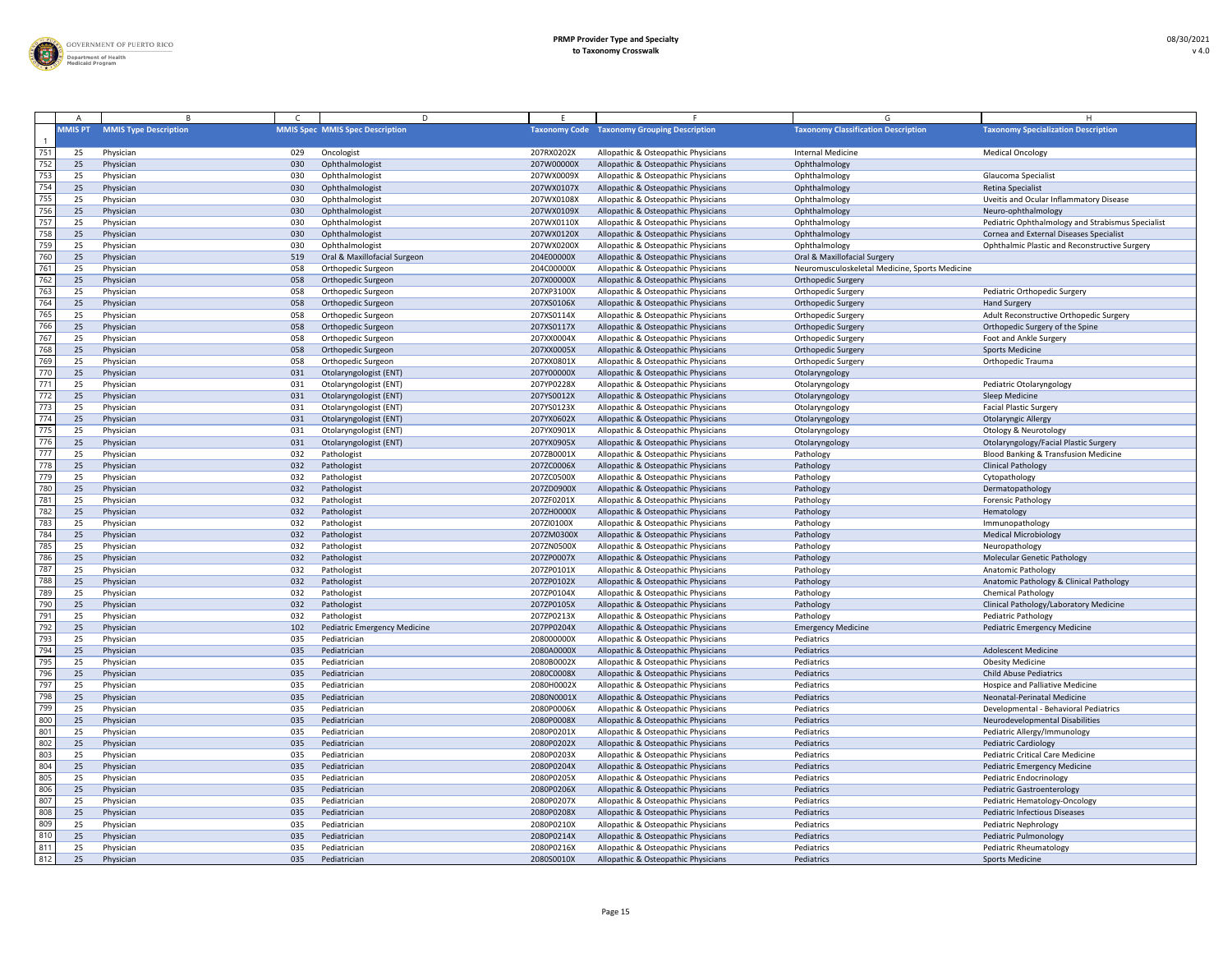

|            | <b>MMIS PT</b> | <b>MMIS Type Description</b> |            | <b>MMIS Spec MMIS Spec Description</b> |                          | <b>Taxonomy Code</b> Taxonomy Grouping Description                         | <b>Taxonomy Classification Description</b>     | <b>Taxonomy Specialization Description</b>                  |
|------------|----------------|------------------------------|------------|----------------------------------------|--------------------------|----------------------------------------------------------------------------|------------------------------------------------|-------------------------------------------------------------|
| 751        | 25             | Physician                    | 029        | Oncologist                             | 207RX0202X               | Allopathic & Osteopathic Physicians                                        | Internal Medicine                              | <b>Medical Oncology</b>                                     |
| 752        | 25             | Physician                    | 030        | Ophthalmologist                        | 207W00000)               | Allopathic & Osteopathic Physicians                                        | Ophthalmology                                  |                                                             |
| 753        | 25             | Physician                    | 030        | Ophthalmologist                        | 207WX0009X               | Allopathic & Osteopathic Physicians                                        | Ophthalmology                                  | Glaucoma Specialist                                         |
| 754        | 25             | Physician                    | 030        | Ophthalmologist                        | 207WX0107X               | Allopathic & Osteopathic Physicians                                        | Ophthalmology                                  | Retina Specialist                                           |
| 755        | 25             | Physician                    | 030        | Ophthalmologist                        | 207WX0108X               | Allopathic & Osteopathic Physicians                                        | Ophthalmology                                  | Uveitis and Ocular Inflammatory Disease                     |
| 756        | 25             | Physician                    | 030        | Ophthalmologist                        | 207WX0109X               | Allopathic & Osteopathic Physicians                                        | Ophthalmology                                  | Neuro-ophthalmology                                         |
| 757        | 25             | Physician                    | 030        | Ophthalmologist                        | 207WX0110X               | Allopathic & Osteopathic Physicians                                        | Ophthalmology                                  | Pediatric Ophthalmology and Strabismus Specialist           |
| 758        | 25             | Physician                    | 030        | Ophthalmologist                        | 207WX0120X               | Allopathic & Osteopathic Physicians                                        | Ophthalmology                                  | Cornea and External Diseases Specialist                     |
| 759        | 25             | Physician                    | 030        | Ophthalmologist                        | 207WX0200X               | Allopathic & Osteopathic Physicians                                        | Ophthalmology                                  | Ophthalmic Plastic and Reconstructive Surgery               |
| 760        | 25             | Physician                    | 519        | Oral & Maxillofacial Surgeon           | 204E00000X               | Allopathic & Osteopathic Physicians                                        | Oral & Maxillofacial Surgery                   |                                                             |
| 761        | 25             | Physician                    | 058        | Orthopedic Surgeon                     | 204C00000X               | Allopathic & Osteopathic Physicians                                        | Neuromusculoskeletal Medicine, Sports Medicine |                                                             |
| 762        | 25             | Physician                    | 058        | Orthopedic Surgeon                     | 207X00000X               | Allopathic & Osteopathic Physicians                                        | <b>Orthopedic Surgery</b>                      |                                                             |
| 763        | 25             | Physician                    | 058        | Orthopedic Surgeon                     | 207XP3100X               | Allopathic & Osteopathic Physicians                                        | <b>Orthopedic Surgery</b>                      | Pediatric Orthopedic Surgery                                |
| 764        | 25             | Physician                    | 058        | Orthopedic Surgeon                     | 207XS0106X               | Allopathic & Osteopathic Physicians                                        | <b>Orthopedic Surgery</b>                      | <b>Hand Surgery</b>                                         |
| 765        | 25             | Physician                    | 058        | Orthopedic Surgeon                     | 207XS0114X               | Allopathic & Osteopathic Physicians                                        | <b>Orthopedic Surgery</b>                      | Adult Reconstructive Orthopedic Surgery                     |
| 766        | 25             | Physician                    | 058        | Orthopedic Surgeon                     | 207XS0117X               | Allopathic & Osteopathic Physicians                                        | <b>Orthopedic Surgery</b>                      | Orthopedic Surgery of the Spine                             |
| 767        | 25             | Physician                    | 058        | Orthopedic Surgeon                     | 207XX0004X               | Allopathic & Osteopathic Physicians                                        | <b>Orthopedic Surgery</b>                      | Foot and Ankle Surgery                                      |
| 768        | 25             | Physician                    | 058        | Orthopedic Surgeon                     | 207XX0005X               | Allopathic & Osteopathic Physicians                                        | <b>Orthopedic Surgery</b>                      | <b>Sports Medicine</b>                                      |
| 769        | 25             | Physician                    | 058        | Orthopedic Surgeon                     | 207XX0801X               | Allopathic & Osteopathic Physicians                                        | <b>Orthopedic Surgery</b>                      | Orthopedic Trauma                                           |
| 770        | 25             | Physician                    | 031        | Otolaryngologist (ENT)                 | 207Y00000X               | Allopathic & Osteopathic Physicians                                        | Otolaryngology                                 |                                                             |
| 771        | 25             | Physician                    | 031        | Otolaryngologist (ENT)                 | 207YP0228X               | Allopathic & Osteopathic Physicians                                        | Otolaryngology                                 | Pediatric Otolaryngology                                    |
| 772        | 25             | Physician                    | 031        | Otolaryngologist (ENT)                 | 207YS0012X               | Allopathic & Osteopathic Physicians                                        | Otolaryngology                                 | Sleep Medicine                                              |
| 773        | 25             | Physician                    | 031        | Otolaryngologist (ENT)                 | 207YS0123X               | Allopathic & Osteopathic Physicians                                        | Otolaryngology                                 | <b>Facial Plastic Surgery</b>                               |
| 774        | 25             | Physician                    | 031        | Otolaryngologist (ENT)                 | 207YX0602X               | Allopathic & Osteopathic Physicians                                        | Otolaryngology                                 | <b>Otolaryngic Allergy</b>                                  |
| 775        | 25             | Physician                    | 031        | Otolaryngologist (ENT)                 | 207YX0901X               | Allopathic & Osteopathic Physicians                                        | Otolaryngology                                 | <b>Otology &amp; Neurotology</b>                            |
| 776        | 25             | Physician                    | 031        | Otolaryngologist (ENT)                 | 207YX0905X               | Allopathic & Osteopathic Physicians                                        | Otolaryngology                                 | Otolaryngology/Facial Plastic Surgery                       |
| 777        | 25             | Physician                    | 032        | Pathologist                            | 207ZB0001X               | Allopathic & Osteopathic Physicians                                        | Pathology                                      | <b>Blood Banking &amp; Transfusion Medicine</b>             |
| 778        | 25             | Physician                    | 032        | Pathologist                            | 207ZC0006X               | Allopathic & Osteopathic Physicians                                        | Pathology                                      | <b>Clinical Pathology</b>                                   |
| 779        | 25             | Physician                    | 032        | Pathologist                            | 207ZC0500X               | Allopathic & Osteopathic Physicians                                        | Pathology                                      | Cytopathology                                               |
| 780        | 25             | Physician                    | 032        | Pathologist                            | 207ZD0900X               | Allopathic & Osteopathic Physicians                                        | Pathology                                      | Dermatopathology                                            |
| 781        | 25             | Physician                    | 032        | Pathologist                            | 207ZF0201X               | Allopathic & Osteopathic Physicians                                        | Pathology                                      | <b>Forensic Pathology</b>                                   |
| 782        | 25             | Physician                    | 032        | Pathologist                            | 207ZH0000X               | Allopathic & Osteopathic Physicians                                        | Pathology                                      | Hematology                                                  |
| 783        | 25             | Physician                    | 032        | Pathologist                            | 207ZI0100X               | Allopathic & Osteopathic Physicians                                        | Pathology                                      | Immunopathology                                             |
| 784        | 25             | Physician                    | 032        | Pathologist                            | 207ZM0300X               | Allopathic & Osteopathic Physicians                                        | Pathology                                      | <b>Medical Microbiology</b>                                 |
| 785        | 25             | Physician                    | 032        | Pathologist                            | 207ZN0500X               | Allopathic & Osteopathic Physicians                                        | Pathology                                      | Neuropathology                                              |
| 786        | 25             | Physician                    | 032        | Pathologist                            | 207ZP0007X               | Allopathic & Osteopathic Physicians                                        | Pathology                                      | <b>Molecular Genetic Pathology</b>                          |
| 787        | 25             | Physician                    | 032        | Pathologist                            | 207ZP0101X               | Allopathic & Osteopathic Physicians                                        | Pathology                                      | <b>Anatomic Pathology</b>                                   |
| 788        | 25             | Physician                    | 032        | Pathologist                            | 207ZP0102X               | Allopathic & Osteopathic Physicians                                        | Pathology                                      | Anatomic Pathology & Clinical Pathology                     |
| 789        | 25             | Physician                    | 032        | Pathologist                            | 207ZP0104X               | Allopathic & Osteopathic Physicians                                        | Pathology                                      | <b>Chemical Pathology</b>                                   |
| 790        | 25             | Physician                    | 032        | Pathologist                            | 207ZP0105X               | Allopathic & Osteopathic Physicians                                        | Pathology                                      | Clinical Pathology/Laboratory Medicine                      |
| 791        | 25             | Physician                    | 032        | Pathologist                            | 207ZP0213X               | Allopathic & Osteopathic Physicians                                        | Pathology                                      | <b>Pediatric Pathology</b>                                  |
| 792<br>793 | 25             | Physician                    | 102        | <b>Pediatric Emergency Medicine</b>    | 207PP0204X               | Allopathic & Osteopathic Physicians                                        | <b>Emergency Medicine</b>                      | <b>Pediatric Emergency Medicine</b>                         |
|            | 25             | Physician                    | 035        | Pediatrician                           | 208000000X               | Allopathic & Osteopathic Physicians                                        | Pediatrics                                     |                                                             |
| 794<br>795 | 25             | Physician                    | 035        | Pediatrician                           | 2080A0000X               | Allopathic & Osteopathic Physicians                                        | Pediatrics                                     | <b>Adolescent Medicine</b>                                  |
| 796        | 25<br>25       | Physician<br>Physician       | 035<br>035 | Pediatrician<br>Pediatrician           | 2080B0002X<br>2080C0008X | Allopathic & Osteopathic Physicians<br>Allopathic & Osteopathic Physicians | Pediatrics<br>Pediatrics                       | <b>Obesity Medicine</b><br><b>Child Abuse Pediatrics</b>    |
| 797        | 25             |                              | 035        | Pediatrician                           |                          |                                                                            | Pediatrics                                     | Hospice and Palliative Medicine                             |
| 798        | 25             | Physician<br>Physician       | 035        | Pediatrician                           | 2080H0002X<br>2080N0001X | Allopathic & Osteopathic Physicians<br>Allopathic & Osteopathic Physicians | Pediatrics                                     | Neonatal-Perinatal Medicine                                 |
| 799        | 25             | Physician                    | 035        | Pediatrician                           | 2080P0006X               | Allopathic & Osteopathic Physicians                                        | Pediatrics                                     | Developmental - Behavioral Pediatrics                       |
| 800        | 25             | Physician                    | 035        | Pediatrician                           | 2080P0008X               | Allopathic & Osteopathic Physicians                                        | Pediatrics                                     | Neurodevelopmental Disabilities                             |
| 801        | 25             | Physician                    | 035        | Pediatrician                           | 2080P0201X               | Allopathic & Osteopathic Physicians                                        | Pediatrics                                     | Pediatric Allergy/Immunology                                |
| 802        | 25             | Physician                    | 035        | Pediatrician                           | 2080P0202X               | Allopathic & Osteopathic Physicians                                        | Pediatrics                                     | <b>Pediatric Cardiology</b>                                 |
| 803        | 25             | Physician                    | 035        | Pediatrician                           | 2080P0203X               | Allopathic & Osteopathic Physicians                                        | Pediatrics                                     | <b>Pediatric Critical Care Medicine</b>                     |
| 804        | 25             | Physician                    | 035        | Pediatrician                           | 2080P0204X               | Allopathic & Osteopathic Physicians                                        | Pediatrics                                     | <b>Pediatric Emergency Medicine</b>                         |
| 805        | 25             | Physician                    | 035        | Pediatrician                           | 2080P0205X               | Allopathic & Osteopathic Physicians                                        | Pediatrics                                     | Pediatric Endocrinology                                     |
| 806        | 25             | Physician                    | 035        | Pediatrician                           | 2080P0206X               | Allopathic & Osteopathic Physicians                                        | Pediatrics                                     | <b>Pediatric Gastroenterology</b>                           |
| 807        | 25             | Physician                    | 035        | Pediatrician                           | 2080P0207X               | Allopathic & Osteopathic Physicians                                        | Pediatrics                                     | Pediatric Hematology-Oncology                               |
| 808        | 25             | Physician                    | 035        | Pediatrician                           | 2080P0208X               | Allopathic & Osteopathic Physicians                                        | Pediatrics                                     | <b>Pediatric Infectious Diseases</b>                        |
| 809        |                | Physician                    | 035        | Pediatrician                           | 2080P0210X               | Allopathic & Osteopathic Physicians                                        | Pediatrics                                     |                                                             |
| 810        | 25             | Physician                    | 035        | Pediatrician                           | 2080P0214X               | Allopathic & Osteopathic Physicians                                        | Pediatrics                                     | <b>Pediatric Nephrology</b><br><b>Pediatric Pulmonology</b> |
| 811        | 25             | Physician                    | 035        | Pediatrician                           | 2080P0216X               | Allopathic & Osteopathic Physicians                                        | Pediatrics                                     | Pediatric Rheumatology                                      |
| 812        | 25             | Physician                    | 035        | Pediatrician                           | 2080S0010X               | Allopathic & Osteopathic Physicians                                        | Pediatrics                                     | <b>Sports Medicine</b>                                      |
|            |                |                              |            |                                        |                          |                                                                            |                                                |                                                             |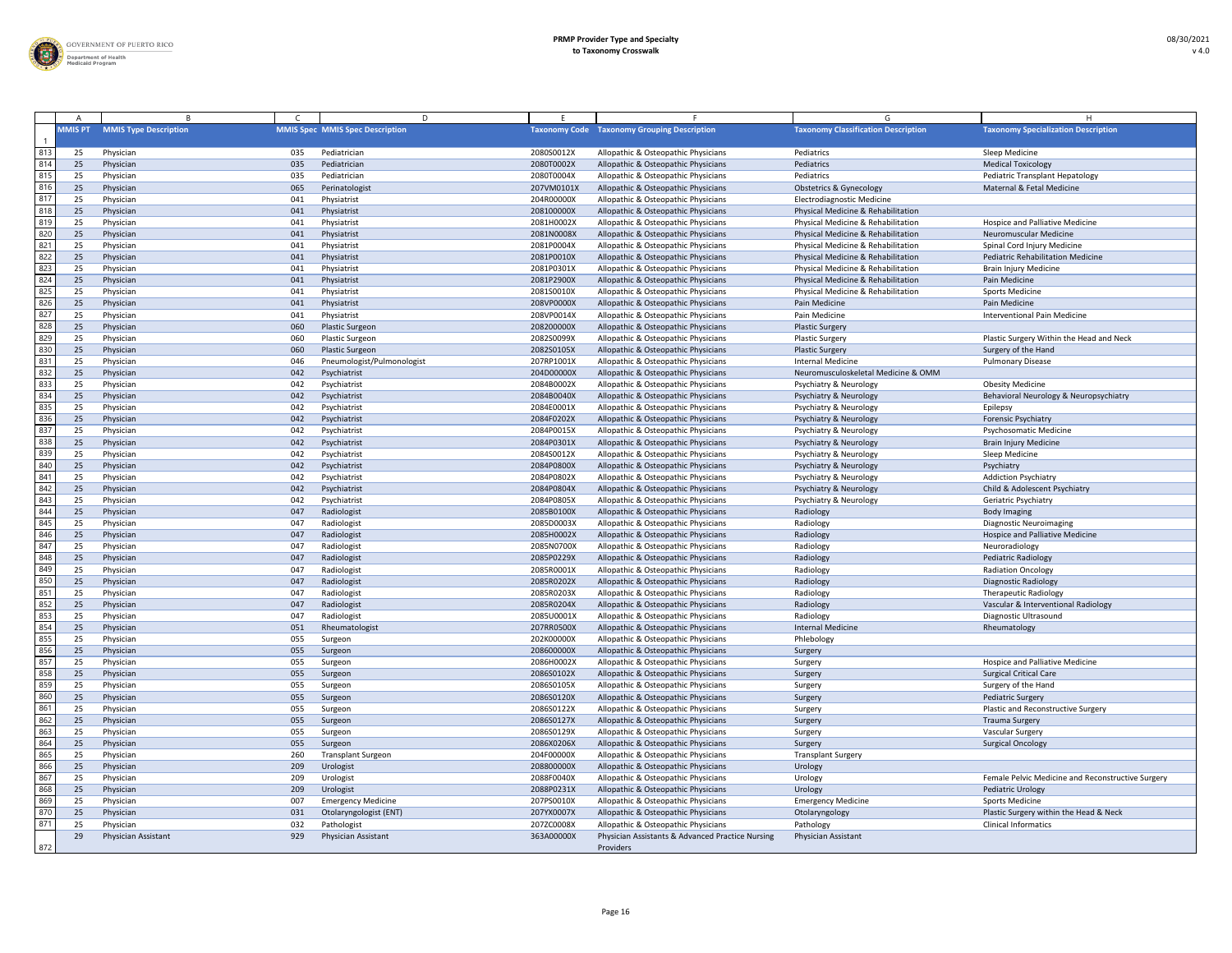

|            |                |                              |            | D.                                     |                          |                                                                            |                                                                        |                                                      |
|------------|----------------|------------------------------|------------|----------------------------------------|--------------------------|----------------------------------------------------------------------------|------------------------------------------------------------------------|------------------------------------------------------|
|            | <b>MMIS PT</b> | <b>MMIS Type Description</b> |            | <b>MMIS Spec MMIS Spec Description</b> |                          | <b>Taxonomy Code Taxonomy Grouping Description</b>                         | <b>Taxonomy Classification Description</b>                             | <b>Taxonomy Specialization Description</b>           |
| 813        | 25             | Physician                    | 035        | Pediatrician                           | 2080S0012X               | Allopathic & Osteopathic Physicians                                        | Pediatrics                                                             | Sleep Medicine                                       |
| 814        | 25             | Physician                    | 035        | Pediatrician                           | 2080T0002X               | Allopathic & Osteopathic Physicians                                        | Pediatrics                                                             | <b>Medical Toxicology</b>                            |
| 815        | 25             | Physician                    | 035        | Pediatrician                           | 2080T0004X               | Allopathic & Osteopathic Physicians                                        | Pediatrics                                                             | Pediatric Transplant Hepatology                      |
| 816        | 25             | Physician                    | 065        | Perinatologist                         | 207VM0101X               | Allopathic & Osteopathic Physicians                                        | <b>Obstetrics &amp; Gynecology</b>                                     | Maternal & Fetal Medicine                            |
| 817        | 25             | Physician                    | 041        | Physiatrist                            | 204R00000X               | Allopathic & Osteopathic Physicians                                        | <b>Electrodiagnostic Medicine</b>                                      |                                                      |
| 818        | 25             | Physician                    | 041        | Physiatrist                            | 208100000X               | Allopathic & Osteopathic Physicians                                        | Physical Medicine & Rehabilitation                                     |                                                      |
| 819        | 25             | Physician                    | 041        | Physiatrist                            | 2081H0002X               | Allopathic & Osteopathic Physicians                                        | Physical Medicine & Rehabilitation                                     | <b>Hospice and Palliative Medicine</b>               |
| 820        | 25             | Physician                    | 041        | Physiatrist                            | 2081N0008X               | Allopathic & Osteopathic Physicians                                        | Physical Medicine & Rehabilitation                                     | Neuromuscular Medicine                               |
| 821        | 25             | Physician                    | 041        | Physiatrist                            | 2081P0004X               | Allopathic & Osteopathic Physicians                                        | Physical Medicine & Rehabilitation                                     | Spinal Cord Injury Medicine                          |
| 822        | 25             | Physician                    | 041        | Physiatrist                            | 2081P0010X               | Allopathic & Osteopathic Physicians                                        | Physical Medicine & Rehabilitation                                     | <b>Pediatric Rehabilitation Medicine</b>             |
| 823        | 25             | Physician                    | 041        | Physiatrist                            | 2081P0301X               | Allopathic & Osteopathic Physicians                                        | Physical Medicine & Rehabilitation                                     | <b>Brain Injury Medicine</b>                         |
| 824        | 25             | Physician                    | 041        | Physiatrist                            | 2081P2900X               | Allopathic & Osteopathic Physicians                                        | Physical Medicine & Rehabilitation                                     | Pain Medicine                                        |
| 825        | 25             | Physician                    | 041        | Physiatrist                            | 2081S0010X               | Allopathic & Osteopathic Physicians                                        | Physical Medicine & Rehabilitation                                     | <b>Sports Medicine</b>                               |
| 826        | 25             | Physician                    | 041        | Physiatrist                            | 208VP0000X               | Allopathic & Osteopathic Physicians                                        | Pain Medicine                                                          | Pain Medicine                                        |
| 827        | 25             | Physician                    | 041        | Physiatrist                            | 208VP0014X               | Allopathic & Osteopathic Physicians                                        | Pain Medicine                                                          | <b>Interventional Pain Medicine</b>                  |
| 828        | 25             | Physician                    | 060        | <b>Plastic Surgeon</b>                 | 208200000X               | Allopathic & Osteopathic Physicians                                        | <b>Plastic Surgery</b>                                                 |                                                      |
| 829        | 25             | Physician                    | 060        | <b>Plastic Surgeon</b>                 | 2082S0099X               | Allopathic & Osteopathic Physicians                                        | <b>Plastic Surgery</b>                                                 | Plastic Surgery Within the Head and Neck             |
| 830        | 25             | Physician                    | 060        | <b>Plastic Surgeon</b>                 | 2082S0105X               | Allopathic & Osteopathic Physicians                                        | <b>Plastic Surgery</b>                                                 | Surgery of the Hand                                  |
| 831<br>832 | 25             | Physician                    | 046        | Pneumologist/Pulmonologist             | 207RP1001X               | Allopathic & Osteopathic Physicians                                        | <b>Internal Medicine</b>                                               | <b>Pulmonary Disease</b>                             |
| 833        | 25             | Physician                    | 042        | Psychiatrist<br>Psychiatrist           | 204D00000X<br>2084B0002X | Allopathic & Osteopathic Physicians                                        | Neuromusculoskeletal Medicine & OMM                                    |                                                      |
| 834        | -25<br>25      | Physician                    | 042<br>042 | Psychiatrist                           | 2084B0040X               | Allopathic & Osteopathic Physicians                                        | <b>Psychiatry &amp; Neurology</b>                                      | <b>Obesity Medicine</b>                              |
| 835        | 25             | Physician<br>Physician       | 042        | Psychiatrist                           | 2084E0001X               | Allopathic & Osteopathic Physicians<br>Allopathic & Osteopathic Physicians | <b>Psychiatry &amp; Neurology</b><br><b>Psychiatry &amp; Neurology</b> | Behavioral Neurology & Neuropsychiatry<br>Epilepsy   |
| 836        | 25             | Physician                    | 042        | Psychiatrist                           | 2084F0202X               | Allopathic & Osteopathic Physicians                                        | <b>Psychiatry &amp; Neurology</b>                                      | <b>Forensic Psychiatry</b>                           |
| 837        | 25             | Physician                    | 042        | Psychiatrist                           | 2084P0015X               | Allopathic & Osteopathic Physicians                                        | <b>Psychiatry &amp; Neurology</b>                                      | Psychosomatic Medicine                               |
| 838        | 25             | Physician                    | 042        | Psychiatrist                           | 2084P0301X               | Allopathic & Osteopathic Physicians                                        | <b>Psychiatry &amp; Neurology</b>                                      | <b>Brain Injury Medicine</b>                         |
| 839        | 25             | Physician                    | 042        | Psychiatrist                           | 2084S0012X               | Allopathic & Osteopathic Physicians                                        | <b>Psychiatry &amp; Neurology</b>                                      | Sleep Medicine                                       |
| 840        | 25             | Physician                    | 042        | Psychiatrist                           | 2084P0800X               | Allopathic & Osteopathic Physicians                                        | <b>Psychiatry &amp; Neurology</b>                                      | Psychiatry                                           |
| 841        | 25             | Physician                    | 042        | Psychiatrist                           | 2084P0802X               | Allopathic & Osteopathic Physicians                                        | <b>Psychiatry &amp; Neurology</b>                                      | <b>Addiction Psychiatry</b>                          |
| 842        | 25             | Physician                    | 042        | Psychiatrist                           | 2084P0804X               | Allopathic & Osteopathic Physicians                                        | Psychiatry & Neurology                                                 | Child & Adolescent Psychiatry                        |
| 843        | 25             | Physician                    | 042        | Psychiatrist                           | 2084P0805X               | Allopathic & Osteopathic Physicians                                        | <b>Psychiatry &amp; Neurology</b>                                      | Geriatric Psychiatry                                 |
| 844        | 25             | Physician                    | 047        | Radiologist                            | 2085B0100X               | Allopathic & Osteopathic Physicians                                        | Radiology                                                              | <b>Body Imaging</b>                                  |
| 845        | 25             | Physician                    | 047        | Radiologist                            | 2085D0003X               | Allopathic & Osteopathic Physicians                                        | Radiology                                                              | <b>Diagnostic Neuroimaging</b>                       |
| 846        | 25             | Physician                    | 047        | Radiologist                            | 2085H0002X               | Allopathic & Osteopathic Physicians                                        | Radiology                                                              | Hospice and Palliative Medicine                      |
| 847        | 25             | Physician                    | 047        | Radiologist                            | 2085N0700X               | Allopathic & Osteopathic Physicians                                        | Radiology                                                              | Neuroradiology                                       |
| 848        | 25             | Physician                    | 047        | Radiologist                            | 2085P0229X               | Allopathic & Osteopathic Physicians                                        | Radiology                                                              | <b>Pediatric Radiology</b>                           |
| 849        | 25             | Physician                    | 047        | Radiologist                            | 2085R0001X               | Allopathic & Osteopathic Physicians                                        | Radiology                                                              | <b>Radiation Oncology</b>                            |
| 850        | 25             | Physician                    | 047        | Radiologist                            | 2085R0202X               | Allopathic & Osteopathic Physicians                                        | Radiology                                                              | <b>Diagnostic Radiology</b>                          |
| 851        | 25             | Physician                    | 047        | Radiologist                            | 2085R0203X               | Allopathic & Osteopathic Physicians                                        | Radiology                                                              | <b>Therapeutic Radiology</b>                         |
| 852        | 25             | Physician                    | 047        | Radiologist                            | 2085R0204X               | Allopathic & Osteopathic Physicians                                        | Radiology                                                              | Vascular & Interventional Radiology                  |
| 853        | 25             | Physician                    | 047        | Radiologist                            | 2085U0001X               | Allopathic & Osteopathic Physicians                                        | Radiology                                                              | Diagnostic Ultrasound                                |
| 854        | 25             | Physician                    | 051        | Rheumatologist                         | 207RR0500X               | Allopathic & Osteopathic Physicians                                        | <b>Internal Medicine</b>                                               | Rheumatology                                         |
| 855        | 25             | Physician                    | 055        | Surgeon                                | 202K00000X               | Allopathic & Osteopathic Physicians                                        | Phlebology                                                             |                                                      |
| 856        | 25             | Physician                    | 055        | Surgeon                                | 208600000X               | Allopathic & Osteopathic Physicians                                        | Surgery                                                                |                                                      |
| 857        | 25             | Physician                    | 055        | Surgeon                                | 2086H0002X               | Allopathic & Osteopathic Physicians                                        | Surgery                                                                | <b>Hospice and Palliative Medicine</b>               |
| 858<br>859 | 25<br>25       | Physician<br>Physician       | 055        | Surgeon                                | 2086S0102X<br>2086S0105X | Allopathic & Osteopathic Physicians                                        | Surgery                                                                | <b>Surgical Critical Care</b><br>Surgery of the Hand |
| 860        | 25             | Physician                    | 055<br>055 | Surgeon<br>Surgeon                     | 2086S0120X               | Allopathic & Osteopathic Physicians<br>Allopathic & Osteopathic Physicians | Surgery<br>Surgery                                                     | <b>Pediatric Surgery</b>                             |
| 861        | 25             | Physician                    | 055        | Surgeon                                | 2086S0122X               | Allopathic & Osteopathic Physicians                                        | Surgery                                                                | Plastic and Reconstructive Surgery                   |
| 862        | 25             | Physician                    | 055        | Surgeon                                | 2086S0127X               | Allopathic & Osteopathic Physicians                                        | Surgery                                                                | <b>Trauma Surgery</b>                                |
| 863        | -25            | Physician                    | 055        | Surgeon                                | 2086S0129X               | Allopathic & Osteopathic Physicians                                        | Surgery                                                                | <b>Vascular Surgery</b>                              |
| 864        | 25             | Physician                    | 055        | Surgeon                                | 2086X0206X               | Allopathic & Osteopathic Physicians                                        | Surgery                                                                | <b>Surgical Oncology</b>                             |
| 865        | 25             | Physician                    | 260        | <b>Transplant Surgeon</b>              | 204F00000X               | Allopathic & Osteopathic Physicians                                        | <b>Transplant Surgery</b>                                              |                                                      |
| 866        | 25             | Physician                    | 209        | Urologist                              | 208800000X               | Allopathic & Osteopathic Physicians                                        | Urology                                                                |                                                      |
| 867        | 25             | Physician                    | 209        | Urologist                              | 2088F0040X               | Allopathic & Osteopathic Physicians                                        | Urology                                                                | Female Pelvic Medicine and Reconstructive Surgery    |
| 868        | 25             | Physician                    | 209        | Urologist                              | 2088P0231X               | Allopathic & Osteopathic Physicians                                        | Urology                                                                | <b>Pediatric Urology</b>                             |
| 869        | 25             | Physician                    | 007        | <b>Emergency Medicine</b>              | 207PS0010X               | Allopathic & Osteopathic Physicians                                        | <b>Emergency Medicine</b>                                              | <b>Sports Medicine</b>                               |
| 870        | 25             | Physician                    | 031        | Otolaryngologist (ENT)                 | 207YX0007X               | Allopathic & Osteopathic Physicians                                        | Otolaryngology                                                         | Plastic Surgery within the Head & Neck               |
| 871        | 25             | Physician                    | 032        | Pathologist                            | 207ZC0008X               | Allopathic & Osteopathic Physicians                                        | Pathology                                                              | <b>Clinical Informatics</b>                          |
|            | 29             | Physician Assistant          | 929        | Physician Assistant                    | 363A00000X               | Physician Assistants & Advanced Practice Nursing                           | Physician Assistant                                                    |                                                      |
| 872        |                |                              |            |                                        |                          | Providers                                                                  |                                                                        |                                                      |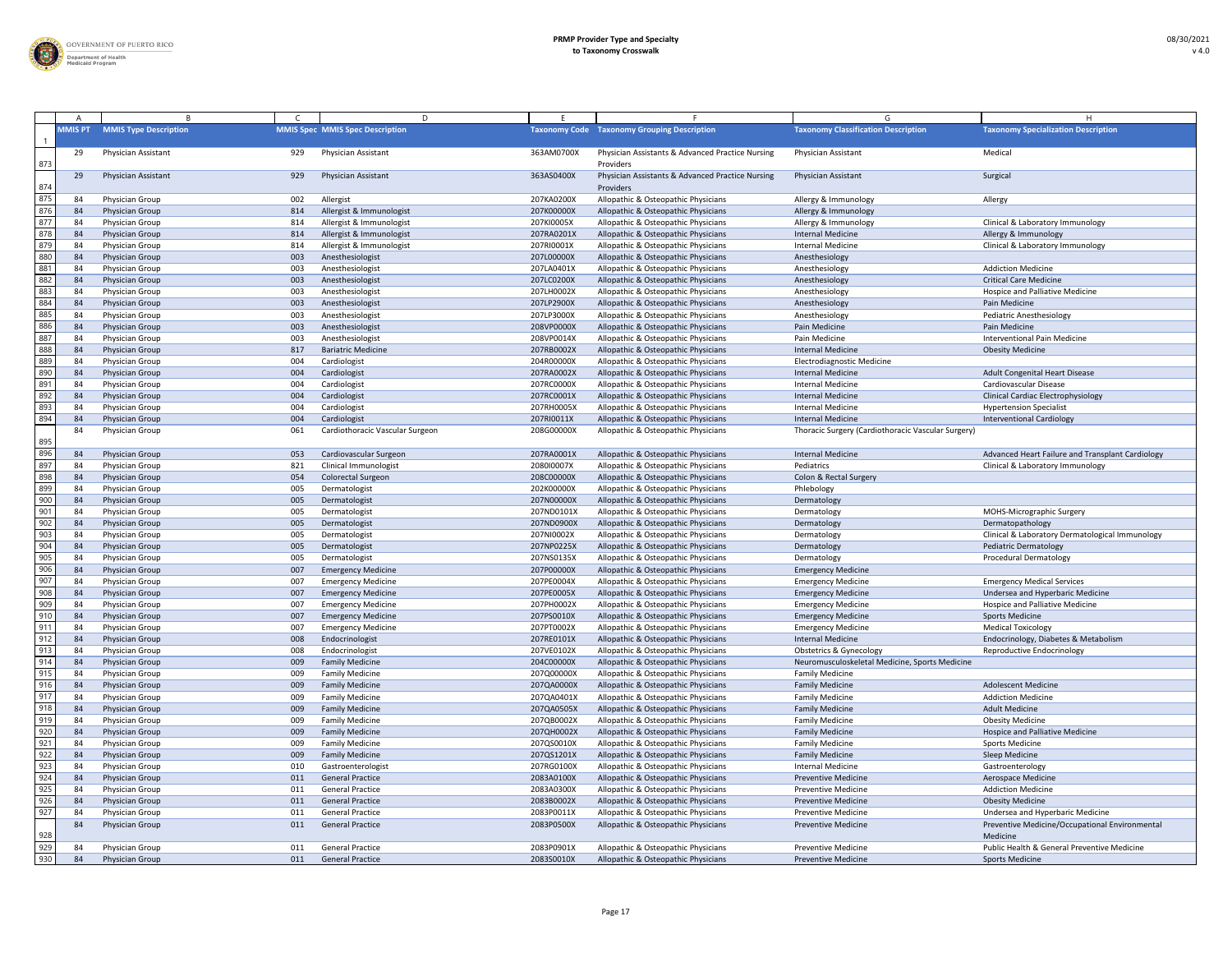

|     |                |                              |     | D                                      |            |                                                               |                                                    |                                                            |
|-----|----------------|------------------------------|-----|----------------------------------------|------------|---------------------------------------------------------------|----------------------------------------------------|------------------------------------------------------------|
|     | <b>MMISPT</b>  | <b>MMIS Type Description</b> |     | <b>MMIS Spec MMIS Spec Description</b> |            | <b>Taxonomy Code Taxonomy Grouping Description</b>            | <b>Taxonomy Classification Description</b>         | <b>Taxonomy Specialization Description</b>                 |
| 873 | 29             | Physician Assistant          | 929 | Physician Assistant                    | 363AM0700X | Physician Assistants & Advanced Practice Nursing<br>Providers | <b>Physician Assistant</b>                         | Medical                                                    |
| 874 | 29             | Physician Assistant          | 929 | <b>Physician Assistant</b>             | 363AS0400X | Physician Assistants & Advanced Practice Nursing<br>Providers | <b>Physician Assistant</b>                         | Surgical                                                   |
| 875 | 8،             | Physician Group              | 002 | Allergist                              | 207KA0200X | Allopathic & Osteopathic Physicians                           | Allergy & Immunology                               | Allergy                                                    |
| 876 | 84             | Physician Group              | 814 | Allergist & Immunologist               | 207K00000X | Allopathic & Osteopathic Physicians                           | Allergy & Immunology                               |                                                            |
| 877 | 8،             | Physician Group              | 814 | Allergist & Immunologist               | 207KI0005X | Allopathic & Osteopathic Physicians                           | Allergy & Immunology                               | Clinical & Laboratory Immunology                           |
| 878 | 84             | Physician Group              | 814 | Allergist & Immunologist               | 207RA0201X | Allopathic & Osteopathic Physicians                           | <b>Internal Medicine</b>                           | Allergy & Immunology                                       |
| 879 |                | Physician Group              | 814 | Allergist & Immunologist               | 207RI0001X | Allopathic & Osteopathic Physicians                           | <b>Internal Medicine</b>                           | Clinical & Laboratory Immunology                           |
| 880 | 84             | Physician Group              | 003 | Anesthesiologist                       | 207L00000X | Allopathic & Osteopathic Physicians                           | Anesthesiology                                     |                                                            |
| 881 | 8،             | Physician Group              | 003 | Anesthesiologist                       | 207LA0401X | Allopathic & Osteopathic Physicians                           | Anesthesiology                                     | <b>Addiction Medicine</b>                                  |
| 882 | 84             | Physician Group              | 003 | Anesthesiologist                       | 207LC0200X | Allopathic & Osteopathic Physicians                           | Anesthesiology                                     | <b>Critical Care Medicine</b>                              |
| 883 | 8،             | Physician Group              | 003 | Anesthesiologist                       | 207LH0002X | Allopathic & Osteopathic Physicians                           | Anesthesiology                                     | <b>Hospice and Palliative Medicine</b>                     |
| 884 | 84             | Physician Group              | 003 | Anesthesiologist                       | 207LP2900X | Allopathic & Osteopathic Physicians                           | Anesthesiology                                     | Pain Medicine                                              |
| 885 | 8،             | Physician Group              | 003 | Anesthesiologist                       | 207LP3000X | Allopathic & Osteopathic Physicians                           | Anesthesiology                                     | Pediatric Anesthesiology                                   |
| 886 | 84             | Physician Group              | 003 | Anesthesiologist                       | 208VP0000X | Allopathic & Osteopathic Physicians                           | Pain Medicine                                      | Pain Medicine                                              |
| 887 | 84             | Physician Group              | 003 | Anesthesiologist                       | 208VP0014X | Allopathic & Osteopathic Physicians                           | Pain Medicine                                      | <b>Interventional Pain Medicine</b>                        |
| 888 | 84             | Physician Group              | 817 | <b>Bariatric Medicine</b>              | 207RB0002X | Allopathic & Osteopathic Physicians                           | <b>Internal Medicine</b>                           | <b>Obesity Medicine</b>                                    |
| 889 | 84             | Physician Group              | 004 | Cardiologist                           | 204R00000X | Allopathic & Osteopathic Physicians                           | <b>Electrodiagnostic Medicine</b>                  |                                                            |
| 890 | 84             | Physician Group              | 004 | Cardiologist                           | 207RA0002X | Allopathic & Osteopathic Physicians                           | <b>Internal Medicine</b>                           | Adult Congenital Heart Disease                             |
| 891 | 8 <sub>4</sub> | Physician Group              | 004 | Cardiologist                           | 207RC0000X | Allopathic & Osteopathic Physicians                           | <b>Internal Medicine</b>                           | Cardiovascular Disease                                     |
| 892 | 84             | Physician Group              | 004 | Cardiologist                           | 207RC0001X | Allopathic & Osteopathic Physicians                           | <b>Internal Medicine</b>                           | <b>Clinical Cardiac Electrophysiology</b>                  |
| 893 |                | Physician Group              | 004 | Cardiologist                           | 207RH0005X | Allopathic & Osteopathic Physicians                           | <b>Internal Medicine</b>                           | <b>Hypertension Specialist</b>                             |
| 894 | 84             | Physician Group              | 004 | Cardiologist                           | 207RI0011X | Allopathic & Osteopathic Physicians                           | <b>Internal Medicine</b>                           | <b>Interventional Cardiology</b>                           |
|     | 84             | Physician Group              | 061 | Cardiothoracic Vascular Surgeon        | 208G00000X | Allopathic & Osteopathic Physicians                           | Thoracic Surgery (Cardiothoracic Vascular Surgery) |                                                            |
| 895 |                |                              |     |                                        |            |                                                               |                                                    |                                                            |
| 896 | 84             | Physician Group              | 053 | Cardiovascular Surgeon                 | 207RA0001X | Allopathic & Osteopathic Physicians                           | <b>Internal Medicine</b>                           | Advanced Heart Failure and Transplant Cardiology           |
| 897 | -84            | <b>Physician Group</b>       | 821 | Clinical Immunologist                  | 2080I0007X | Allopathic & Osteopathic Physicians                           | Pediatrics                                         | Clinical & Laboratory Immunology                           |
| 898 | 84             | Physician Group              | 054 | <b>Colorectal Surgeon</b>              | 208C00000X | Allopathic & Osteopathic Physicians                           | Colon & Rectal Surgery                             |                                                            |
| 899 | 8،             | Physician Group              | 005 | Dermatologist                          | 202K00000X | Allopathic & Osteopathic Physicians                           | Phlebology                                         |                                                            |
| 900 | 84             | Physician Group              | 005 | Dermatologist                          | 207N00000X | Allopathic & Osteopathic Physicians                           | Dermatology                                        |                                                            |
| 901 | 84             | Physician Group              | 005 | Dermatologist                          | 207ND0101X | Allopathic & Osteopathic Physicians                           | Dermatology                                        | <b>MOHS-Micrographic Surgery</b>                           |
| 902 | 84             | Physician Group              | 005 | Dermatologist                          | 207ND0900X | Allopathic & Osteopathic Physicians                           | Dermatology                                        | Dermatopathology                                           |
| 903 | 84             | Physician Group              | 005 | Dermatologist                          | 207NI0002X | Allopathic & Osteopathic Physicians                           | Dermatology                                        | Clinical & Laboratory Dermatological Immunology            |
| 904 | 84             | Physician Group              | 005 | Dermatologist                          | 207NP0225X | Allopathic & Osteopathic Physicians                           | Dermatology                                        | Pediatric Dermatology                                      |
| 905 | 8،             | Physician Group              | 005 | Dermatologist                          | 207NS0135X | Allopathic & Osteopathic Physicians                           | Dermatology                                        | <b>Procedural Dermatology</b>                              |
| 906 | 84             | Physician Group              | 007 | <b>Emergency Medicine</b>              | 207P00000X | Allopathic & Osteopathic Physicians                           | <b>Emergency Medicine</b>                          |                                                            |
| 907 | 8،             | Physician Group              | 007 | <b>Emergency Medicine</b>              | 207PE0004X | Allopathic & Osteopathic Physicians                           | <b>Emergency Medicine</b>                          | <b>Emergency Medical Services</b>                          |
| 908 | -84            | Physician Group              | 007 | <b>Emergency Medicine</b>              | 207PE0005X | Allopathic & Osteopathic Physicians                           | <b>Emergency Medicine</b>                          | Undersea and Hyperbaric Medicine                           |
| 909 | 8،             | Physician Group              | 007 | <b>Emergency Medicine</b>              | 207PH0002X | Allopathic & Osteopathic Physicians                           | <b>Emergency Medicine</b>                          | Hospice and Palliative Medicine                            |
| 910 | 84             | Physician Group              | 007 | <b>Emergency Medicine</b>              | 207PS0010X | Allopathic & Osteopathic Physicians                           | <b>Emergency Medicine</b>                          | <b>Sports Medicine</b>                                     |
| 911 | 84             | Physician Group              | 007 | <b>Emergency Medicine</b>              | 207PT0002X | Allopathic & Osteopathic Physicians                           | <b>Emergency Medicine</b>                          | <b>Medical Toxicology</b>                                  |
| 912 | 84             | Physician Group              | 008 | Endocrinologist                        | 207RE0101X | Allopathic & Osteopathic Physicians                           | <b>Internal Medicine</b>                           | Endocrinology, Diabetes & Metabolism                       |
| 913 | 8،             | Physician Group              | 008 | Endocrinologist                        | 207VE0102X | Allopathic & Osteopathic Physicians                           | <b>Obstetrics &amp; Gynecology</b>                 | Reproductive Endocrinology                                 |
| 914 | 84             | Physician Group              | 009 | <b>Family Medicine</b>                 | 204C00000X | Allopathic & Osteopathic Physicians                           | Neuromusculoskeletal Medicine, Sports Medicine     |                                                            |
| 915 | 8،             | Physician Group              | 009 | <b>Family Medicine</b>                 | 207Q00000X | Allopathic & Osteopathic Physicians                           | <b>Family Medicine</b>                             |                                                            |
| 916 | 84             | Physician Group              | 009 | <b>Family Medicine</b>                 | 207QA0000X | Allopathic & Osteopathic Physicians                           | <b>Family Medicine</b>                             | <b>Adolescent Medicine</b>                                 |
| 917 |                | Physician Group              | 009 | <b>Family Medicine</b>                 | 207QA0401X | Allopathic & Osteopathic Physicians                           | <b>Family Medicine</b>                             | <b>Addiction Medicine</b>                                  |
| 918 | 84             | Physician Group              | 009 | <b>Family Medicine</b>                 | 207QA0505X | Allopathic & Osteopathic Physicians                           | <b>Family Medicine</b>                             | <b>Adult Medicine</b>                                      |
| 919 | 84             | Physician Group              | 009 | <b>Family Medicine</b>                 | 207QB0002X | Allopathic & Osteopathic Physicians                           | <b>Family Medicine</b>                             | <b>Obesity Medicine</b>                                    |
| 920 | 84             | Physician Group              | 009 | <b>Family Medicine</b>                 | 207QH0002X | Allopathic & Osteopathic Physicians                           | <b>Family Medicine</b>                             | <b>Hospice and Palliative Medicine</b>                     |
| 921 | 8،             | Physician Group              | 009 | <b>Family Medicine</b>                 | 207QS0010X | Allopathic & Osteopathic Physicians                           | <b>Family Medicine</b>                             | <b>Sports Medicine</b>                                     |
| 922 | 84             | Physician Group              | 009 | <b>Family Medicine</b>                 | 207QS1201X | Allopathic & Osteopathic Physicians                           | <b>Family Medicine</b>                             | Sleep Medicine                                             |
| 923 | 8،             | Physician Group              | 010 | Gastroenterologist                     | 207RG0100X | Allopathic & Osteopathic Physicians                           | <b>Internal Medicine</b>                           | Gastroenterology                                           |
| 924 | 84             | Physician Group              | 011 | <b>General Practice</b>                | 2083A0100X | Allopathic & Osteopathic Physicians                           | <b>Preventive Medicine</b>                         | Aerospace Medicine                                         |
| 925 | 84             | Physician Group              | 011 | <b>General Practice</b>                | 2083A0300X | Allopathic & Osteopathic Physicians                           | <b>Preventive Medicine</b>                         | <b>Addiction Medicine</b>                                  |
| 926 | 84             | Physician Group              | 011 | <b>General Practice</b>                | 2083B0002X | Allopathic & Osteopathic Physicians                           | <b>Preventive Medicine</b>                         | <b>Obesity Medicine</b>                                    |
| 927 |                | Physician Group              | 011 | <b>General Practice</b>                | 2083P0011X | Allopathic & Osteopathic Physicians                           | <b>Preventive Medicine</b>                         | Undersea and Hyperbaric Medicine                           |
|     |                |                              |     |                                        |            |                                                               |                                                    |                                                            |
| 928 |                | <b>Physician Group</b>       | 011 | <b>General Practice</b>                | 2083P0500X | Allopathic & Osteopathic Physicians                           | <b>Preventive Medicine</b>                         | Preventive Medicine/Occupational Environmental<br>Medicine |
| 929 |                | Physician Group              | 011 | <b>General Practice</b>                | 2083P0901X | Allopathic & Osteopathic Physicians                           | <b>Preventive Medicine</b>                         | Public Health & General Preventive Medicine                |
| 930 | - 84           | Physician Group              | 011 | <b>General Practice</b>                | 2083S0010X | Allopathic & Osteopathic Physicians                           | <b>Preventive Medicine</b>                         | <b>Sports Medicine</b>                                     |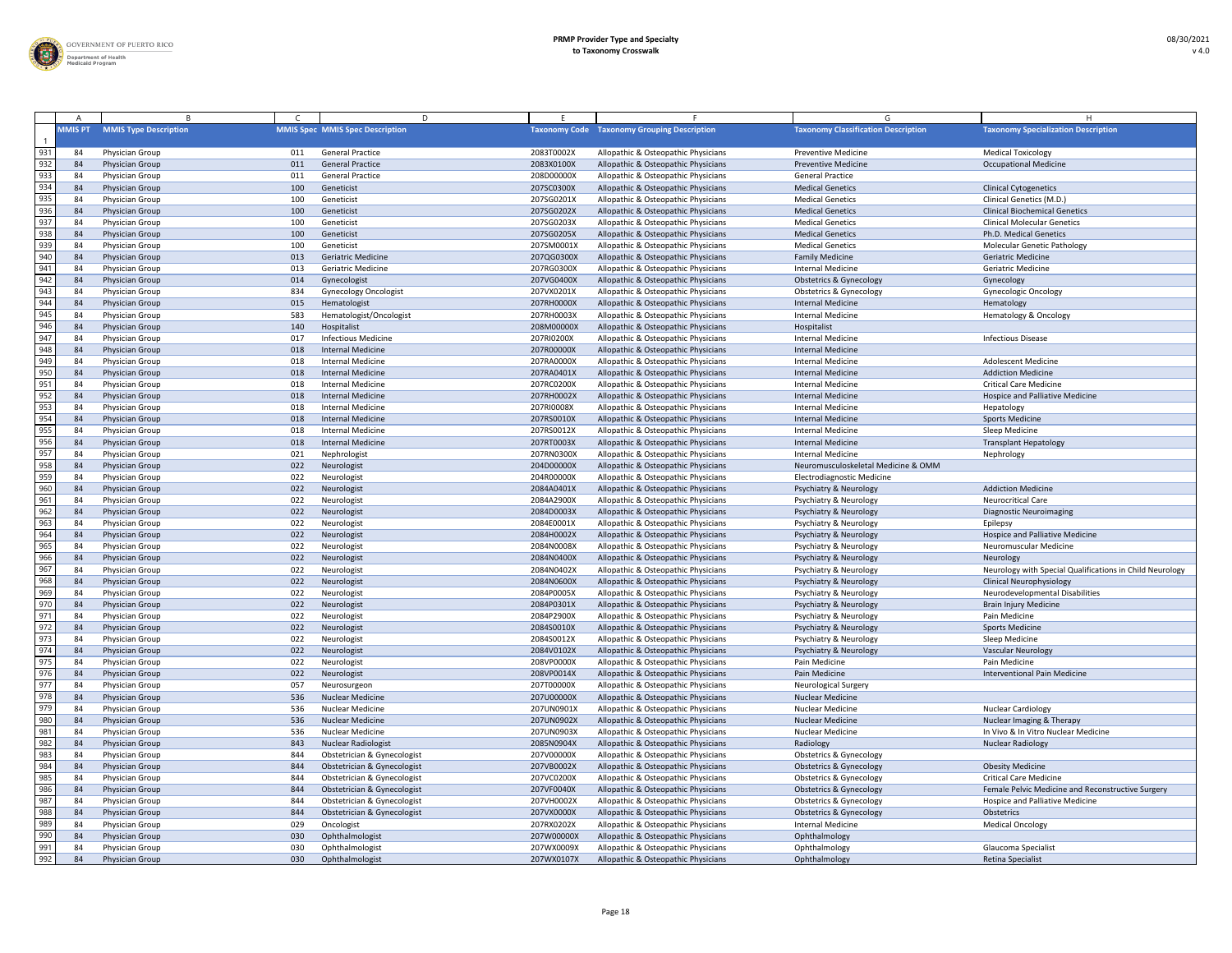

|                  |                |                                    |            | D.                                                         |                          |                                                                            |                                                                          |                                                          |
|------------------|----------------|------------------------------------|------------|------------------------------------------------------------|--------------------------|----------------------------------------------------------------------------|--------------------------------------------------------------------------|----------------------------------------------------------|
|                  | <b>MMIS PT</b> | <b>MMIS Type Description</b>       |            | <b>MMIS Spec MMIS Spec Description</b>                     |                          | <b>Taxonomy Code Taxonomy Grouping Description</b>                         | <b>Taxonomy Classification Description</b>                               | <b>Taxonomy Specialization Description</b>               |
| 931              | 84             | Physician Group                    | 011        | <b>General Practice</b>                                    | 2083T0002X               | Allopathic & Osteopathic Physicians                                        | <b>Preventive Medicine</b>                                               | <b>Medical Toxicology</b>                                |
| 932              | -84            | Physician Group                    | 011        | <b>General Practice</b>                                    | 2083X0100X               | Allopathic & Osteopathic Physicians                                        | <b>Preventive Medicine</b>                                               | <b>Occupational Medicine</b>                             |
| 933              | 84             | Physician Group                    | 011        | <b>General Practice</b>                                    | 208D00000X               | Allopathic & Osteopathic Physicians                                        | <b>General Practice</b>                                                  |                                                          |
| 934              | -84            | Physician Group                    | 100        | Geneticist                                                 | 207SC0300X               | Allopathic & Osteopathic Physicians                                        | <b>Medical Genetics</b>                                                  | <b>Clinical Cytogenetics</b>                             |
| 935              | -84            | Physician Group                    | 100        | Geneticist                                                 | 207SG0201X               | Allopathic & Osteopathic Physicians                                        | <b>Medical Genetics</b>                                                  | Clinical Genetics (M.D.)                                 |
| 936              | -84            | Physician Group                    | 100        | Geneticist                                                 | 207SG0202X               | Allopathic & Osteopathic Physicians                                        | <b>Medical Genetics</b>                                                  | <b>Clinical Biochemical Genetics</b>                     |
| 937              | 84             | Physician Group                    | 100        | Geneticist                                                 | 207SG0203X               | Allopathic & Osteopathic Physicians                                        | <b>Medical Genetics</b>                                                  | <b>Clinical Molecular Genetics</b>                       |
| $93\overline{8}$ | 84             | Physician Group                    | 100        | Geneticist                                                 | 207SG0205X               | Allopathic & Osteopathic Physicians                                        | <b>Medical Genetics</b>                                                  | Ph.D. Medical Genetics                                   |
| 939              | 84             | Physician Group                    | 100        | Geneticist                                                 | 207SM0001X               | Allopathic & Osteopathic Physicians                                        | <b>Medical Genetics</b>                                                  | <b>Molecular Genetic Pathology</b>                       |
| 940              | -84            | Physician Group                    | 013        | <b>Geriatric Medicine</b>                                  | 207QG0300X               | Allopathic & Osteopathic Physicians                                        | <b>Family Medicine</b>                                                   | <b>Geriatric Medicine</b>                                |
| 941              | 84             | Physician Group                    | 013        | <b>Geriatric Medicine</b>                                  | 207RG0300X               | Allopathic & Osteopathic Physicians                                        | <b>Internal Medicine</b>                                                 | <b>Geriatric Medicine</b>                                |
| 942<br>943       | 84             | Physician Group                    | 014        | Gynecologist                                               | 207VG0400X               | Allopathic & Osteopathic Physicians                                        | <b>Obstetrics &amp; Gynecology</b>                                       | Gynecology                                               |
| 944              | 84             | Physician Group                    | 834        | <b>Gynecology Oncologist</b>                               | 207VX0201X               | Allopathic & Osteopathic Physicians                                        | <b>Obstetrics &amp; Gynecology</b>                                       | <b>Gynecologic Oncology</b>                              |
|                  | -84            | Physician Group                    | 015        | Hematologist                                               | 207RH0000X               | Allopathic & Osteopathic Physicians                                        | <b>Internal Medicine</b>                                                 | Hematology                                               |
| 945<br>946       | 8،             | Physician Group                    | 583        | Hematologist/Oncologist                                    | 207RH0003X               | Allopathic & Osteopathic Physicians                                        | <b>Internal Medicine</b>                                                 | Hematology & Oncology                                    |
| 947              | -84            | Physician Group                    | 140        | Hospitalist<br><b>Infectious Medicine</b>                  | 208M00000X               | Allopathic & Osteopathic Physicians                                        | Hospitalist<br><b>Internal Medicine</b>                                  | <b>Infectious Disease</b>                                |
| 948              | 84             | Physician Group<br>Physician Group | 017<br>018 | <b>Internal Medicine</b>                                   | 207RI0200X<br>207R00000X | Allopathic & Osteopathic Physicians<br>Allopathic & Osteopathic Physicians | <b>Internal Medicine</b>                                                 |                                                          |
| 949              | -84<br>84      | Physician Group                    | 018        | <b>Internal Medicine</b>                                   | 207RA0000X               | Allopathic & Osteopathic Physicians                                        | <b>Internal Medicine</b>                                                 | <b>Adolescent Medicine</b>                               |
| 950              | 84             | Physician Group                    | 018        | <b>Internal Medicine</b>                                   | 207RA0401X               | Allopathic & Osteopathic Physicians                                        | <b>Internal Medicine</b>                                                 | <b>Addiction Medicine</b>                                |
| 951              | 84             | Physician Group                    | 018        | <b>Internal Medicine</b>                                   | 207RC0200X               | Allopathic & Osteopathic Physicians                                        | <b>Internal Medicine</b>                                                 | <b>Critical Care Medicine</b>                            |
| 952              | -84            | Physician Group                    | 018        | <b>Internal Medicine</b>                                   | 207RH0002X               | Allopathic & Osteopathic Physicians                                        | <b>Internal Medicine</b>                                                 | Hospice and Palliative Medicine                          |
| 953              | 84             | Physician Group                    | 018        | <b>Internal Medicine</b>                                   | 207RI0008X               | Allopathic & Osteopathic Physicians                                        | Internal Medicine                                                        | Hepatology                                               |
| 954              | -84            | Physician Group                    | 018        | <b>Internal Medicine</b>                                   | 207RS0010X               | Allopathic & Osteopathic Physicians                                        | <b>Internal Medicine</b>                                                 | <b>Sports Medicine</b>                                   |
| 955              | 84             | Physician Group                    | 018        | <b>Internal Medicine</b>                                   | 207RS0012X               | Allopathic & Osteopathic Physicians                                        | <b>Internal Medicine</b>                                                 | Sleep Medicine                                           |
| 956              | -84            | Physician Group                    | 018        | <b>Internal Medicine</b>                                   | 207RT0003X               | Allopathic & Osteopathic Physicians                                        | <b>Internal Medicine</b>                                                 | <b>Transplant Hepatology</b>                             |
| 957              | -84            | Physician Group                    | 021        | Nephrologist                                               | 207RN0300X               | Allopathic & Osteopathic Physicians                                        | <b>Internal Medicine</b>                                                 | Nephrology                                               |
| 958              | 84             | Physician Group                    | 022        | Neurologist                                                | 204D00000X               | Allopathic & Osteopathic Physicians                                        | Neuromusculoskeletal Medicine & OMM                                      |                                                          |
| 959              | -84            | Physician Group                    | 022        | Neurologist                                                | 204R00000X               | Allopathic & Osteopathic Physicians                                        | <b>Electrodiagnostic Medicine</b>                                        |                                                          |
| 960              | -84            | Physician Group                    | 022        | Neurologist                                                | 2084A0401X               | Allopathic & Osteopathic Physicians                                        | Psychiatry & Neurology                                                   | <b>Addiction Medicine</b>                                |
| 961              | 84             | <b>Physician Group</b>             | 022        | Neurologist                                                | 2084A2900X               | Allopathic & Osteopathic Physicians                                        | <b>Psychiatry &amp; Neurology</b>                                        | <b>Neurocritical Care</b>                                |
| 962              | -84            | Physician Group                    | 022        | Neurologist                                                | 2084D0003X               | Allopathic & Osteopathic Physicians                                        | <b>Psychiatry &amp; Neurology</b>                                        | <b>Diagnostic Neuroimaging</b>                           |
| 963              | 8 <sup>4</sup> | Physician Group                    | 022        | Neurologist                                                | 2084E0001X               | Allopathic & Osteopathic Physicians                                        | <b>Psychiatry &amp; Neurology</b>                                        | Epilepsy                                                 |
| 964              | 84             | Physician Group                    | 022        | Neurologist                                                | 2084H0002X               | Allopathic & Osteopathic Physicians                                        | <b>Psychiatry &amp; Neurology</b>                                        | Hospice and Palliative Medicine                          |
| 965              | 84             | Physician Group                    | 022        | Neurologist                                                | 2084N0008X               | Allopathic & Osteopathic Physicians                                        | Psychiatry & Neurology                                                   | Neuromuscular Medicine                                   |
| 966              | -84            | Physician Group                    | 022        | Neurologist                                                | 2084N0400X               | Allopathic & Osteopathic Physicians                                        | <b>Psychiatry &amp; Neurology</b>                                        | Neurology                                                |
| 967              | 84             | Physician Group                    | 022        | Neurologist                                                | 2084N0402X               | Allopathic & Osteopathic Physicians                                        | <b>Psychiatry &amp; Neurology</b>                                        | Neurology with Special Qualifications in Child Neurology |
| 968              | -84            | Physician Group                    | 022        | Neurologist                                                | 2084N0600X               | Allopathic & Osteopathic Physicians                                        | <b>Psychiatry &amp; Neurology</b>                                        | <b>Clinical Neurophysiology</b>                          |
| 969              | 84             | Physician Group                    | 022        | Neurologist                                                | 2084P0005X               | Allopathic & Osteopathic Physicians                                        | <b>Psychiatry &amp; Neurology</b>                                        | Neurodevelopmental Disabilities                          |
| 970              | -84            | Physician Group                    | 022        | Neurologist                                                | 2084P0301X               | Allopathic & Osteopathic Physicians                                        | <b>Psychiatry &amp; Neurology</b>                                        | <b>Brain Injury Medicine</b>                             |
| 971              | -84            | Physician Group                    | 022        | Neurologist                                                | 2084P2900X               | Allopathic & Osteopathic Physicians                                        | <b>Psychiatry &amp; Neurology</b>                                        | Pain Medicine                                            |
| $\overline{972}$ | -84            | Physician Group                    | 022        | Neurologist                                                | 2084S0010X               | Allopathic & Osteopathic Physicians                                        | <b>Psychiatry &amp; Neurology</b>                                        | <b>Sports Medicine</b>                                   |
| 973              | -84            | Physician Group                    | 022        | Neurologist                                                | 2084S0012X               | Allopathic & Osteopathic Physicians                                        | <b>Psychiatry &amp; Neurology</b>                                        | Sleep Medicine                                           |
| 974              | 84             | Physician Group                    | 022        | Neurologist                                                | 2084V0102X               | Allopathic & Osteopathic Physicians                                        | Psychiatry & Neurology                                                   | <b>Vascular Neurology</b>                                |
| 975              | -84            | <b>Physician Group</b>             | 022        | Neurologist                                                | 208VP0000X               | Allopathic & Osteopathic Physicians                                        | Pain Medicine                                                            | Pain Medicine                                            |
| 976              | -84            | Physician Group                    | 022        | Neurologist                                                | 208VP0014X               | Allopathic & Osteopathic Physicians                                        | Pain Medicine                                                            | <b>Interventional Pain Medicine</b>                      |
| 977              | 84             | Physician Group                    | 057        | Neurosurgeon                                               | 207T00000X               | Allopathic & Osteopathic Physicians                                        | <b>Neurological Surgery</b>                                              |                                                          |
| 978              | 84             | Physician Group                    | 536        | <b>Nuclear Medicine</b>                                    | 207U00000X               | Allopathic & Osteopathic Physicians                                        | <b>Nuclear Medicine</b>                                                  |                                                          |
| 979              | 84             | Physician Group                    | 536        | <b>Nuclear Medicine</b>                                    | 207UN0901X               | Allopathic & Osteopathic Physicians                                        | <b>Nuclear Medicine</b>                                                  | <b>Nuclear Cardiology</b>                                |
| 980              | -84            | Physician Group                    | 536        | <b>Nuclear Medicine</b>                                    | 207UN0902X               | Allopathic & Osteopathic Physicians                                        | <b>Nuclear Medicine</b>                                                  | Nuclear Imaging & Therapy                                |
| 981              | 84             | Physician Group                    | 536        | <b>Nuclear Medicine</b>                                    | 207UN0903X               | Allopathic & Osteopathic Physicians                                        | Nuclear Medicine                                                         | In Vivo & In Vitro Nuclear Medicine                      |
| 982              | 84             | Physician Group                    | 843        | <b>Nuclear Radiologist</b>                                 | 2085N0904X               | Allopathic & Osteopathic Physicians                                        | Radiology                                                                | <b>Nuclear Radiology</b>                                 |
| 983              | 84             | Physician Group                    | 844        | Obstetrician & Gynecologist                                | 207V00000X               | Allopathic & Osteopathic Physicians                                        | <b>Obstetrics &amp; Gynecology</b>                                       |                                                          |
| 984              | 84             | Physician Group                    | 844        | Obstetrician & Gynecologist                                | 207VB0002X               | Allopathic & Osteopathic Physicians                                        | <b>Obstetrics &amp; Gynecology</b>                                       | <b>Obesity Medicine</b>                                  |
| 985<br>986       | 84             | Physician Group                    | 844        | Obstetrician & Gynecologist                                | 207VC0200X               | Allopathic & Osteopathic Physicians                                        | <b>Obstetrics &amp; Gynecology</b>                                       | <b>Critical Care Medicine</b>                            |
| 987              | 84             | Physician Group                    | 844        | Obstetrician & Gynecologist                                | 207VF0040X               | Allopathic & Osteopathic Physicians                                        | <b>Obstetrics &amp; Gynecology</b>                                       | Female Pelvic Medicine and Reconstructive Surgery        |
| 988              | -84            | Physician Group                    | 844<br>844 | Obstetrician & Gynecologist<br>Obstetrician & Gynecologist | 207VH0002X<br>207VX0000X | Allopathic & Osteopathic Physicians                                        | <b>Obstetrics &amp; Gynecology</b><br><b>Obstetrics &amp; Gynecology</b> | <b>Hospice and Palliative Medicine</b>                   |
| 989              | 84<br>-84      | Physician Group<br>Physician Group | 029        |                                                            | 207RX0202X               | Allopathic & Osteopathic Physicians<br>Allopathic & Osteopathic Physicians | <b>Internal Medicine</b>                                                 | Obstetrics<br><b>Medical Oncology</b>                    |
| 990              | 84             | Physician Group                    | 030        | Oncologist<br>Ophthalmologist                              | 207W00000X               | Allopathic & Osteopathic Physicians                                        | Ophthalmology                                                            |                                                          |
| 991              | 84             | Physician Group                    | 030        | Ophthalmologist                                            | 207WX0009X               | Allopathic & Osteopathic Physicians                                        | Ophthalmology                                                            | Glaucoma Specialist                                      |
| 992              | 84             | Physician Group                    | 030        | Ophthalmologist                                            | 207WX0107X               | Allopathic & Osteopathic Physicians                                        | Ophthalmology                                                            | Retina Specialist                                        |
|                  |                |                                    |            |                                                            |                          |                                                                            |                                                                          |                                                          |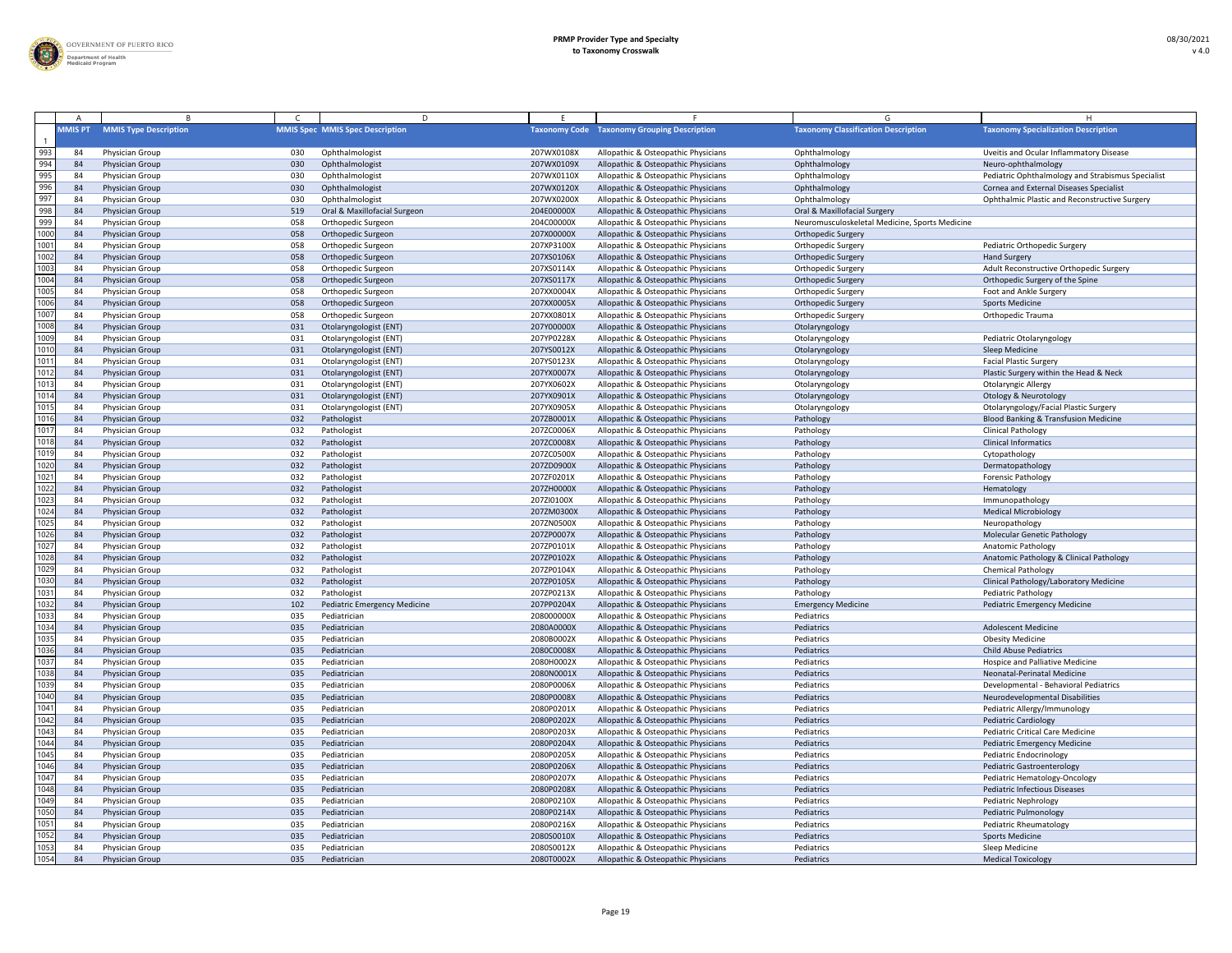

|                  |                |                                    |            | D.                                                 |                          |                                                                            |                                                |                                                   |
|------------------|----------------|------------------------------------|------------|----------------------------------------------------|--------------------------|----------------------------------------------------------------------------|------------------------------------------------|---------------------------------------------------|
|                  | <b>MMIS PT</b> | <b>MMIS Type Description</b>       |            | <b>MMIS Spec MMIS Spec Description</b>             |                          | <b>Taxonomy Code</b> Taxonomy Grouping Description                         | <b>Taxonomy Classification Description</b>     | <b>Taxonomy Specialization Description</b>        |
| 993              | 84             | Physician Group                    | 030        | Ophthalmologist                                    | 207WX0108X               | Allopathic & Osteopathic Physicians                                        | Ophthalmology                                  | Uveitis and Ocular Inflammatory Disease           |
| 994              | 84             | Physician Group                    | 030        | Ophthalmologist                                    | 207WX0109X               | Allopathic & Osteopathic Physicians                                        | Ophthalmology                                  | Neuro-ophthalmology                               |
| 995              | 84             | Physician Group                    | 030        | Ophthalmologist                                    | 207WX0110X               | Allopathic & Osteopathic Physicians                                        | Ophthalmology                                  | Pediatric Ophthalmology and Strabismus Specialist |
| 996              | 84             | Physician Group                    | 030        | Ophthalmologist                                    | 207WX0120X               | Allopathic & Osteopathic Physicians                                        | Ophthalmology                                  | Cornea and External Diseases Specialist           |
| 997              | 84             | Physician Group                    | 030        | Ophthalmologist                                    | 207WX0200X               | Allopathic & Osteopathic Physicians                                        | Ophthalmology                                  | Ophthalmic Plastic and Reconstructive Surgery     |
| 998              | 84             | Physician Group                    | 519        | Oral & Maxillofacial Surgeon                       | 204E00000X               | Allopathic & Osteopathic Physicians                                        | Oral & Maxillofacial Surgery                   |                                                   |
| 999              | 8 <sup>4</sup> | Physician Group                    | 058        | Orthopedic Surgeon                                 | 204C00000X               | Allopathic & Osteopathic Physicians                                        | Neuromusculoskeletal Medicine, Sports Medicine |                                                   |
| 1000             | 84             | Physician Group                    | 058        | Orthopedic Surgeon                                 | 207X00000X               | Allopathic & Osteopathic Physicians                                        | <b>Orthopedic Surgery</b>                      |                                                   |
| 1001             | 84             | Physician Group                    | 058        | Orthopedic Surgeon                                 | 207XP3100X               | Allopathic & Osteopathic Physicians                                        | <b>Orthopedic Surgery</b>                      | Pediatric Orthopedic Surgery                      |
| 1002             | 84             | Physician Group                    | 058        | Orthopedic Surgeon                                 | 207XS0106X               | Allopathic & Osteopathic Physicians                                        | Orthopedic Surgery                             | <b>Hand Surgery</b>                               |
| 1003             | 84             | Physician Group                    | 058        | Orthopedic Surgeon                                 | 207XS0114X               | Allopathic & Osteopathic Physicians                                        | <b>Orthopedic Surgery</b>                      | Adult Reconstructive Orthopedic Surgery           |
| 1004<br>1005     | 84             | Physician Group                    | 058        | Orthopedic Surgeon                                 | 207XS0117X               | Allopathic & Osteopathic Physicians                                        | <b>Orthopedic Surgery</b>                      | Orthopedic Surgery of the Spine                   |
| 1006             | 84             | Physician Group                    | 058        | Orthopedic Surgeon                                 | 207XX0004X               | Allopathic & Osteopathic Physicians                                        | <b>Orthopedic Surgery</b>                      | Foot and Ankle Surgery                            |
| 1007             | 84             | Physician Group                    | 058        | Orthopedic Surgeon                                 | 207XX0005X               | Allopathic & Osteopathic Physicians                                        | <b>Orthopedic Surgery</b>                      | <b>Sports Medicine</b>                            |
| 1008             | 84<br>84       | Physician Group<br>Physician Group | 058<br>031 | Orthopedic Surgeon<br>Otolaryngologist (ENT)       | 207XX0801X<br>207Y00000X | Allopathic & Osteopathic Physicians<br>Allopathic & Osteopathic Physicians | Orthopedic Surgery<br>Otolaryngology           | <b>Orthopedic Trauma</b>                          |
| 1009             | 84             | Physician Group                    | 031        | Otolaryngologist (ENT)                             | 207YP0228X               | Allopathic & Osteopathic Physicians                                        | Otolaryngology                                 | Pediatric Otolaryngology                          |
| 1010             | 84             | Physician Group                    | 031        | Otolaryngologist (ENT)                             | 207YS0012X               | Allopathic & Osteopathic Physicians                                        | Otolaryngology                                 | <b>Sleep Medicine</b>                             |
| 1011             | 84             | Physician Group                    | 031        | Otolaryngologist (ENT)                             | 207YS0123X               | Allopathic & Osteopathic Physicians                                        | Otolaryngology                                 | <b>Facial Plastic Surgery</b>                     |
| 1012             | 84             | Physician Group                    | 031        | Otolaryngologist (ENT)                             | 207YX0007X               | Allopathic & Osteopathic Physicians                                        | Otolaryngology                                 | Plastic Surgery within the Head & Neck            |
| 1013             | 8 <sup>4</sup> | Physician Group                    | 031        | Otolaryngologist (ENT)                             | 207YX0602X               | Allopathic & Osteopathic Physicians                                        | Otolaryngology                                 | <b>Otolaryngic Allergy</b>                        |
| 1014             | 84             | Physician Group                    | 031        | Otolaryngologist (ENT)                             | 207YX0901X               | Allopathic & Osteopathic Physicians                                        | Otolaryngology                                 | <b>Otology &amp; Neurotology</b>                  |
| 1015             | 84             | Physician Group                    | 031        | Otolaryngologist (ENT)                             | 207YX0905X               | Allopathic & Osteopathic Physicians                                        | Otolaryngology                                 | Otolaryngology/Facial Plastic Surgery             |
| 1016             | 84             | Physician Group                    | 032        | Pathologist                                        | 207ZB0001X               | Allopathic & Osteopathic Physicians                                        | Pathology                                      | <b>Blood Banking &amp; Transfusion Medicine</b>   |
| 1017             | 84             | Physician Group                    | 032        | Pathologist                                        | 207ZC0006X               | Allopathic & Osteopathic Physicians                                        | Pathology                                      | <b>Clinical Pathology</b>                         |
| 1018             | 84             | Physician Group                    | 032        | Pathologist                                        | 207ZC0008X               | Allopathic & Osteopathic Physicians                                        | Pathology                                      | <b>Clinical Informatics</b>                       |
| 1019             | -84            | Physician Group                    | 032        | Pathologist                                        | 207ZC0500X               | Allopathic & Osteopathic Physicians                                        | Pathology                                      | Cytopathology                                     |
| $\frac{1}{1020}$ | 84             | Physician Group                    | 032        | Pathologist                                        | 207ZD0900X               | Allopathic & Osteopathic Physicians                                        | Pathology                                      | Dermatopathology                                  |
| 1021             | 84             | Physician Group                    | 032        | Pathologist                                        | 207ZF0201X               | Allopathic & Osteopathic Physicians                                        | Pathology                                      | <b>Forensic Pathology</b>                         |
| 1022             | -84            | Physician Group                    | 032        | Pathologist                                        | 207ZH0000X               | Allopathic & Osteopathic Physicians                                        | Pathology                                      | Hematology                                        |
| 1023             | 84             | Physician Group                    | 032        | Pathologist                                        | 207ZI0100X               | Allopathic & Osteopathic Physicians                                        | Pathology                                      | Immunopathology                                   |
| $\frac{1}{1024}$ | 84             | Physician Group                    | 032        | Pathologist                                        | 207ZM0300X               | Allopathic & Osteopathic Physicians                                        | Pathology                                      | <b>Medical Microbiology</b>                       |
| 1025             | 8 <sup>4</sup> | Physician Group                    | 032        | Pathologist                                        | 207ZN0500X               | Allopathic & Osteopathic Physicians                                        | Pathology                                      | Neuropathology                                    |
| 1026             | 84             | Physician Group                    | 032        | Pathologist                                        | 207ZP0007X               | Allopathic & Osteopathic Physicians                                        | Pathology                                      | <b>Molecular Genetic Pathology</b>                |
| 1027             | 84             | Physician Group                    | 032        | Pathologist                                        | 207ZP0101X               | Allopathic & Osteopathic Physicians                                        | Pathology                                      | <b>Anatomic Pathology</b>                         |
| 1028             | -84            | Physician Group                    | 032        | Pathologist                                        | 207ZP0102X               | Allopathic & Osteopathic Physicians                                        | Pathology                                      | Anatomic Pathology & Clinical Pathology           |
| 1029             | 84             | Physician Group                    | 032        | Pathologist                                        | 207ZP0104X               | Allopathic & Osteopathic Physicians                                        | Pathology                                      | <b>Chemical Pathology</b>                         |
| 1030             | -84            | Physician Group                    | 032        | Pathologist                                        | 207ZP0105X               | Allopathic & Osteopathic Physicians                                        | Pathology                                      | Clinical Pathology/Laboratory Medicine            |
| 1031<br>1032     | 84<br>84       | Physician Group                    | 032<br>102 | Pathologist<br><b>Pediatric Emergency Medicine</b> | 207ZP0213X<br>207PP0204X | Allopathic & Osteopathic Physicians                                        | Pathology<br><b>Emergency Medicine</b>         | <b>Pediatric Pathology</b>                        |
| 1033             | -84            | Physician Group<br>Physician Group | 035        | Pediatrician                                       | 208000000X               | Allopathic & Osteopathic Physicians<br>Allopathic & Osteopathic Physicians | Pediatrics                                     | <b>Pediatric Emergency Medicine</b>               |
| 1034             | -84            | Physician Group                    | 035        | Pediatrician                                       | 2080A0000X               | Allopathic & Osteopathic Physicians                                        | Pediatrics                                     | <b>Adolescent Medicine</b>                        |
| 1035             | -84            | Physician Group                    | 035        | Pediatrician                                       | 2080B0002X               | Allopathic & Osteopathic Physicians                                        | Pediatrics                                     | <b>Obesity Medicine</b>                           |
| 1036             | -84            | Physician Group                    | 035        | Pediatrician                                       | 2080C0008X               | Allopathic & Osteopathic Physicians                                        | Pediatrics                                     | <b>Child Abuse Pediatrics</b>                     |
| 1037             | 84             | Physician Group                    | 035        | Pediatrician                                       | 2080H0002X               | Allopathic & Osteopathic Physicians                                        | Pediatrics                                     | Hospice and Palliative Medicine                   |
| 1038             | -84            | Physician Group                    | 035        | Pediatrician                                       | 2080N0001X               | Allopathic & Osteopathic Physicians                                        | Pediatrics                                     | Neonatal-Perinatal Medicine                       |
| 1039             | 8 <sup>4</sup> | Physician Group                    | 035        | Pediatrician                                       | 2080P0006X               | Allopathic & Osteopathic Physicians                                        | Pediatrics                                     | Developmental - Behavioral Pediatrics             |
| 1040             | 84             | Physician Group                    | 035        | Pediatrician                                       | 2080P0008X               | Allopathic & Osteopathic Physicians                                        | Pediatrics                                     | Neurodevelopmental Disabilities                   |
| 1041             | 84             | Physician Group                    | 035        | Pediatrician                                       | 2080P0201X               | Allopathic & Osteopathic Physicians                                        | Pediatrics                                     | Pediatric Allergy/Immunology                      |
| 1042             | 84             | Physician Group                    | 035        | Pediatrician                                       | 2080P0202X               | Allopathic & Osteopathic Physicians                                        | Pediatrics                                     | <b>Pediatric Cardiology</b>                       |
| 1043             | 84             | Physician Group                    | 035        | Pediatrician                                       | 2080P0203X               | Allopathic & Osteopathic Physicians                                        | Pediatrics                                     | <b>Pediatric Critical Care Medicine</b>           |
| 1044             | 84             | Physician Group                    | 035        | Pediatrician                                       | 2080P0204X               | Allopathic & Osteopathic Physicians                                        | Pediatrics                                     | Pediatric Emergency Medicine                      |
| 1045             | 84             | Physician Group                    | 035        | Pediatrician                                       | 2080P0205X               | Allopathic & Osteopathic Physicians                                        | Pediatrics                                     | <b>Pediatric Endocrinology</b>                    |
| 1046             | -84            | Physician Group                    | 035        | Pediatrician                                       | 2080P0206X               | Allopathic & Osteopathic Physicians                                        | Pediatrics                                     | <b>Pediatric Gastroenterology</b>                 |
| 1047             | 84             | Physician Group                    | 035        | Pediatrician                                       | 2080P0207X               | Allopathic & Osteopathic Physicians                                        | Pediatrics                                     | Pediatric Hematology-Oncology                     |
| 1048             | 84             | Physician Group                    | 035        | Pediatrician                                       | 2080P0208X               | Allopathic & Osteopathic Physicians                                        | Pediatrics                                     | <b>Pediatric Infectious Diseases</b>              |
| 1049             | 8 <sup>4</sup> | Physician Group                    | 035        | Pediatrician                                       | 2080P0210X               | Allopathic & Osteopathic Physicians                                        | Pediatrics                                     | <b>Pediatric Nephrology</b>                       |
| 1050             | 84             | Physician Group                    | 035        | Pediatrician                                       | 2080P0214X               | Allopathic & Osteopathic Physicians                                        | Pediatrics                                     | Pediatric Pulmonology                             |
| 1051             | -84            | Physician Group                    | 035        | Pediatrician                                       | 2080P0216X               | Allopathic & Osteopathic Physicians                                        | Pediatrics                                     | Pediatric Rheumatology                            |
| 1052             | 84             | Physician Group                    | 035        | Pediatrician                                       | 2080S0010X               | Allopathic & Osteopathic Physicians                                        | Pediatrics                                     | <b>Sports Medicine</b>                            |
| 1053             | 84             | Physician Group                    | 035        | Pediatrician                                       | 2080S0012X               | Allopathic & Osteopathic Physicians                                        | Pediatrics                                     | Sleep Medicine                                    |
| 1054             | 84             | Physician Group                    | 035        | Pediatrician                                       | 2080T0002X               | Allopathic & Osteopathic Physicians                                        | Pediatrics                                     | <b>Medical Toxicology</b>                         |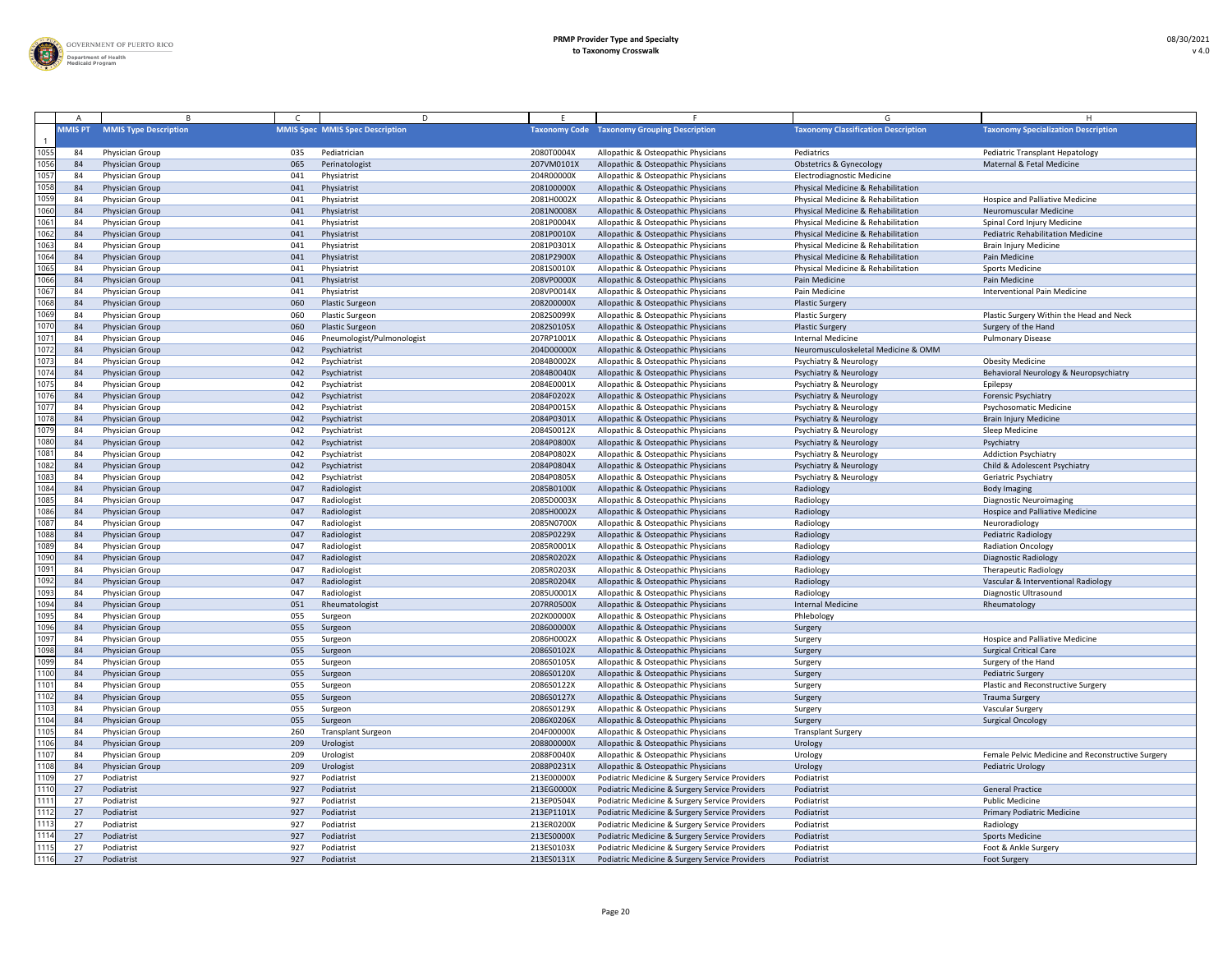

|              |                |                              |     | D.                                     |            |                                                    |                                            |                                                   |
|--------------|----------------|------------------------------|-----|----------------------------------------|------------|----------------------------------------------------|--------------------------------------------|---------------------------------------------------|
|              | <b>MMIS PT</b> | <b>MMIS Type Description</b> |     | <b>MMIS Spec MMIS Spec Description</b> |            | <b>Taxonomy Code Taxonomy Grouping Description</b> | <b>Taxonomy Classification Description</b> | <b>Taxonomy Specialization Description</b>        |
| 1055         | 84             | Physician Group              | 035 | Pediatrician                           | 2080T0004X | Allopathic & Osteopathic Physicians                | Pediatrics                                 | <b>Pediatric Transplant Hepatology</b>            |
| 1056         | 84             | Physician Group              | 065 | Perinatologist                         | 207VM0101> | Allopathic & Osteopathic Physicians                | <b>Obstetrics &amp; Gynecology</b>         | Maternal & Fetal Medicine                         |
| 1057         | 84             | Physician Group              | 041 | Physiatrist                            | 204R00000X | Allopathic & Osteopathic Physicians                | <b>Electrodiagnostic Medicine</b>          |                                                   |
| 1058         | -84            | Physician Group              | 041 | Physiatrist                            | 208100000X | Allopathic & Osteopathic Physicians                | Physical Medicine & Rehabilitation         |                                                   |
| 1059         | 84             | Physician Group              | 041 | Physiatrist                            | 2081H0002X | Allopathic & Osteopathic Physicians                | Physical Medicine & Rehabilitation         | Hospice and Palliative Medicine                   |
| 1060         | 84             | Physician Group              | 041 | Physiatrist                            | 2081N0008X | Allopathic & Osteopathic Physicians                | Physical Medicine & Rehabilitation         | <b>Neuromuscular Medicine</b>                     |
| 1061         | 84             | Physician Group              | 041 | Physiatrist                            | 2081P0004X | Allopathic & Osteopathic Physicians                | Physical Medicine & Rehabilitation         | Spinal Cord Injury Medicine                       |
| 1062         | 84             | Physician Group              | 041 | Physiatrist                            | 2081P0010X | Allopathic & Osteopathic Physicians                | Physical Medicine & Rehabilitation         | <b>Pediatric Rehabilitation Medicine</b>          |
| 1063         | 84             | Physician Group              | 041 | Physiatrist                            | 2081P0301X | Allopathic & Osteopathic Physicians                | Physical Medicine & Rehabilitation         | <b>Brain Injury Medicine</b>                      |
| 1064         | 84             | Physician Group              | 041 | Physiatrist                            | 2081P2900X | Allopathic & Osteopathic Physicians                | Physical Medicine & Rehabilitation         | Pain Medicine                                     |
| 1065         | 84             | Physician Group              | 041 | Physiatrist                            | 2081S0010X | Allopathic & Osteopathic Physicians                | Physical Medicine & Rehabilitation         | <b>Sports Medicine</b>                            |
| 1066         | 84             | Physician Group              | 041 | Physiatrist                            | 208VP0000X | Allopathic & Osteopathic Physicians                | Pain Medicine                              | Pain Medicine                                     |
| 1067         | 84             | Physician Group              | 041 | Physiatrist                            | 208VP0014X | Allopathic & Osteopathic Physicians                | Pain Medicine                              | <b>Interventional Pain Medicine</b>               |
| 1068         | 84             | Physician Group              | 060 | <b>Plastic Surgeon</b>                 | 208200000X | Allopathic & Osteopathic Physicians                | <b>Plastic Surgery</b>                     |                                                   |
| 1069         | -84            | Physician Group              | 060 | <b>Plastic Surgeon</b>                 | 2082S0099X | Allopathic & Osteopathic Physicians                | <b>Plastic Surgery</b>                     | Plastic Surgery Within the Head and Neck          |
| 1070         | 84             | Physician Group              | 060 | <b>Plastic Surgeon</b>                 | 2082S0105X | Allopathic & Osteopathic Physicians                | <b>Plastic Surgery</b>                     | Surgery of the Hand                               |
| 1071         | -84            | <b>Physician Group</b>       | 046 | Pneumologist/Pulmonologist             | 207RP1001X | Allopathic & Osteopathic Physicians                | <b>Internal Medicine</b>                   | <b>Pulmonary Disease</b>                          |
| 1072         | -84            | Physician Group              | 042 | Psychiatrist                           | 204D00000X | Allopathic & Osteopathic Physicians                | Neuromusculoskeletal Medicine & OMM        |                                                   |
| 1073         | 84             | Physician Group              | 042 | Psychiatrist                           | 2084B0002X | Allopathic & Osteopathic Physicians                | <b>Psychiatry &amp; Neurology</b>          | <b>Obesity Medicine</b>                           |
| 1074         | 84             | Physician Group              | 042 | Psychiatrist                           | 2084B0040X | Allopathic & Osteopathic Physicians                | <b>Psychiatry &amp; Neurology</b>          | Behavioral Neurology & Neuropsychiatry            |
| 1075         | 84             | Physician Group              | 042 | Psychiatrist                           | 2084E0001X | Allopathic & Osteopathic Physicians                | Psychiatry & Neurology                     | Epilepsy                                          |
| 1076         | 84             | Physician Group              | 042 | Psychiatrist                           | 2084F0202X | Allopathic & Osteopathic Physicians                | <b>Psychiatry &amp; Neurology</b>          | <b>Forensic Psychiatry</b>                        |
| 1077         | 84             | Physician Group              | 042 | Psychiatrist                           | 2084P0015X | Allopathic & Osteopathic Physicians                | <b>Psychiatry &amp; Neurology</b>          | Psychosomatic Medicine                            |
| 1078         | 84             | Physician Group              | 042 | Psychiatrist                           | 2084P0301X | Allopathic & Osteopathic Physicians                | <b>Psychiatry &amp; Neurology</b>          | <b>Brain Injury Medicine</b>                      |
| 1079         | 84             | Physician Group              | 042 | Psychiatrist                           | 2084S0012X | Allopathic & Osteopathic Physicians                | <b>Psychiatry &amp; Neurology</b>          | Sleep Medicine                                    |
| 1080         | 84             | Physician Group              | 042 | Psychiatrist                           | 2084P0800X | Allopathic & Osteopathic Physicians                | <b>Psychiatry &amp; Neurology</b>          | Psychiatry                                        |
| 108          | -84            | Physician Group              | 042 | Psychiatrist                           | 2084P0802X | Allopathic & Osteopathic Physicians                | <b>Psychiatry &amp; Neurology</b>          | <b>Addiction Psychiatry</b>                       |
| 1082         |                | Physician Group              | 042 | Psychiatrist                           | 2084P0804X | Allopathic & Osteopathic Physicians                |                                            | Child & Adolescent Psychiatry                     |
|              | -84            |                              |     |                                        |            |                                                    | <b>Psychiatry &amp; Neurology</b>          |                                                   |
| 1083<br>1084 | -84            | Physician Group              | 042 | Psychiatrist                           | 2084P0805X | Allopathic & Osteopathic Physicians                | <b>Psychiatry &amp; Neurology</b>          | Geriatric Psychiatry                              |
|              | 84             | Physician Group              | 047 | Radiologist                            | 2085B0100X | Allopathic & Osteopathic Physicians                | Radiology                                  | <b>Body Imaging</b>                               |
| 1085         | -84            | <b>Physician Group</b>       | 047 | Radiologist                            | 2085D0003X | Allopathic & Osteopathic Physicians                | Radiology                                  | <b>Diagnostic Neuroimaging</b>                    |
| 1086         | 84             | <b>Physician Group</b>       | 047 | Radiologist                            | 2085H0002X | Allopathic & Osteopathic Physicians                | Radiology                                  | <b>Hospice and Palliative Medicine</b>            |
| 1087         | -84            | Physician Group              | 047 | Radiologist                            | 2085N0700X | Allopathic & Osteopathic Physicians                | Radiology                                  | Neuroradiology                                    |
| 1088         | 84             | Physician Group              | 047 | Radiologist                            | 2085P0229X | Allopathic & Osteopathic Physicians                | Radiology                                  | Pediatric Radiology                               |
| 1089         | 84             | Physician Group              | 047 | Radiologist                            | 2085R0001X | Allopathic & Osteopathic Physicians                | Radiology                                  | <b>Radiation Oncology</b>                         |
| 1090         | 84             | Physician Group              | 047 | Radiologist                            | 2085R0202X | Allopathic & Osteopathic Physicians                | Radiology                                  | <b>Diagnostic Radiology</b>                       |
| 1091         | 84             | Physician Group              | 047 | Radiologist                            | 2085R0203X | Allopathic & Osteopathic Physicians                | Radiology                                  | <b>Therapeutic Radiology</b>                      |
| 1092         | 84             | Physician Group              | 047 | Radiologist                            | 2085R0204X | Allopathic & Osteopathic Physicians                | Radiology                                  | Vascular & Interventional Radiology               |
| 1093         | 84             | Physician Group              | 047 | Radiologist                            | 2085U0001X | Allopathic & Osteopathic Physicians                | Radiology                                  | Diagnostic Ultrasound                             |
| 1094         | 84             | Physician Group              | 051 | Rheumatologist                         | 207RR0500X | Allopathic & Osteopathic Physicians                | <b>Internal Medicine</b>                   | Rheumatology                                      |
| 1095         | 84             | Physician Group              | 055 | Surgeon                                | 202K00000X | Allopathic & Osteopathic Physicians                | Phlebology                                 |                                                   |
| 1096         | 84             | Physician Group              | 055 | Surgeon                                | 208600000X | Allopathic & Osteopathic Physicians                | Surgery                                    |                                                   |
| 1097         | 84             | Physician Group              | 055 | Surgeon                                | 2086H0002X | Allopathic & Osteopathic Physicians                | Surgery                                    | Hospice and Palliative Medicine                   |
| 1098         | 84             | Physician Group              | 055 | Surgeon                                | 2086S0102X | Allopathic & Osteopathic Physicians                | Surgery                                    | <b>Surgical Critical Care</b>                     |
| 1099         | 84             | Physician Group              | 055 | Surgeon                                | 2086S0105X | Allopathic & Osteopathic Physicians                | Surgery                                    | Surgery of the Hand                               |
| 1100         | 84             | Physician Group              | 055 | Surgeon                                | 2086S0120X | Allopathic & Osteopathic Physicians                | Surgery                                    | Pediatric Surgery                                 |
| 1101         | -84            | Physician Group              | 055 | Surgeon                                | 2086S0122X | Allopathic & Osteopathic Physicians                | Surgery                                    | Plastic and Reconstructive Surgery                |
| 1102         | 84             | Physician Group              | 055 | Surgeon                                | 2086S0127X | Allopathic & Osteopathic Physicians                | Surgery                                    | <b>Trauma Surgery</b>                             |
| 1103         | 84             | Physician Group              | 055 | Surgeon                                | 2086S0129X | Allopathic & Osteopathic Physicians                | Surgery                                    | <b>Vascular Surgery</b>                           |
| 1104         | 84             | Physician Group              | 055 | Surgeon                                | 2086X0206X | Allopathic & Osteopathic Physicians                | Surgery                                    | <b>Surgical Oncology</b>                          |
| 1105         | 84             | Physician Group              | 260 | <b>Transplant Surgeon</b>              | 204F00000X | Allopathic & Osteopathic Physicians                | <b>Transplant Surgery</b>                  |                                                   |
| 1106         | 84             | Physician Group              | 209 | Urologist                              | 208800000X | Allopathic & Osteopathic Physicians                | Urology                                    |                                                   |
| 1107         | 84             | Physician Group              | 209 | Urologist                              | 2088F0040X | Allopathic & Osteopathic Physicians                | Urology                                    | Female Pelvic Medicine and Reconstructive Surgery |
| 1108         | 84             | Physician Group              | 209 | Urologist                              | 2088P0231X | Allopathic & Osteopathic Physicians                | Urology                                    | <b>Pediatric Urology</b>                          |
| 1109         | 2 <sup>7</sup> | Podiatrist                   | 927 | Podiatrist                             | 213E00000X | Podiatric Medicine & Surgery Service Providers     | Podiatrist                                 |                                                   |
| 1110         | 27             | Podiatrist                   | 927 | Podiatrist                             | 213EG0000X | Podiatric Medicine & Surgery Service Providers     | Podiatrist                                 | <b>General Practice</b>                           |
| 111'         | 27             | Podiatrist                   | 927 | Podiatrist                             | 213EP0504X | Podiatric Medicine & Surgery Service Providers     | Podiatrist                                 | <b>Public Medicine</b>                            |
| 1112         | 27             | Podiatrist                   | 927 | Podiatrist                             | 213EP1101X | Podiatric Medicine & Surgery Service Providers     | Podiatrist                                 | <b>Primary Podiatric Medicine</b>                 |
| 1113         | -27            | Podiatrist                   | 927 | Podiatrist                             | 213ER0200X | Podiatric Medicine & Surgery Service Providers     | Podiatrist                                 | Radiology                                         |
| 1114         | 27             | Podiatrist                   | 927 | Podiatrist                             | 213ES0000X | Podiatric Medicine & Surgery Service Providers     | Podiatrist                                 | <b>Sports Medicine</b>                            |
| 1115         | 27             | Podiatrist                   | 927 | Podiatrist                             | 213ES0103X | Podiatric Medicine & Surgery Service Providers     | Podiatrist                                 | Foot & Ankle Surgery                              |
| 1116         | 27             | Podiatrist                   | 927 | Podiatrist                             | 213ES0131X | Podiatric Medicine & Surgery Service Providers     | Podiatrist                                 | <b>Foot Surgery</b>                               |
|              |                |                              |     |                                        |            |                                                    |                                            |                                                   |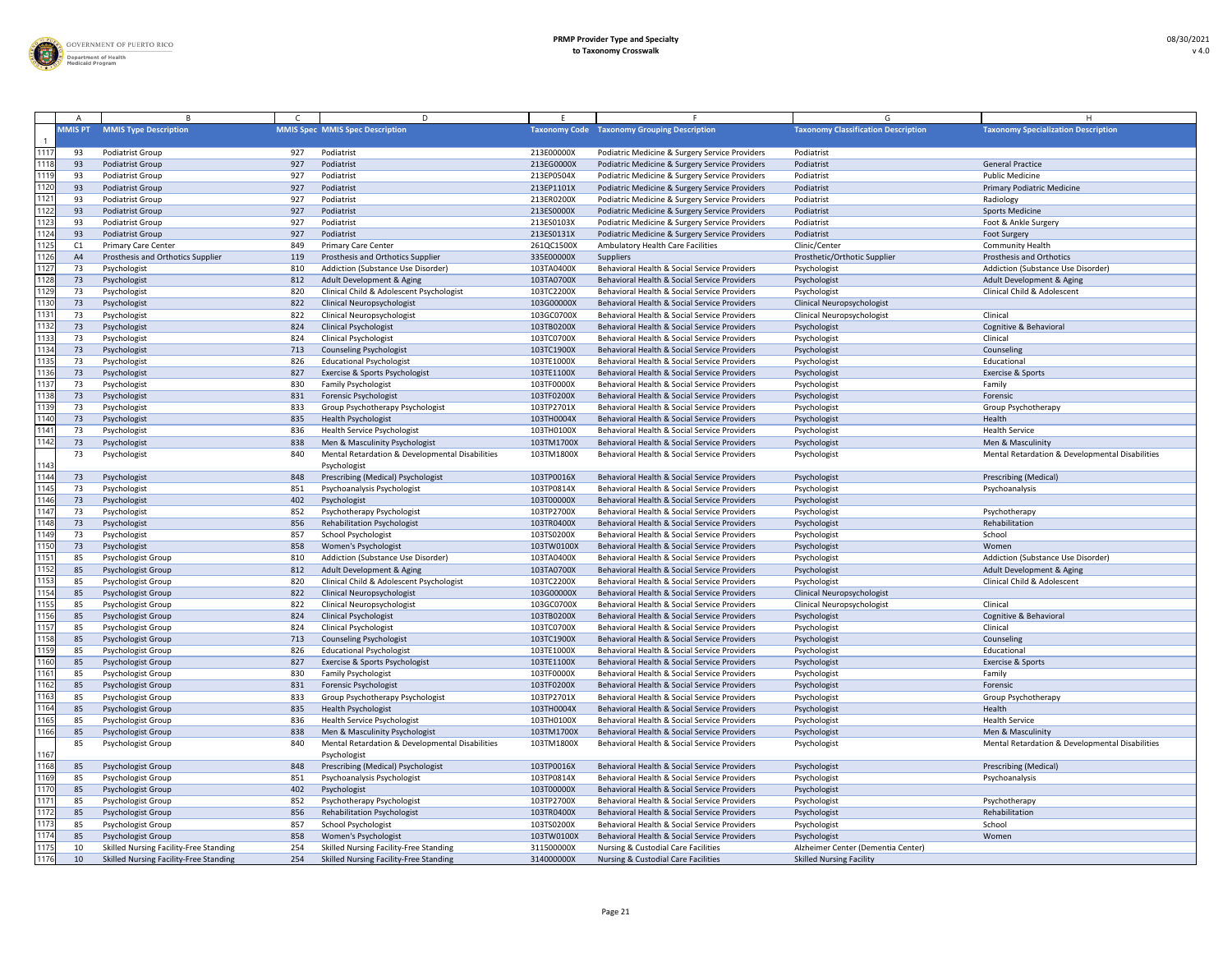

|                |                |                                               |     | D.                                              |            |                                                    |                                            |                                                 |
|----------------|----------------|-----------------------------------------------|-----|-------------------------------------------------|------------|----------------------------------------------------|--------------------------------------------|-------------------------------------------------|
|                | <b>MMIS PT</b> | <b>MMIS Type Description</b>                  |     | <b>MMIS Spec MMIS Spec Description</b>          |            | <b>Taxonomy Code</b> Taxonomy Grouping Description | <b>Taxonomy Classification Description</b> | <b>Taxonomy Specialization Description</b>      |
|                |                |                                               |     |                                                 |            |                                                    |                                            |                                                 |
| 1117           | -93            | <b>Podiatrist Group</b>                       | 927 | Podiatrist                                      | 213E00000X | Podiatric Medicine & Surgery Service Providers     | Podiatrist                                 |                                                 |
| 1118           | 93             | <b>Podiatrist Group</b>                       | 927 | Podiatrist                                      | 213EG0000X | Podiatric Medicine & Surgery Service Providers     | Podiatrist                                 | <b>General Practice</b>                         |
| 1119           | -93            | Podiatrist Group                              | 927 | Podiatrist                                      | 213EP0504X | Podiatric Medicine & Surgery Service Providers     | Podiatrist                                 | <b>Public Medicine</b>                          |
| 120            | 93             | <b>Podiatrist Group</b>                       | 927 | Podiatrist                                      | 213EP1101X | Podiatric Medicine & Surgery Service Providers     | Podiatrist                                 | <b>Primary Podiatric Medicine</b>               |
| 112 $^{\circ}$ | -93            | <b>Podiatrist Group</b>                       | 927 | Podiatrist                                      | 213ER0200X | Podiatric Medicine & Surgery Service Providers     | Podiatrist                                 | Radiology                                       |
| 122            | 93             | Podiatrist Group                              | 927 | Podiatrist                                      | 213ES0000X | Podiatric Medicine & Surgery Service Providers     | Podiatrist                                 | <b>Sports Medicine</b>                          |
| 123            | 93             | <b>Podiatrist Group</b>                       | 927 | Podiatrist                                      | 213ES0103X | Podiatric Medicine & Surgery Service Providers     | Podiatrist                                 | Foot & Ankle Surgery                            |
| 1124           | 93             | Podiatrist Group                              | 927 | Podiatrist                                      | 213ES0131X | Podiatric Medicine & Surgery Service Providers     | Podiatrist                                 | <b>Foot Surgery</b>                             |
| 1125           |                | <b>Primary Care Center</b>                    | 849 | <b>Primary Care Center</b>                      | 261QC1500X | Ambulatory Health Care Facilities                  | Clinic/Center                              | <b>Community Health</b>                         |
| 126            | A <sup>2</sup> | Prosthesis and Orthotics Supplier             | 119 | Prosthesis and Orthotics Supplier               | 335E00000X | Suppliers                                          | Prosthetic/Orthotic Supplier               | <b>Prosthesis and Orthotics</b>                 |
| 1127           |                | Psychologist                                  | 810 | Addiction (Substance Use Disorder)              | 103TA0400X | Behavioral Health & Social Service Providers       | Psychologist                               | Addiction (Substance Use Disorder)              |
| 128            | 73             | Psychologist                                  | 812 | Adult Development & Aging                       | 103TA0700X | Behavioral Health & Social Service Providers       | Psychologist                               | Adult Development & Aging                       |
| 1129           |                | Psychologist                                  | 820 | Clinical Child & Adolescent Psychologist        | 103TC2200X | Behavioral Health & Social Service Providers       | Psychologist                               | <b>Clinical Child &amp; Adolescent</b>          |
| 1130           |                | Psychologist                                  | 822 | <b>Clinical Neuropsychologist</b>               | 103G00000X | Behavioral Health & Social Service Providers       | <b>Clinical Neuropsychologist</b>          |                                                 |
| $113^{\circ}$  |                | Psychologist                                  | 822 | Clinical Neuropsychologist                      | 103GC0700X | Behavioral Health & Social Service Providers       | <b>Clinical Neuropsychologist</b>          | Clinical                                        |
| 132            | 73             | Psychologist                                  | 824 | <b>Clinical Psychologist</b>                    | 103TB0200X | Behavioral Health & Social Service Providers       | Psychologist                               | Cognitive & Behavioral                          |
| 1133           | 73             | Psychologist                                  | 824 | <b>Clinical Psychologist</b>                    | 103TC0700X | Behavioral Health & Social Service Providers       | Psychologist                               | Clinical                                        |
| 134            | 73             | Psychologist                                  | 713 | <b>Counseling Psychologist</b>                  | 103TC1900X | Behavioral Health & Social Service Providers       | Psychologist                               | Counseling                                      |
| 135            |                | Psychologist                                  | 826 | <b>Educational Psychologist</b>                 | 103TE1000X | Behavioral Health & Social Service Providers       | Psychologist                               | Educational                                     |
| 1136           | 73             | Psychologist                                  | 827 | Exercise & Sports Psychologist                  | 103TE1100X | Behavioral Health & Social Service Providers       | Psychologist                               | Exercise & Sports                               |
|                |                |                                               |     |                                                 |            | Behavioral Health & Social Service Providers       |                                            |                                                 |
| 113            |                | Psychologist                                  | 830 | <b>Family Psychologist</b>                      | 103TF0000X |                                                    | Psychologist                               | Family                                          |
| 138            | 73             | Psychologist                                  | 831 | <b>Forensic Psychologist</b>                    | 103TF0200X | Behavioral Health & Social Service Providers       | Psychologist                               | Forensic                                        |
| 139            | -73            | Psychologist                                  | 833 | Group Psychotherapy Psychologist                | 103TP2701X | Behavioral Health & Social Service Providers       | Psychologist                               | Group Psychotherapy                             |
| 1140           | 73             | Psychologist                                  | 835 | <b>Health Psychologist</b>                      | 103TH0004X | Behavioral Health & Social Service Providers       | Psychologist                               | Health                                          |
| 114            |                | Psychologist                                  | 836 | <b>Health Service Psychologist</b>              | 103TH0100X | Behavioral Health & Social Service Providers       | Psychologist                               | <b>Health Service</b>                           |
| 1142           | 73             | Psychologist                                  | 838 | Men & Masculinity Psychologist                  | 103TM1700X | Behavioral Health & Social Service Providers       | Psychologist                               | Men & Masculinity                               |
|                |                | Psychologist                                  | 840 | Mental Retardation & Developmental Disabilities | 103TM1800> | Behavioral Health & Social Service Providers       | Psychologist                               | Mental Retardation & Developmental Disabilities |
| 1143           |                |                                               |     | Psychologist                                    |            |                                                    |                                            |                                                 |
| 1144           | 73             | Psychologist                                  | 848 | Prescribing (Medical) Psychologist              | 103TP0016X | Behavioral Health & Social Service Providers       | Psychologist                               | <b>Prescribing (Medical)</b>                    |
| 1145           | -73            | Psychologist                                  | 851 | Psychoanalysis Psychologist                     | 103TP0814X | Behavioral Health & Social Service Providers       | Psychologist                               | Psychoanalysis                                  |
| 146            | 73             | Psychologist                                  | 402 | Psychologist                                    | 103T00000X | Behavioral Health & Social Service Providers       | Psychologist                               |                                                 |
| 1147           |                | Psychologist                                  | 852 | Psychotherapy Psychologist                      | 103TP2700X | Behavioral Health & Social Service Providers       | Psychologist                               | Psychotherapy                                   |
| 148            | 73             | Psychologist                                  | 856 | <b>Rehabilitation Psychologist</b>              | 103TR0400X | Behavioral Health & Social Service Providers       | Psychologist                               | Rehabilitation                                  |
| 149            |                | Psychologist                                  | 857 | <b>School Psychologist</b>                      | 103TS0200X | Behavioral Health & Social Service Providers       | Psychologist                               | School                                          |
| 1150           | 73             | Psychologist                                  | 858 | Women's Psychologist                            | 103TW0100X | Behavioral Health & Social Service Providers       | Psychologist                               | Women                                           |
| $115^{1}$      |                | <b>Psychologist Group</b>                     | 810 | Addiction (Substance Use Disorder)              | 103TA0400X | Behavioral Health & Social Service Providers       | Psychologist                               | Addiction (Substance Use Disorder)              |
| 152            | 85             | Psychologist Group                            | 812 | Adult Development & Aging                       | 103TA0700X | Behavioral Health & Social Service Providers       | Psychologist                               | Adult Development & Aging                       |
| 1153           |                | Psychologist Group                            | 820 | Clinical Child & Adolescent Psychologist        | 103TC2200X | Behavioral Health & Social Service Providers       | Psychologist                               | Clinical Child & Adolescent                     |
| 1154           | -8             | Psychologist Group                            | 822 | <b>Clinical Neuropsychologist</b>               | 103G00000X | Behavioral Health & Social Service Providers       | <b>Clinical Neuropsychologist</b>          |                                                 |
| 155            |                | Psychologist Group                            | 822 | Clinical Neuropsychologist                      | 103GC0700X | Behavioral Health & Social Service Providers       | <b>Clinical Neuropsychologist</b>          | Clinical                                        |
| 156            | -8             | Psychologist Group                            | 824 | <b>Clinical Psychologist</b>                    | 103TB0200X | Behavioral Health & Social Service Providers       | Psychologist                               | Cognitive & Behavioral                          |
| 1157           | -8             | Psychologist Group                            | 824 | <b>Clinical Psychologist</b>                    | 103TC0700X | Behavioral Health & Social Service Providers       | Psychologist                               | Clinical                                        |
| 158            |                | Psychologist Group                            | 713 | <b>Counseling Psychologist</b>                  | 103TC1900X | Behavioral Health & Social Service Providers       | Psychologist                               | Counseling                                      |
| 159            |                | Psychologist Group                            | 826 | <b>Educational Psychologist</b>                 | 103TE1000X | Behavioral Health & Social Service Providers       | Psychologist                               | Educational                                     |
| 160            | -8             | Psychologist Group                            | 827 | Exercise & Sports Psychologist                  | 103TE1100X | Behavioral Health & Social Service Providers       | Psychologist                               | Exercise & Sports                               |
| 116            | -8             | Psychologist Group                            | 830 | <b>Family Psychologist</b>                      | 103TF0000X | Behavioral Health & Social Service Providers       | Psychologist                               | Family                                          |
| 1162           | 85             | Psychologist Group                            | 831 | Forensic Psychologist                           | 103TF0200X | Behavioral Health & Social Service Providers       | Psychologist                               | Forensic                                        |
| 163            | 8.             | Psychologist Group                            | 833 | Group Psychotherapy Psychologist                | 103TP2701X | Behavioral Health & Social Service Providers       | Psychologist                               | Group Psychotherapy                             |
| 1164           | 85             | Psychologist Group                            | 835 | <b>Health Psychologist</b>                      | 103TH0004X | Behavioral Health & Social Service Providers       | Psychologist                               | Health                                          |
| 165            |                | Psychologist Group                            | 836 | <b>Health Service Psychologist</b>              | 103TH0100X | Behavioral Health & Social Service Providers       | Psychologist                               | <b>Health Service</b>                           |
| 166            | 85             | Psychologist Group                            | 838 | Men & Masculinity Psychologist                  | 103TM1700X | Behavioral Health & Social Service Providers       | Psychologist                               | Men & Masculinity                               |
|                |                | Psychologist Group                            | 840 | Mental Retardation & Developmental Disabilities | 103TM1800X | Behavioral Health & Social Service Providers       | Psychologist                               | Mental Retardation & Developmental Disabilities |
| 167            |                |                                               |     | Psychologist                                    |            |                                                    |                                            |                                                 |
| 1168           | -85            | Psychologist Group                            | 848 | Prescribing (Medical) Psychologist              | 103TP0016X | Behavioral Health & Social Service Providers       | Psychologist                               | <b>Prescribing (Medical)</b>                    |
| 169            |                | Psychologist Group                            | 851 | Psychoanalysis Psychologist                     | 103TP0814X | Behavioral Health & Social Service Providers       | Psychologist                               | Psychoanalysis                                  |
| 1170           | 85             | Psychologist Group                            | 402 | Psychologist                                    | 103T00000X | Behavioral Health & Social Service Providers       | Psychologist                               |                                                 |
| $117^{1}$      |                | Psychologist Group                            | 852 | Psychotherapy Psychologist                      | 103TP2700X | Behavioral Health & Social Service Providers       | Psychologist                               | Psychotherapy                                   |
| 1172           |                | Psychologist Group                            | 856 | <b>Rehabilitation Psychologist</b>              | 103TR0400X | Behavioral Health & Social Service Providers       | Psychologist                               | Rehabilitation                                  |
| 1173           |                | <b>Psychologist Group</b>                     | 857 | School Psychologist                             | 103TS0200X | Behavioral Health & Social Service Providers       | Psychologist                               | School                                          |
| 1174           | 85             | Psychologist Group                            | 858 | Women's Psychologist                            | 103TW0100X | Behavioral Health & Social Service Providers       | Psychologist                               | Women                                           |
| 1175           |                | <b>Skilled Nursing Facility-Free Standing</b> | 254 | <b>Skilled Nursing Facility-Free Standing</b>   | 311500000X | <b>Nursing &amp; Custodial Care Facilities</b>     | Alzheimer Center (Dementia Center)         |                                                 |
| 176            |                | Skilled Nursing Facility-Free Standing        |     |                                                 |            |                                                    |                                            |                                                 |
|                |                |                                               | 254 | Skilled Nursing Facility-Free Standing          | 314000000X | <b>Nursing &amp; Custodial Care Facilities</b>     | <b>Skilled Nursing Facility</b>            |                                                 |